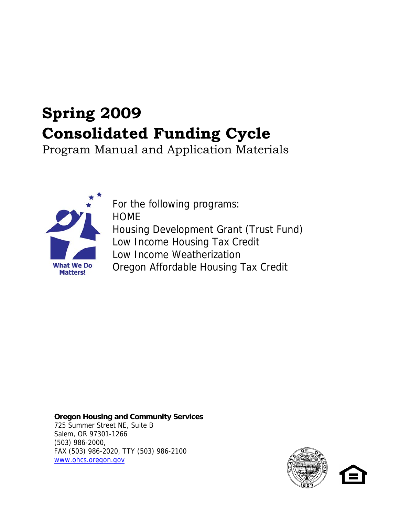# **Spring 2009 Consolidated Funding Cycle**

Program Manual and Application Materials



For the following programs: **HOME** Housing Development Grant (Trust Fund) Low Income Housing Tax Credit Low Income Weatherization Oregon Affordable Housing Tax Credit

**Oregon Housing and Community Services** 725 Summer Street NE, Suite B Salem, OR 97301-1266 (503) 986-2000, FAX (503) 986-2020, TTY (503) 986-2100 [www.ohcs.oregon.gov](http://www.ohcs.oregon.gov/)

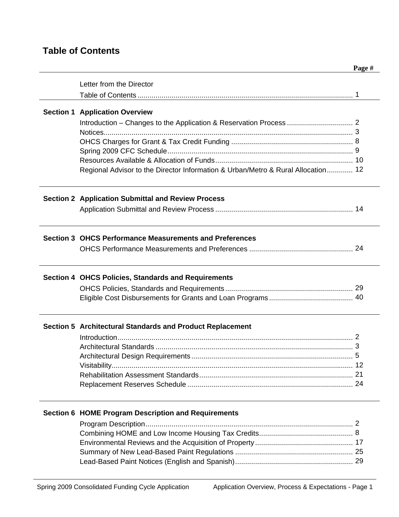# **Table of Contents**

| <b>Section 1 Application Overview</b><br>Regional Advisor to the Director Information & Urban/Metro & Rural Allocation 12<br><b>Section 2 Application Submittal and Review Process</b><br><b>Section 3 OHCS Performance Measurements and Preferences</b><br><b>Section 4 OHCS Policies, Standards and Requirements</b><br>Section 5 Architectural Standards and Product Replacement<br><b>Section 6 HOME Program Description and Requirements</b> | Letter from the Director |  |
|---------------------------------------------------------------------------------------------------------------------------------------------------------------------------------------------------------------------------------------------------------------------------------------------------------------------------------------------------------------------------------------------------------------------------------------------------|--------------------------|--|
|                                                                                                                                                                                                                                                                                                                                                                                                                                                   |                          |  |
|                                                                                                                                                                                                                                                                                                                                                                                                                                                   |                          |  |
|                                                                                                                                                                                                                                                                                                                                                                                                                                                   |                          |  |
|                                                                                                                                                                                                                                                                                                                                                                                                                                                   |                          |  |
|                                                                                                                                                                                                                                                                                                                                                                                                                                                   |                          |  |
|                                                                                                                                                                                                                                                                                                                                                                                                                                                   |                          |  |
|                                                                                                                                                                                                                                                                                                                                                                                                                                                   |                          |  |
|                                                                                                                                                                                                                                                                                                                                                                                                                                                   |                          |  |
|                                                                                                                                                                                                                                                                                                                                                                                                                                                   |                          |  |
|                                                                                                                                                                                                                                                                                                                                                                                                                                                   |                          |  |
|                                                                                                                                                                                                                                                                                                                                                                                                                                                   |                          |  |
|                                                                                                                                                                                                                                                                                                                                                                                                                                                   |                          |  |
|                                                                                                                                                                                                                                                                                                                                                                                                                                                   |                          |  |
|                                                                                                                                                                                                                                                                                                                                                                                                                                                   |                          |  |
|                                                                                                                                                                                                                                                                                                                                                                                                                                                   |                          |  |
|                                                                                                                                                                                                                                                                                                                                                                                                                                                   |                          |  |
|                                                                                                                                                                                                                                                                                                                                                                                                                                                   |                          |  |
|                                                                                                                                                                                                                                                                                                                                                                                                                                                   |                          |  |
|                                                                                                                                                                                                                                                                                                                                                                                                                                                   |                          |  |
|                                                                                                                                                                                                                                                                                                                                                                                                                                                   |                          |  |
|                                                                                                                                                                                                                                                                                                                                                                                                                                                   |                          |  |
|                                                                                                                                                                                                                                                                                                                                                                                                                                                   |                          |  |
|                                                                                                                                                                                                                                                                                                                                                                                                                                                   |                          |  |
|                                                                                                                                                                                                                                                                                                                                                                                                                                                   |                          |  |
|                                                                                                                                                                                                                                                                                                                                                                                                                                                   |                          |  |
|                                                                                                                                                                                                                                                                                                                                                                                                                                                   |                          |  |
|                                                                                                                                                                                                                                                                                                                                                                                                                                                   |                          |  |
|                                                                                                                                                                                                                                                                                                                                                                                                                                                   |                          |  |
|                                                                                                                                                                                                                                                                                                                                                                                                                                                   |                          |  |
|                                                                                                                                                                                                                                                                                                                                                                                                                                                   |                          |  |
|                                                                                                                                                                                                                                                                                                                                                                                                                                                   |                          |  |
|                                                                                                                                                                                                                                                                                                                                                                                                                                                   |                          |  |
|                                                                                                                                                                                                                                                                                                                                                                                                                                                   |                          |  |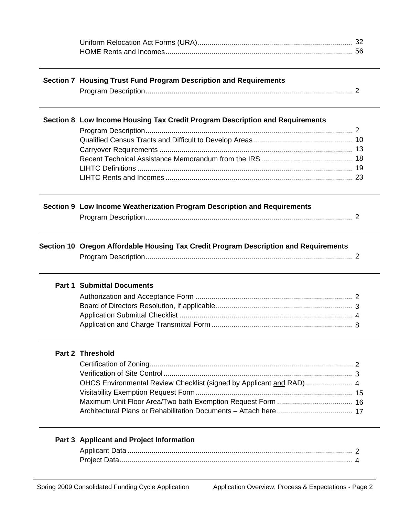| Section 7 Housing Trust Fund Program Description and Requirements                    |  |  |
|--------------------------------------------------------------------------------------|--|--|
|                                                                                      |  |  |
| Section 8 Low Income Housing Tax Credit Program Description and Requirements         |  |  |
|                                                                                      |  |  |
|                                                                                      |  |  |
|                                                                                      |  |  |
|                                                                                      |  |  |
|                                                                                      |  |  |
|                                                                                      |  |  |
| Section 9 Low Income Weatherization Program Description and Requirements             |  |  |
|                                                                                      |  |  |
| Section 10 Oregon Affordable Housing Tax Credit Program Description and Requirements |  |  |
|                                                                                      |  |  |
| <b>Part 1 Submittal Documents</b>                                                    |  |  |
|                                                                                      |  |  |
|                                                                                      |  |  |
|                                                                                      |  |  |
|                                                                                      |  |  |
| <b>Part 2 Threshold</b>                                                              |  |  |
|                                                                                      |  |  |
|                                                                                      |  |  |
| OHCS Environmental Review Checklist (signed by Applicant and RAD) 4                  |  |  |
|                                                                                      |  |  |
|                                                                                      |  |  |
|                                                                                      |  |  |
|                                                                                      |  |  |
| Part 3 Applicant and Project Information                                             |  |  |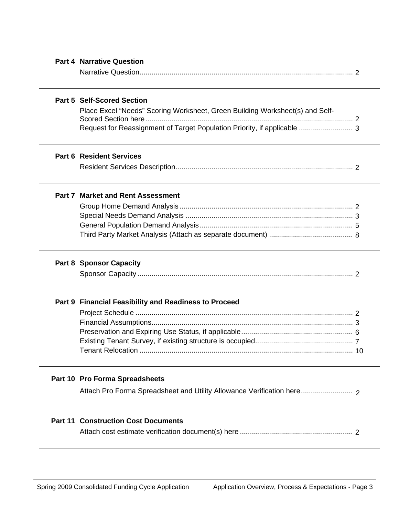|--|

# **Part 5 Self-Scored Section**

Place Excel "Needs" Scoring Worksheet, Green Building Worksheet(s) and Self-Scored Section here........................................................................................................ 2 Request for Reassignment of Target Population Priority, if applicable ........................... 3

# **Part 6 Resident Services**

|--|--|

#### **Part 7 Market and Rent Assessment**

#### **Part 8 Sponsor Capacity**

|--|--|--|--|

#### **Part 9 Financial Feasibility and Readiness to Proceed**

#### **Part 10 Pro Forma Spreadsheets**

Attach Pro Forma Spreadsheet and Utility Allowance Verification here.......................... 2

### **Part 11 Construction Cost Documents**

Attach cost estimate verification document(s) here......................................................... 2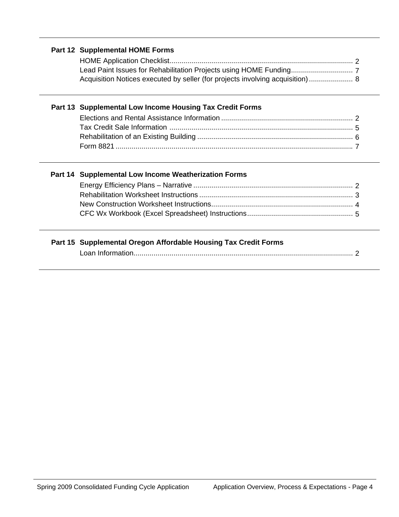# **Part 12 Supplemental HOME Forms**

| Acquisition Notices executed by seller (for projects involving acquisition)  8 |  |
|--------------------------------------------------------------------------------|--|

# **Part 13 Supplemental Low Income Housing Tax Credit Forms**

# **Part 14 Supplemental Low Income Weatherization Forms**

# **Part 15 Supplemental Oregon Affordable Housing Tax Credit Forms**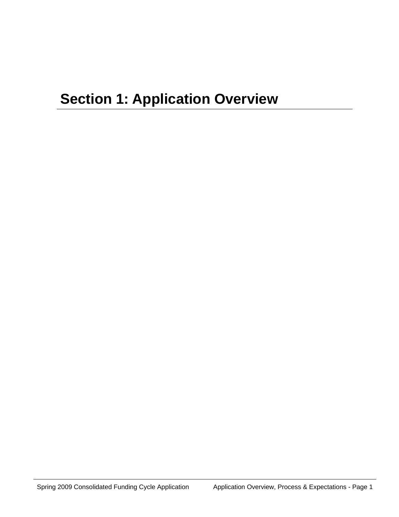# **Section 1: Application Overview**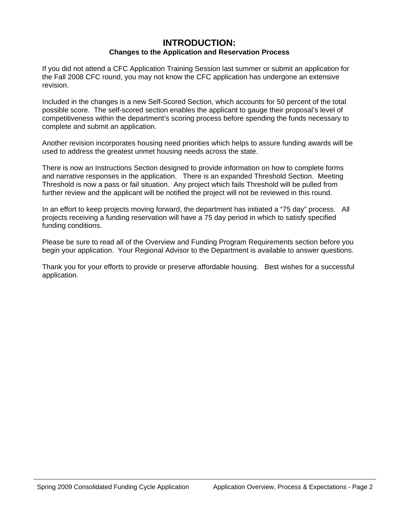# **INTRODUCTION: Changes to the Application and Reservation Process**

If you did not attend a CFC Application Training Session last summer or submit an application for the Fall 2008 CFC round, you may not know the CFC application has undergone an extensive revision.

Included in the changes is a new Self-Scored Section, which accounts for 50 percent of the total possible score. The self-scored section enables the applicant to gauge their proposal's level of competitiveness within the department's scoring process before spending the funds necessary to complete and submit an application.

Another revision incorporates housing need priorities which helps to assure funding awards will be used to address the greatest unmet housing needs across the state.

There is now an Instructions Section designed to provide information on how to complete forms and narrative responses in the application. There is an expanded Threshold Section. Meeting Threshold is now a pass or fail situation. Any project which fails Threshold will be pulled from further review and the applicant will be notified the project will not be reviewed in this round.

In an effort to keep projects moving forward, the department has initiated a "75 day" process. All projects receiving a funding reservation will have a 75 day period in which to satisfy specified funding conditions.

Please be sure to read all of the Overview and Funding Program Requirements section before you begin your application. Your Regional Advisor to the Department is available to answer questions.

Thank you for your efforts to provide or preserve affordable housing. Best wishes for a successful application.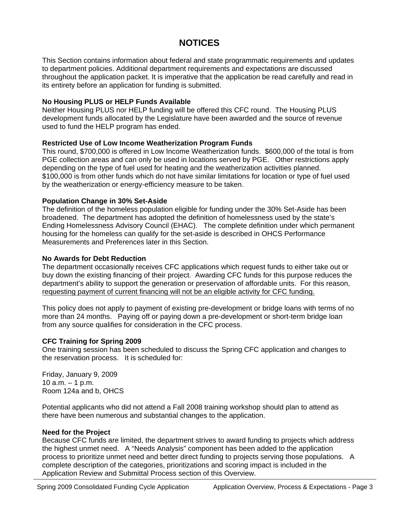# **NOTICES**

This Section contains information about federal and state programmatic requirements and updates to department policies. Additional department requirements and expectations are discussed throughout the application packet. It is imperative that the application be read carefully and read in its entirety before an application for funding is submitted.

# **No Housing PLUS or HELP Funds Available**

Neither Housing PLUS nor HELP funding will be offered this CFC round. The Housing PLUS development funds allocated by the Legislature have been awarded and the source of revenue used to fund the HELP program has ended.

# **Restricted Use of Low Income Weatherization Program Funds**

This round, \$700,000 is offered in Low Income Weatherization funds. \$600,000 of the total is from PGE collection areas and can only be used in locations served by PGE. Other restrictions apply depending on the type of fuel used for heating and the weatherization activities planned. \$100,000 is from other funds which do not have similar limitations for location or type of fuel used by the weatherization or energy-efficiency measure to be taken.

# **Population Change in 30% Set-Aside**

The definition of the homeless population eligible for funding under the 30% Set-Aside has been broadened. The department has adopted the definition of homelessness used by the state's Ending Homelessness Advisory Council (EHAC). The complete definition under which permanent housing for the homeless can qualify for the set-aside is described in OHCS Performance Measurements and Preferences later in this Section.

# **No Awards for Debt Reduction**

The department occasionally receives CFC applications which request funds to either take out or buy down the existing financing of their project. Awarding CFC funds for this purpose reduces the department's ability to support the generation or preservation of affordable units. For this reason, requesting payment of current financing will not be an eligible activity for CFC funding.

This policy does not apply to payment of existing pre-development or bridge loans with terms of no more than 24 months. Paying off or paying down a pre-development or short-term bridge loan from any source qualifies for consideration in the CFC process.

# **CFC Training for Spring 2009**

One training session has been scheduled to discuss the Spring CFC application and changes to the reservation process. It is scheduled for:

Friday, January 9, 2009  $10$  a.m.  $-1$  p.m. Room 124a and b, OHCS

Potential applicants who did not attend a Fall 2008 training workshop should plan to attend as there have been numerous and substantial changes to the application.

# **Need for the Project**

Because CFC funds are limited, the department strives to award funding to projects which address the highest unmet need. A "Needs Analysis" component has been added to the application process to prioritize unmet need and better direct funding to projects serving those populations. A complete description of the categories, prioritizations and scoring impact is included in the Application Review and Submittal Process section of this Overview.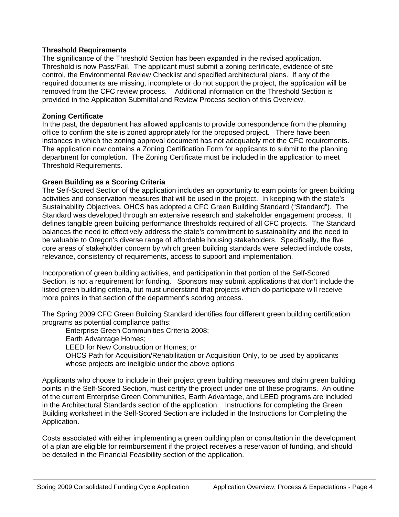# **Threshold Requirements**

The significance of the Threshold Section has been expanded in the revised application. Threshold is now Pass/Fail. The applicant must submit a zoning certificate, evidence of site control, the Environmental Review Checklist and specified architectural plans. If any of the required documents are missing, incomplete or do not support the project, the application will be removed from the CFC review process. Additional information on the Threshold Section is provided in the Application Submittal and Review Process section of this Overview.

# **Zoning Certificate**

In the past, the department has allowed applicants to provide correspondence from the planning office to confirm the site is zoned appropriately for the proposed project. There have been instances in which the zoning approval document has not adequately met the CFC requirements. The application now contains a Zoning Certification Form for applicants to submit to the planning department for completion. The Zoning Certificate must be included in the application to meet Threshold Requirements.

# **Green Building as a Scoring Criteria**

The Self-Scored Section of the application includes an opportunity to earn points for green building activities and conservation measures that will be used in the project. In keeping with the state's Sustainability Objectives, OHCS has adopted a CFC Green Building Standard ("Standard"). The Standard was developed through an extensive research and stakeholder engagement process. It defines tangible green building performance thresholds required of all CFC projects. The Standard balances the need to effectively address the state's commitment to sustainability and the need to be valuable to Oregon's diverse range of affordable housing stakeholders. Specifically, the five core areas of stakeholder concern by which green building standards were selected include costs, relevance, consistency of requirements, access to support and implementation.

Incorporation of green building activities, and participation in that portion of the Self-Scored Section, is not a requirement for funding. Sponsors may submit applications that don't include the listed green building criteria, but must understand that projects which do participate will receive more points in that section of the department's scoring process.

The Spring 2009 CFC Green Building Standard identifies four different green building certification programs as potential compliance paths:

Enterprise Green Communities Criteria 2008;

Earth Advantage Homes;

LEED for New Construction or Homes; or

OHCS Path for Acquisition/Rehabilitation or Acquisition Only, to be used by applicants whose projects are ineligible under the above options

Applicants who choose to include in their project green building measures and claim green building points in the Self-Scored Section, must certify the project under one of these programs. An outline of the current Enterprise Green Communities, Earth Advantage, and LEED programs are included in the Architectural Standards section of the application. Instructions for completing the Green Building worksheet in the Self-Scored Section are included in the Instructions for Completing the Application.

Costs associated with either implementing a green building plan or consultation in the development of a plan are eligible for reimbursement if the project receives a reservation of funding, and should be detailed in the Financial Feasibility section of the application.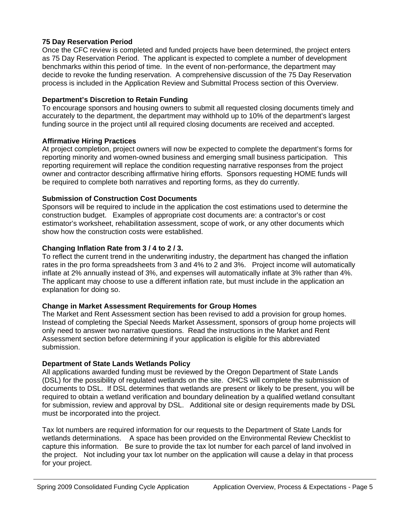# **75 Day Reservation Period**

Once the CFC review is completed and funded projects have been determined, the project enters as 75 Day Reservation Period. The applicant is expected to complete a number of development benchmarks within this period of time. In the event of non-performance, the department may decide to revoke the funding reservation. A comprehensive discussion of the 75 Day Reservation process is included in the Application Review and Submittal Process section of this Overview.

# **Department's Discretion to Retain Funding**

To encourage sponsors and housing owners to submit all requested closing documents timely and accurately to the department, the department may withhold up to 10% of the department's largest funding source in the project until all required closing documents are received and accepted.

# **Affirmative Hiring Practices**

At project completion, project owners will now be expected to complete the department's forms for reporting minority and women-owned business and emerging small business participation. This reporting requirement will replace the condition requesting narrative responses from the project owner and contractor describing affirmative hiring efforts. Sponsors requesting HOME funds will be required to complete both narratives and reporting forms, as they do currently.

# **Submission of Construction Cost Documents**

Sponsors will be required to include in the application the cost estimations used to determine the construction budget. Examples of appropriate cost documents are: a contractor's or cost estimator's worksheet, rehabilitation assessment, scope of work, or any other documents which show how the construction costs were established.

# **Changing Inflation Rate from 3 / 4 to 2 / 3.**

To reflect the current trend in the underwriting industry, the department has changed the inflation rates in the pro forma spreadsheets from 3 and 4% to 2 and 3%. Project income will automatically inflate at 2% annually instead of 3%, and expenses will automatically inflate at 3% rather than 4%. The applicant may choose to use a different inflation rate, but must include in the application an explanation for doing so.

# **Change in Market Assessment Requirements for Group Homes**

The Market and Rent Assessment section has been revised to add a provision for group homes. Instead of completing the Special Needs Market Assessment, sponsors of group home projects will only need to answer two narrative questions. Read the instructions in the Market and Rent Assessment section before determining if your application is eligible for this abbreviated submission.

# **Department of State Lands Wetlands Policy**

All applications awarded funding must be reviewed by the Oregon Department of State Lands (DSL) for the possibility of regulated wetlands on the site. OHCS will complete the submission of documents to DSL. If DSL determines that wetlands are present or likely to be present, you will be required to obtain a wetland verification and boundary delineation by a qualified wetland consultant for submission, review and approval by DSL. Additional site or design requirements made by DSL must be incorporated into the project.

Tax lot numbers are required information for our requests to the Department of State Lands for wetlands determinations. A space has been provided on the Environmental Review Checklist to capture this information. Be sure to provide the tax lot number for each parcel of land involved in the project. Not including your tax lot number on the application will cause a delay in that process for your project.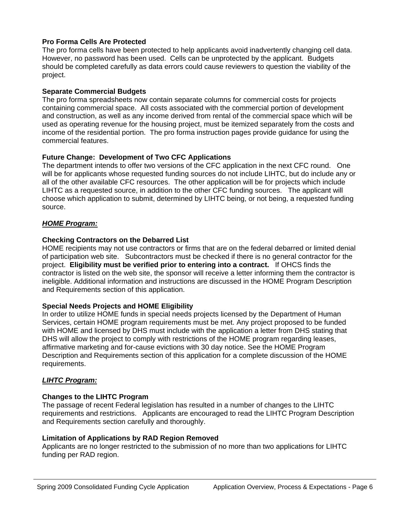# **Pro Forma Cells Are Protected**

The pro forma cells have been protected to help applicants avoid inadvertently changing cell data. However, no password has been used. Cells can be unprotected by the applicant. Budgets should be completed carefully as data errors could cause reviewers to question the viability of the project.

# **Separate Commercial Budgets**

The pro forma spreadsheets now contain separate columns for commercial costs for projects containing commercial space. All costs associated with the commercial portion of development and construction, as well as any income derived from rental of the commercial space which will be used as operating revenue for the housing project, must be itemized separately from the costs and income of the residential portion. The pro forma instruction pages provide guidance for using the commercial features.

# **Future Change: Development of Two CFC Applications**

The department intends to offer two versions of the CFC application in the next CFC round. One will be for applicants whose requested funding sources do not include LIHTC, but do include any or all of the other available CFC resources. The other application will be for projects which include LIHTC as a requested source, in addition to the other CFC funding sources. The applicant will choose which application to submit, determined by LIHTC being, or not being, a requested funding source.

# *HOME Program:*

# **Checking Contractors on the Debarred List**

HOME recipients may not use contractors or firms that are on the federal debarred or limited denial of participation web site. Subcontractors must be checked if there is no general contractor for the project. **Eligibility must be verified prior to entering into a contract.** If OHCS finds the contractor is listed on the web site, the sponsor will receive a letter informing them the contractor is ineligible. Additional information and instructions are discussed in the HOME Program Description and Requirements section of this application.

# **Special Needs Projects and HOME Eligibility**

In order to utilize HOME funds in special needs projects licensed by the Department of Human Services, certain HOME program requirements must be met. Any project proposed to be funded with HOME and licensed by DHS must include with the application a letter from DHS stating that DHS will allow the project to comply with restrictions of the HOME program regarding leases, affirmative marketing and for-cause evictions with 30 day notice. See the HOME Program Description and Requirements section of this application for a complete discussion of the HOME requirements.

# *LIHTC Program:*

# **Changes to the LIHTC Program**

The passage of recent Federal legislation has resulted in a number of changes to the LIHTC requirements and restrictions. Applicants are encouraged to read the LIHTC Program Description and Requirements section carefully and thoroughly.

# **Limitation of Applications by RAD Region Removed**

Applicants are no longer restricted to the submission of no more than two applications for LIHTC funding per RAD region.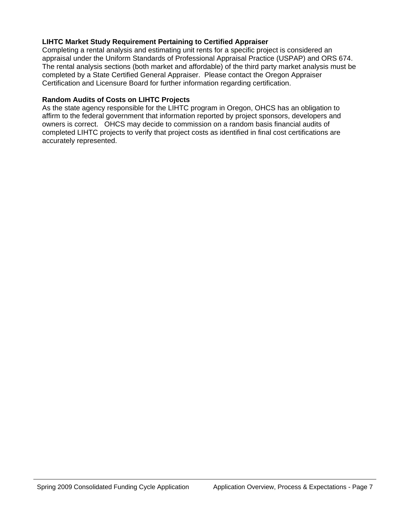# **LIHTC Market Study Requirement Pertaining to Certified Appraiser**

Completing a rental analysis and estimating unit rents for a specific project is considered an appraisal under the Uniform Standards of Professional Appraisal Practice (USPAP) and ORS 674. The rental analysis sections (both market and affordable) of the third party market analysis must be completed by a State Certified General Appraiser. Please contact the Oregon Appraiser Certification and Licensure Board for further information regarding certification.

# **Random Audits of Costs on LIHTC Projects**

As the state agency responsible for the LIHTC program in Oregon, OHCS has an obligation to affirm to the federal government that information reported by project sponsors, developers and owners is correct. OHCS may decide to commission on a random basis financial audits of completed LIHTC projects to verify that project costs as identified in final cost certifications are accurately represented.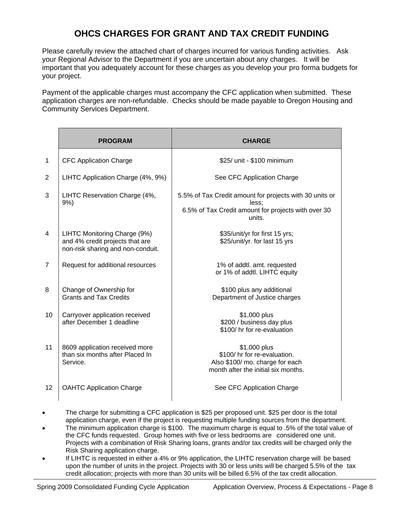# **OHCS CHARGES FOR GRANT AND TAX CREDIT FUNDING**

Please carefully review the attached chart of charges incurred for various funding activities. Ask your Regional Advisor to the Department if you are uncertain about any charges. It will be important that you adequately account for these charges as you develop your pro forma budgets for your project.

Payment of the applicable charges must accompany the CFC application when submitted. These application charges are non-refundable. Checks should be made payable to Oregon Housing and Community Services Department.

|                | <b>PROGRAM</b>                                                                                       | <b>CHARGE</b>                                                                                                                     |
|----------------|------------------------------------------------------------------------------------------------------|-----------------------------------------------------------------------------------------------------------------------------------|
| $\mathbf{1}$   | <b>CFC Application Charge</b>                                                                        | \$25/ unit - \$100 minimum                                                                                                        |
| 2              | LIHTC Application Charge (4%, 9%)                                                                    | See CFC Application Charge                                                                                                        |
| 3              | LIHTC Reservation Charge (4%,<br>$9%$ )                                                              | 5.5% of Tax Credit amount for projects with 30 units or<br>less:<br>6.5% of Tax Credit amount for projects with over 30<br>units. |
| 4              | LIHTC Monitoring Charge (9%)<br>and 4% credit projects that are<br>non-risk sharing and non-conduit. | \$35/unit/yr for first 15 yrs;<br>\$25/unit/yr. for last 15 yrs                                                                   |
| $\overline{7}$ | Request for additional resources                                                                     | 1% of addtl. amt. requested<br>or 1% of addtl. LIHTC equity                                                                       |
| 8              | Change of Ownership for<br><b>Grants and Tax Credits</b>                                             | \$100 plus any additional<br>Department of Justice charges                                                                        |
| 10             | Carryover application received<br>after December 1 deadline                                          | \$1,000 plus<br>\$200 / business day plus<br>\$100/hr for re-evaluation                                                           |
| 11             | 8609 application received more<br>than six months after Placed In<br>Service.                        | \$1,000 plus<br>\$100/ hr for re-evaluation.<br>Also \$100/ mo. charge for each<br>month after the initial six months.            |
| 12             | <b>OAHTC Application Charge</b>                                                                      | See CFC Application Charge                                                                                                        |

- The charge for submitting a CFC application is \$25 per proposed unit. \$25 per door is the total application charge, even if the project is requesting multiple funding sources from the department.
- The minimum application charge is \$100. The maximum charge is equal to .5% of the total value of the CFC funds requested. Group homes with five or less bedrooms are considered one unit. Projects with a combination of Risk Sharing loans, grants and/or tax credits will be charged only the Risk Sharing application charge.
- If LIHTC is requested in either a 4% or 9% application, the LIHTC reservation charge will be based upon the number of units in the project. Projects with 30 or less units will be charged 5.5% of the tax credit allocation; projects with more than 30 units will be billed 6.5% of the tax credit allocation.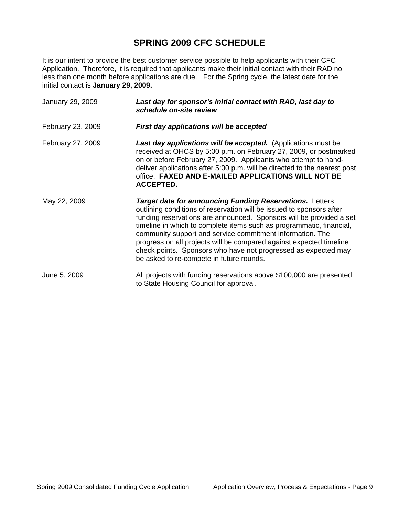# **SPRING 2009 CFC SCHEDULE**

It is our intent to provide the best customer service possible to help applicants with their CFC Application. Therefore, it is required that applicants make their initial contact with their RAD no less than one month before applications are due. For the Spring cycle, the latest date for the initial contact is **January 29, 2009.**

| January 29, 2009  | Last day for sponsor's initial contact with RAD, last day to<br>schedule on-site review                                                                                                                                                                                                                                                                                                                                                                                                                                                  |
|-------------------|------------------------------------------------------------------------------------------------------------------------------------------------------------------------------------------------------------------------------------------------------------------------------------------------------------------------------------------------------------------------------------------------------------------------------------------------------------------------------------------------------------------------------------------|
| February 23, 2009 | First day applications will be accepted                                                                                                                                                                                                                                                                                                                                                                                                                                                                                                  |
| February 27, 2009 | Last day applications will be accepted. (Applications must be<br>received at OHCS by 5:00 p.m. on February 27, 2009, or postmarked<br>on or before February 27, 2009. Applicants who attempt to hand-<br>deliver applications after 5:00 p.m. will be directed to the nearest post<br>office. FAXED AND E-MAILED APPLICATIONS WILL NOT BE<br><b>ACCEPTED.</b>                                                                                                                                                                            |
| May 22, 2009      | <b>Target date for announcing Funding Reservations.</b> Letters<br>outlining conditions of reservation will be issued to sponsors after<br>funding reservations are announced. Sponsors will be provided a set<br>timeline in which to complete items such as programmatic, financial,<br>community support and service commitment information. The<br>progress on all projects will be compared against expected timeline<br>check points. Sponsors who have not progressed as expected may<br>be asked to re-compete in future rounds. |
| June 5, 2009      | All projects with funding reservations above \$100,000 are presented<br>to State Housing Council for approval.                                                                                                                                                                                                                                                                                                                                                                                                                           |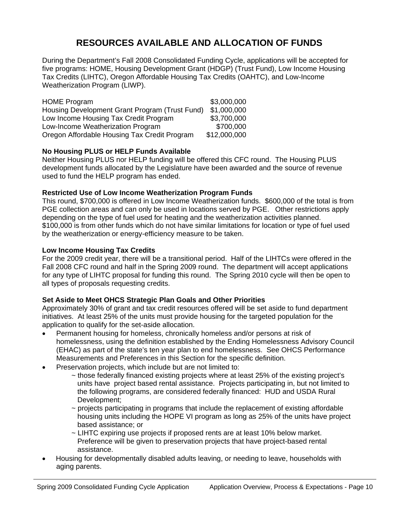# **RESOURCES AVAILABLE AND ALLOCATION OF FUNDS**

During the Department's Fall 2008 Consolidated Funding Cycle, applications will be accepted for five programs: HOME, Housing Development Grant (HDGP) (Trust Fund), Low Income Housing Tax Credits (LIHTC), Oregon Affordable Housing Tax Credits (OAHTC), and Low-Income Weatherization Program (LIWP).

| <b>HOME Program</b>                            | \$3,000,000  |
|------------------------------------------------|--------------|
| Housing Development Grant Program (Trust Fund) | \$1,000,000  |
| Low Income Housing Tax Credit Program          | \$3,700,000  |
| Low-Income Weatherization Program              | \$700,000    |
| Oregon Affordable Housing Tax Credit Program   | \$12,000,000 |

# **No Housing PLUS or HELP Funds Available**

Neither Housing PLUS nor HELP funding will be offered this CFC round. The Housing PLUS development funds allocated by the Legislature have been awarded and the source of revenue used to fund the HELP program has ended.

# **Restricted Use of Low Income Weatherization Program Funds**

This round, \$700,000 is offered in Low Income Weatherization funds. \$600,000 of the total is from PGE collection areas and can only be used in locations served by PGE. Other restrictions apply depending on the type of fuel used for heating and the weatherization activities planned. \$100,000 is from other funds which do not have similar limitations for location or type of fuel used by the weatherization or energy-efficiency measure to be taken.

# **Low Income Housing Tax Credits**

For the 2009 credit year, there will be a transitional period. Half of the LIHTCs were offered in the Fall 2008 CFC round and half in the Spring 2009 round. The department will accept applications for any type of LIHTC proposal for funding this round. The Spring 2010 cycle will then be open to all types of proposals requesting credits.

# **Set Aside to Meet OHCS Strategic Plan Goals and Other Priorities**

Approximately 30% of grant and tax credit resources offered will be set aside to fund department initiatives. At least 25% of the units must provide housing for the targeted population for the application to qualify for the set-aside allocation.

- Permanent housing for homeless, chronically homeless and/or persons at risk of homelessness, using the definition established by the Ending Homelessness Advisory Council (EHAC) as part of the state's ten year plan to end homelessness. See OHCS Performance Measurements and Preferences in this Section for the specific definition.
- Preservation projects, which include but are not limited to:
	- ~ those federally financed existing projects where at least 25% of the existing project's units have project based rental assistance. Projects participating in, but not limited to the following programs, are considered federally financed: HUD and USDA Rural Development;
	- ~ projects participating in programs that include the replacement of existing affordable housing units including the HOPE VI program as long as 25% of the units have project based assistance; or
	- ~ LIHTC expiring use projects if proposed rents are at least 10% below market. Preference will be given to preservation projects that have project-based rental assistance.
- Housing for developmentally disabled adults leaving, or needing to leave, households with aging parents.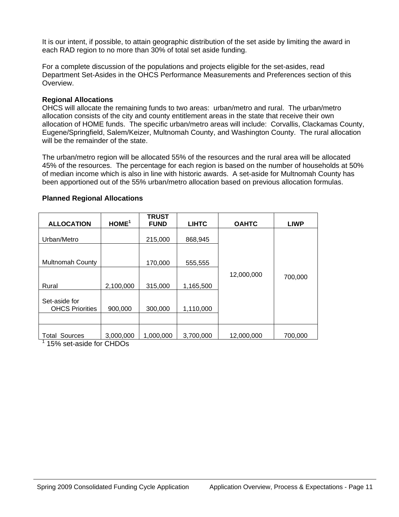It is our intent, if possible, to attain geographic distribution of the set aside by limiting the award in each RAD region to no more than 30% of total set aside funding.

For a complete discussion of the populations and projects eligible for the set-asides, read Department Set-Asides in the OHCS Performance Measurements and Preferences section of this Overview.

### **Regional Allocations**

OHCS will allocate the remaining funds to two areas: urban/metro and rural. The urban/metro allocation consists of the city and county entitlement areas in the state that receive their own allocation of HOME funds. The specific urban/metro areas will include: Corvallis, Clackamas County, Eugene/Springfield, Salem/Keizer, Multnomah County, and Washington County. The rural allocation will be the remainder of the state.

The urban/metro region will be allocated 55% of the resources and the rural area will be allocated 45% of the resources. The percentage for each region is based on the number of households at 50% of median income which is also in line with historic awards. A set-aside for Multnomah County has been apportioned out of the 55% urban/metro allocation based on previous allocation formulas.

| <b>ALLOCATION</b>                                | HOME <sup>1</sup> | <b>TRUST</b><br><b>FUND</b> | <b>LIHTC</b> | <b>OAHTC</b> | <b>LIWP</b> |  |
|--------------------------------------------------|-------------------|-----------------------------|--------------|--------------|-------------|--|
| Urban/Metro                                      |                   | 215,000                     | 868,945      |              |             |  |
| <b>Multnomah County</b>                          |                   | 170,000                     | 555,555      |              |             |  |
|                                                  |                   |                             |              | 12,000,000   |             |  |
| Rural                                            | 2,100,000         | 315,000                     | 1,165,500    |              | 700,000     |  |
| Set-aside for<br><b>OHCS Priorities</b>          | 900,000           | 300,000                     | 1,110,000    |              |             |  |
|                                                  |                   |                             |              |              |             |  |
| Sources<br>Total<br>$1.15\%$ cot-peido for CHDOs | 3,000,000         | 1,000,000                   | 3,700,000    | 12,000,000   | 700,000     |  |

#### **Planned Regional Allocations**

15% set-aside for CHDOs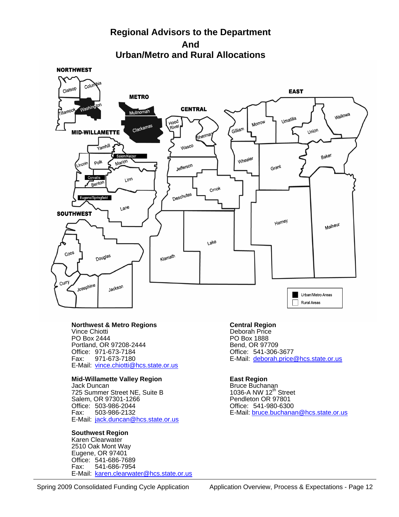# **Regional Advisors to the Department And Urban/Metro and Rural Allocations**

**NORTHWEST** 



# **Rorthwest & Metro Regions**<br>
Vince Chiotti **Central Region**<br>
Vince Chiotti **Deborah** Price

 Vince Chiotti Deborah Price Portland, OR 97208-2444<br>Office: 971-673-7184 Office: 971-673-7184 Office: 541-306-3677 E-Mail: [vince.chiotti@hcs.state.or.us](mailto:vince.chiotti@hcs.state.or.us)

# **Mid-Willamette Valley Region Fast Region Limitary Region Control Cast Region Area Control Control Control Cast Region**<br>Jack Duncan

725 Summer Street NE, Suite B 1036-A NW 12<sup>th</sup> Street Salem, OR 97301-1266 Salem, OR 97301-1266 <br>Office: 503-986-2044 Pendleton OR 97801 Office: 503-986-2044<br>Fax: 503-986-2132 E-Mail: [jack.duncan@hcs.state.or.us](mailto:jack.duncan@hcs.state.or.us)

#### **Southwest Region**

 Karen Clearwater 2510 Oak Mont Way Eugene, OR 97401 Office: 541-686-7689 Fax: 541-686-7954 E-Mail: [karen.clearwater@hcs.state.or.us](mailto:Karen.clearwater@hcs.state.or.us)

PO Box 1888<br>Bend, OR 97709 E-Mail: [deborah.price@hcs.state.or.us](mailto:deborah.price@hcs.state.or.us)

Bruce Buchanan<br>1036-A NW 12<sup>th</sup> Street E-Mail: [bruce.buchanan@hcs.state.or.us](mailto:bruce.buchanan@hcs.state.or.us)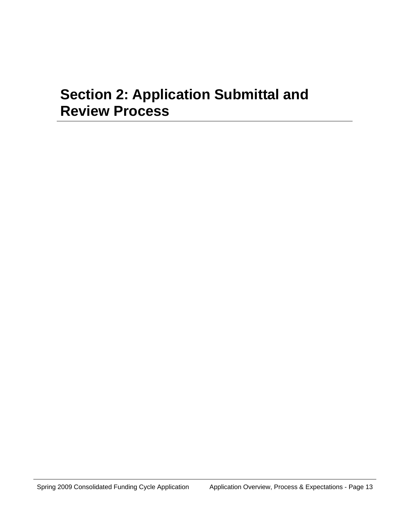# **Section 2: Application Submittal and Review Process**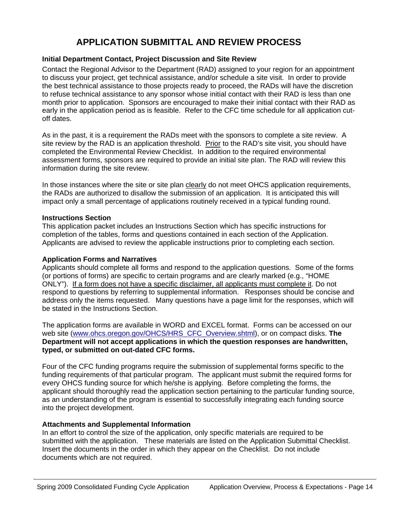# **APPLICATION SUBMITTAL AND REVIEW PROCESS**

# **Initial Department Contact, Project Discussion and Site Review**

Contact the Regional Advisor to the Department (RAD) assigned to your region for an appointment to discuss your project, get technical assistance, and/or schedule a site visit. In order to provide the best technical assistance to those projects ready to proceed, the RADs will have the discretion to refuse technical assistance to any sponsor whose initial contact with their RAD is less than one month prior to application. Sponsors are encouraged to make their initial contact with their RAD as early in the application period as is feasible. Refer to the CFC time schedule for all application cutoff dates.

As in the past, it is a requirement the RADs meet with the sponsors to complete a site review. A site review by the RAD is an application threshold. Prior to the RAD's site visit, you should have completed the Environmental Review Checklist. In addition to the required environmental assessment forms, sponsors are required to provide an initial site plan. The RAD will review this information during the site review.

In those instances where the site or site plan clearly do not meet OHCS application requirements, the RADs are authorized to disallow the submission of an application. It is anticipated this will impact only a small percentage of applications routinely received in a typical funding round.

#### **Instructions Section**

This application packet includes an Instructions Section which has specific instructions for completion of the tables, forms and questions contained in each section of the Application. Applicants are advised to review the applicable instructions prior to completing each section.

#### **Application Forms and Narratives**

Applicants should complete all forms and respond to the application questions. Some of the forms (or portions of forms) are specific to certain programs and are clearly marked (e.g., "HOME ONLY"). If a form does not have a specific disclaimer, all applicants must complete it. Do not respond to questions by referring to supplemental information. Responses should be concise and address only the items requested. Many questions have a page limit for the responses, which will be stated in the Instructions Section.

The application forms are available in WORD and EXCEL format. Forms can be accessed on our web site ([www.ohcs.oregon.gov/OHCS/HRS\\_CFC\\_Overview.shtml](http://www.ohcs.oregon.gov/OHCS/HRS_CFC_Overview.shtml)), or on compact disks. **The Department will not accept applications in which the question responses are handwritten, typed, or submitted on out-dated CFC forms.** 

Four of the CFC funding programs require the submission of supplemental forms specific to the funding requirements of that particular program. The applicant must submit the required forms for every OHCS funding source for which he/she is applying. Before completing the forms, the applicant should thoroughly read the application section pertaining to the particular funding source, as an understanding of the program is essential to successfully integrating each funding source into the project development.

# **Attachments and Supplemental Information**

In an effort to control the size of the application, only specific materials are required to be submitted with the application. These materials are listed on the Application Submittal Checklist. Insert the documents in the order in which they appear on the Checklist. Do not include documents which are not required.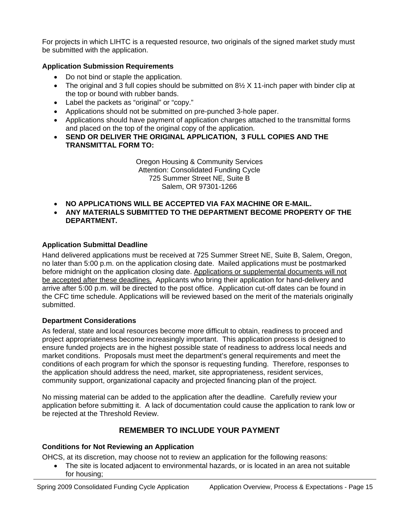For projects in which LIHTC is a requested resource, two originals of the signed market study must be submitted with the application.

# **Application Submission Requirements**

- Do not bind or staple the application.
- The original and 3 full copies should be submitted on  $8\frac{1}{2}$  X 11-inch paper with binder clip at the top or bound with rubber bands.
- Label the packets as "original" or "copy."
- Applications should not be submitted on pre-punched 3-hole paper.
- Applications should have payment of application charges attached to the transmittal forms and placed on the top of the original copy of the application.
- **SEND OR DELIVER THE ORIGINAL APPLICATION, 3 FULL COPIES AND THE TRANSMITTAL FORM TO:**

Oregon Housing & Community Services Attention: Consolidated Funding Cycle 725 Summer Street NE, Suite B Salem, OR 97301-1266

- **NO APPLICATIONS WILL BE ACCEPTED VIA FAX MACHINE OR E-MAIL.**
- **ANY MATERIALS SUBMITTED TO THE DEPARTMENT BECOME PROPERTY OF THE DEPARTMENT.**

# **Application Submittal Deadline**

Hand delivered applications must be received at 725 Summer Street NE, Suite B, Salem, Oregon, no later than 5:00 p.m. on the application closing date. Mailed applications must be postmarked before midnight on the application closing date. Applications or supplemental documents will not be accepted after these deadlines. Applicants who bring their application for hand-delivery and arrive after 5:00 p.m. will be directed to the post office. Application cut-off dates can be found in the CFC time schedule. Applications will be reviewed based on the merit of the materials originally submitted.

# **Department Considerations**

As federal, state and local resources become more difficult to obtain, readiness to proceed and project appropriateness become increasingly important. This application process is designed to ensure funded projects are in the highest possible state of readiness to address local needs and market conditions. Proposals must meet the department's general requirements and meet the conditions of each program for which the sponsor is requesting funding. Therefore, responses to the application should address the need, market, site appropriateness, resident services, community support, organizational capacity and projected financing plan of the project.

No missing material can be added to the application after the deadline. Carefully review your application before submitting it. A lack of documentation could cause the application to rank low or be rejected at the Threshold Review.

# **REMEMBER TO INCLUDE YOUR PAYMENT**

# **Conditions for Not Reviewing an Application**

OHCS, at its discretion, may choose not to review an application for the following reasons:

• The site is located adjacent to environmental hazards, or is located in an area not suitable for housing;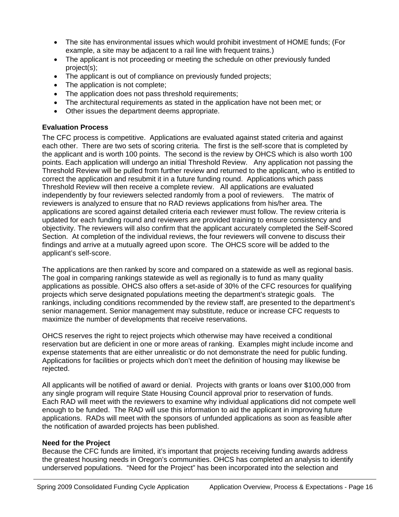- The site has environmental issues which would prohibit investment of HOME funds; (For example, a site may be adjacent to a rail line with frequent trains.)
- The applicant is not proceeding or meeting the schedule on other previously funded project(s);
- The applicant is out of compliance on previously funded projects;
- The application is not complete;
- The application does not pass threshold requirements;
- The architectural requirements as stated in the application have not been met; or
- Other issues the department deems appropriate.

# **Evaluation Process**

The CFC process is competitive. Applications are evaluated against stated criteria and against each other. There are two sets of scoring criteria. The first is the self-score that is completed by the applicant and is worth 100 points. The second is the review by OHCS which is also worth 100 points. Each application will undergo an initial Threshold Review. Any application not passing the Threshold Review will be pulled from further review and returned to the applicant, who is entitled to correct the application and resubmit it in a future funding round. Applications which pass Threshold Review will then receive a complete review. All applications are evaluated independently by four reviewers selected randomly from a pool of reviewers. The matrix of reviewers is analyzed to ensure that no RAD reviews applications from his/her area. The applications are scored against detailed criteria each reviewer must follow. The review criteria is updated for each funding round and reviewers are provided training to ensure consistency and objectivity. The reviewers will also confirm that the applicant accurately completed the Self-Scored Section. At completion of the individual reviews, the four reviewers will convene to discuss their findings and arrive at a mutually agreed upon score. The OHCS score will be added to the applicant's self-score.

The applications are then ranked by score and compared on a statewide as well as regional basis. The goal in comparing rankings statewide as well as regionally is to fund as many quality applications as possible. OHCS also offers a set-aside of 30% of the CFC resources for qualifying projects which serve designated populations meeting the department's strategic goals. The rankings, including conditions recommended by the review staff, are presented to the department's senior management. Senior management may substitute, reduce or increase CFC requests to maximize the number of developments that receive reservations.

OHCS reserves the right to reject projects which otherwise may have received a conditional reservation but are deficient in one or more areas of ranking. Examples might include income and expense statements that are either unrealistic or do not demonstrate the need for public funding. Applications for facilities or projects which don't meet the definition of housing may likewise be rejected.

All applicants will be notified of award or denial. Projects with grants or loans over \$100,000 from any single program will require State Housing Council approval prior to reservation of funds. Each RAD will meet with the reviewers to examine why individual applications did not compete well enough to be funded. The RAD will use this information to aid the applicant in improving future applications. RADs will meet with the sponsors of unfunded applications as soon as feasible after the notification of awarded projects has been published.

# **Need for the Project**

Because the CFC funds are limited, it's important that projects receiving funding awards address the greatest housing needs in Oregon's communities. OHCS has completed an analysis to identify underserved populations. "Need for the Project" has been incorporated into the selection and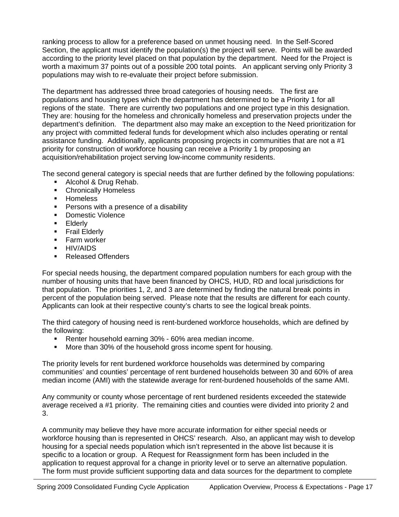ranking process to allow for a preference based on unmet housing need. In the Self-Scored Section, the applicant must identify the population(s) the project will serve. Points will be awarded according to the priority level placed on that population by the department. Need for the Project is worth a maximum 37 points out of a possible 200 total points. An applicant serving only Priority 3 populations may wish to re-evaluate their project before submission.

The department has addressed three broad categories of housing needs. The first are populations and housing types which the department has determined to be a Priority 1 for all regions of the state. There are currently two populations and one project type in this designation. They are: housing for the homeless and chronically homeless and preservation projects under the department's definition. The department also may make an exception to the Need prioritization for any project with committed federal funds for development which also includes operating or rental assistance funding. Additionally, applicants proposing projects in communities that are not a #1 priority for construction of workforce housing can receive a Priority 1 by proposing an acquisition/rehabilitation project serving low-income community residents.

The second general category is special needs that are further defined by the following populations:

- Alcohol & Drug Rehab.
- **•** Chronically Homeless
- **Homeless**
- **Persons with a presence of a disability**
- **•** Domestic Violence
- **Elderly**
- **Frail Elderly**
- **Farm worker**
- **HIV/AIDS**
- Released Offenders

For special needs housing, the department compared population numbers for each group with the number of housing units that have been financed by OHCS, HUD, RD and local jurisdictions for that population. The priorities 1, 2, and 3 are determined by finding the natural break points in percent of the population being served. Please note that the results are different for each county. Applicants can look at their respective county's charts to see the logical break points.

The third category of housing need is rent-burdened workforce households, which are defined by the following:

- Renter household earning 30% 60% area median income.
- **More than 30% of the household gross income spent for housing.**

The priority levels for rent burdened workforce households was determined by comparing communities' and counties' percentage of rent burdened households between 30 and 60% of area median income (AMI) with the statewide average for rent-burdened households of the same AMI.

Any community or county whose percentage of rent burdened residents exceeded the statewide average received a #1 priority. The remaining cities and counties were divided into priority 2 and 3.

A community may believe they have more accurate information for either special needs or workforce housing than is represented in OHCS' research. Also, an applicant may wish to develop housing for a special needs population which isn't represented in the above list because it is specific to a location or group. A Request for Reassignment form has been included in the application to request approval for a change in priority level or to serve an alternative population. The form must provide sufficient supporting data and data sources for the department to complete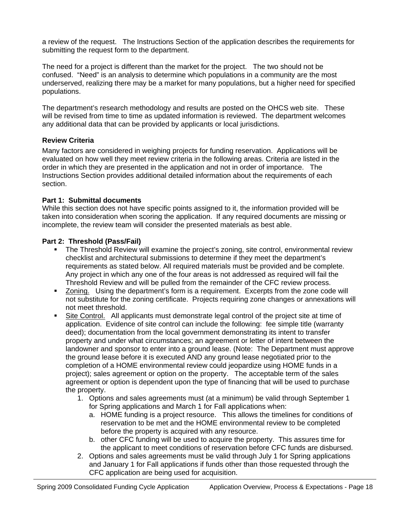a review of the request. The Instructions Section of the application describes the requirements for submitting the request form to the department.

The need for a project is different than the market for the project. The two should not be confused. "Need" is an analysis to determine which populations in a community are the most underserved, realizing there may be a market for many populations, but a higher need for specified populations.

The department's research methodology and results are posted on the OHCS web site. These will be revised from time to time as updated information is reviewed. The department welcomes any additional data that can be provided by applicants or local jurisdictions.

# **Review Criteria**

Many factors are considered in weighing projects for funding reservation. Applications will be evaluated on how well they meet review criteria in the following areas. Criteria are listed in the order in which they are presented in the application and not in order of importance. The Instructions Section provides additional detailed information about the requirements of each section.

# **Part 1: Submittal documents**

While this section does not have specific points assigned to it, the information provided will be taken into consideration when scoring the application. If any required documents are missing or incomplete, the review team will consider the presented materials as best able.

# **Part 2: Threshold (Pass/Fail)**

- **The Threshold Review will examine the project's zoning, site control, environmental review** checklist and architectural submissions to determine if they meet the department's requirements as stated below. All required materials must be provided and be complete. Any project in which any one of the four areas is not addressed as required will fail the Threshold Review and will be pulled from the remainder of the CFC review process.
- Zoning. Using the department's form is a requirement. Excerpts from the zone code will not substitute for the zoning certificate. Projects requiring zone changes or annexations will not meet threshold.
- Site Control. All applicants must demonstrate legal control of the project site at time of application. Evidence of site control can include the following: fee simple title (warranty deed); documentation from the local government demonstrating its intent to transfer property and under what circumstances; an agreement or letter of intent between the landowner and sponsor to enter into a ground lease. (Note: The Department must approve the ground lease before it is executed AND any ground lease negotiated prior to the completion of a HOME environmental review could jeopardize using HOME funds in a project); sales agreement or option on the property. The acceptable term of the sales agreement or option is dependent upon the type of financing that will be used to purchase the property.
	- 1. Options and sales agreements must (at a minimum) be valid through September 1 for Spring applications and March 1 for Fall applications when:
		- a. HOME funding is a project resource. This allows the timelines for conditions of reservation to be met and the HOME environmental review to be completed before the property is acquired with any resource.
		- b. other CFC funding will be used to acquire the property. This assures time for the applicant to meet conditions of reservation before CFC funds are disbursed.
	- 2. Options and sales agreements must be valid through July 1 for Spring applications and January 1 for Fall applications if funds other than those requested through the CFC application are being used for acquisition.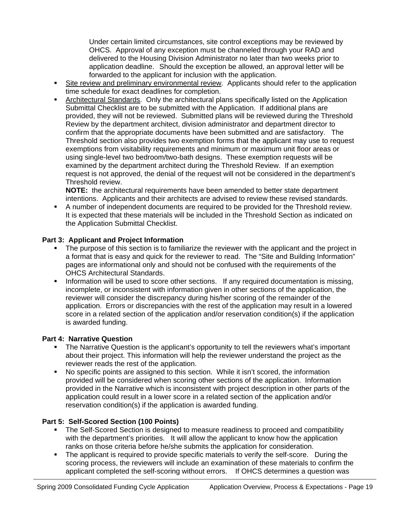Under certain limited circumstances, site control exceptions may be reviewed by OHCS. Approval of any exception must be channeled through your RAD and delivered to the Housing Division Administrator no later than two weeks prior to application deadline. Should the exception be allowed, an approval letter will be forwarded to the applicant for inclusion with the application.

- Site review and preliminary environmental review. Applicants should refer to the application time schedule for exact deadlines for completion.
- Architectural Standards. Only the architectural plans specifically listed on the Application Submittal Checklist are to be submitted with the Application. If additional plans are provided, they will not be reviewed. Submitted plans will be reviewed during the Threshold Review by the department architect, division administrator and department director to confirm that the appropriate documents have been submitted and are satisfactory. The Threshold section also provides two exemption forms that the applicant may use to request exemptions from visitability requirements and minimum or maximum unit floor areas or using single-level two bedroom/two-bath designs. These exemption requests will be examined by the department architect during the Threshold Review. If an exemption request is not approved, the denial of the request will not be considered in the department's Threshold review.

**NOTE:** the architectural requirements have been amended to better state department intentions. Applicants and their architects are advised to review these revised standards.

 A number of independent documents are required to be provided for the Threshold review. It is expected that these materials will be included in the Threshold Section as indicated on the Application Submittal Checklist.

# **Part 3: Applicant and Project Information**

- The purpose of this section is to familiarize the reviewer with the applicant and the project in a format that is easy and quick for the reviewer to read. The "Site and Building Information" pages are informational only and should not be confused with the requirements of the OHCS Architectural Standards.
- **Information will be used to score other sections.** If any required documentation is missing, incomplete, or inconsistent with information given in other sections of the application, the reviewer will consider the discrepancy during his/her scoring of the remainder of the application. Errors or discrepancies with the rest of the application may result in a lowered score in a related section of the application and/or reservation condition(s) if the application is awarded funding.

# **Part 4: Narrative Question**

- The Narrative Question is the applicant's opportunity to tell the reviewers what's important about their project. This information will help the reviewer understand the project as the reviewer reads the rest of the application.
- No specific points are assigned to this section. While it isn't scored, the information provided will be considered when scoring other sections of the application. Information provided in the Narrative which is inconsistent with project description in other parts of the application could result in a lower score in a related section of the application and/or reservation condition(s) if the application is awarded funding.

# **Part 5: Self-Scored Section (100 Points)**

- The Self-Scored Section is designed to measure readiness to proceed and compatibility with the department's priorities. It will allow the applicant to know how the application ranks on those criteria before he/she submits the application for consideration.
- The applicant is required to provide specific materials to verify the self-score. During the scoring process, the reviewers will include an examination of these materials to confirm the applicant completed the self-scoring without errors. If OHCS determines a question was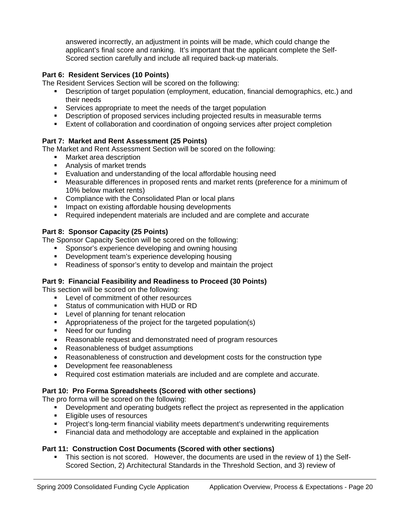answered incorrectly, an adjustment in points will be made, which could change the applicant's final score and ranking. It's important that the applicant complete the Self-Scored section carefully and include all required back-up materials.

# **Part 6: Resident Services (10 Points)**

The Resident Services Section will be scored on the following:

- Description of target population (employment, education, financial demographics, etc.) and their needs
- Services appropriate to meet the needs of the target population
- Description of proposed services including projected results in measurable terms
- Extent of collaboration and coordination of ongoing services after project completion

# **Part 7: Market and Rent Assessment (25 Points)**

The Market and Rent Assessment Section will be scored on the following:

- **Narket area description**
- **Analysis of market trends**
- Evaluation and understanding of the local affordable housing need
- Measurable differences in proposed rents and market rents (preference for a minimum of 10% below market rents)
- **EXECOMPLEAN CONSOL** Compliance with the Consolidated Plan or local plans
- **IMPACT ON EXISTING AFFORM INCOCO EXISTED** Impact on existing affordable housing developments
- Required independent materials are included and are complete and accurate

# **Part 8: Sponsor Capacity (25 Points)**

The Sponsor Capacity Section will be scored on the following:

- **Sponsor's experience developing and owning housing**
- Development team's experience developing housing
- Readiness of sponsor's entity to develop and maintain the project

# **Part 9: Financial Feasibility and Readiness to Proceed (30 Points)**

This section will be scored on the following:

- **Level of commitment of other resources**
- **Status of communication with HUD or RD**
- **Level of planning for tenant relocation**
- **Appropriateness of the project for the targeted population(s)**
- Need for our funding
- Reasonable request and demonstrated need of program resources
- Reasonableness of budget assumptions
- Reasonableness of construction and development costs for the construction type
- Development fee reasonableness
- Required cost estimation materials are included and are complete and accurate.

# **Part 10: Pro Forma Spreadsheets (Scored with other sections)**

The pro forma will be scored on the following:

- Development and operating budgets reflect the project as represented in the application
- **Eligible uses of resources**
- **Project's long-term financial viability meets department's underwriting requirements**
- Financial data and methodology are acceptable and explained in the application

# **Part 11: Construction Cost Documents (Scored with other sections)**

 This section is not scored. However, the documents are used in the review of 1) the Self-Scored Section, 2) Architectural Standards in the Threshold Section, and 3) review of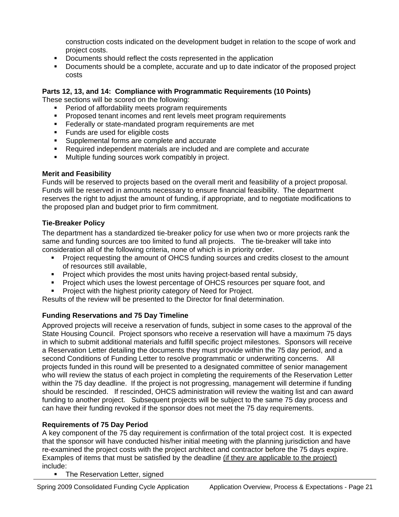construction costs indicated on the development budget in relation to the scope of work and project costs.

- Documents should reflect the costs represented in the application
- Documents should be a complete, accurate and up to date indicator of the proposed project costs

# **Parts 12, 13, and 14: Compliance with Programmatic Requirements (10 Points)**

These sections will be scored on the following:

- Period of affordability meets program requirements
- **Proposed tenant incomes and rent levels meet program requirements**
- **Federally or state-mandated program requirements are met**
- Funds are used for eligible costs
- **Supplemental forms are complete and accurate**
- Required independent materials are included and are complete and accurate
- **Multiple funding sources work compatibly in project.**

# **Merit and Feasibility**

Funds will be reserved to projects based on the overall merit and feasibility of a project proposal. Funds will be reserved in amounts necessary to ensure financial feasibility. The department reserves the right to adjust the amount of funding, if appropriate, and to negotiate modifications to the proposed plan and budget prior to firm commitment.

# **Tie-Breaker Policy**

The department has a standardized tie-breaker policy for use when two or more projects rank the same and funding sources are too limited to fund all projects. The tie-breaker will take into consideration all of the following criteria, none of which is in priority order.

- Project requesting the amount of OHCS funding sources and credits closest to the amount of resources still available,
- **Project which provides the most units having project-based rental subsidy,**
- **Project which uses the lowest percentage of OHCS resources per square foot, and**
- Project with the highest priority category of Need for Project.

Results of the review will be presented to the Director for final determination.

# **Funding Reservations and 75 Day Timeline**

Approved projects will receive a reservation of funds, subject in some cases to the approval of the State Housing Council. Project sponsors who receive a reservation will have a maximum 75 days in which to submit additional materials and fulfill specific project milestones. Sponsors will receive a Reservation Letter detailing the documents they must provide within the 75 day period, and a second Conditions of Funding Letter to resolve programmatic or underwriting concerns. All projects funded in this round will be presented to a designated committee of senior management who will review the status of each project in completing the requirements of the Reservation Letter within the 75 day deadline. If the project is not progressing, management will determine if funding should be rescinded. If rescinded, OHCS administration will review the waiting list and can award funding to another project. Subsequent projects will be subject to the same 75 day process and can have their funding revoked if the sponsor does not meet the 75 day requirements.

# **Requirements of 75 Day Period**

A key component of the 75 day requirement is confirmation of the total project cost. It is expected that the sponsor will have conducted his/her initial meeting with the planning jurisdiction and have re-examined the project costs with the project architect and contractor before the 75 days expire. Examples of items that must be satisfied by the deadline (if they are applicable to the project) include:

• The Reservation Letter, signed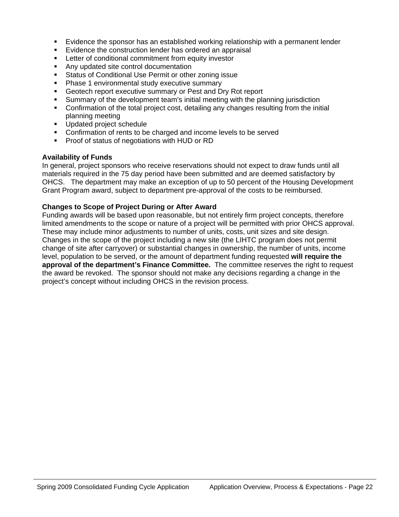- Evidence the sponsor has an established working relationship with a permanent lender
- **E** Evidence the construction lender has ordered an appraisal
- Letter of conditional commitment from equity investor
- Any updated site control documentation
- Status of Conditional Use Permit or other zoning issue
- Phase 1 environmental study executive summary
- Geotech report executive summary or Pest and Dry Rot report
- Summary of the development team's initial meeting with the planning jurisdiction
- Confirmation of the total project cost, detailing any changes resulting from the initial planning meeting
- **Updated project schedule**
- Confirmation of rents to be charged and income levels to be served
- **Proof of status of negotiations with HUD or RD**

# **Availability of Funds**

In general, project sponsors who receive reservations should not expect to draw funds until all materials required in the 75 day period have been submitted and are deemed satisfactory by OHCS. The department may make an exception of up to 50 percent of the Housing Development Grant Program award, subject to department pre-approval of the costs to be reimbursed.

# **Changes to Scope of Project During or After Award**

Funding awards will be based upon reasonable, but not entirely firm project concepts, therefore limited amendments to the scope or nature of a project will be permitted with prior OHCS approval. These may include minor adjustments to number of units, costs, unit sizes and site design. Changes in the scope of the project including a new site (the LIHTC program does not permit change of site after carryover) or substantial changes in ownership, the number of units, income level, population to be served, or the amount of department funding requested **will require the approval of the department's Finance Committee.** The committee reserves the right to request the award be revoked. The sponsor should not make any decisions regarding a change in the project's concept without including OHCS in the revision process.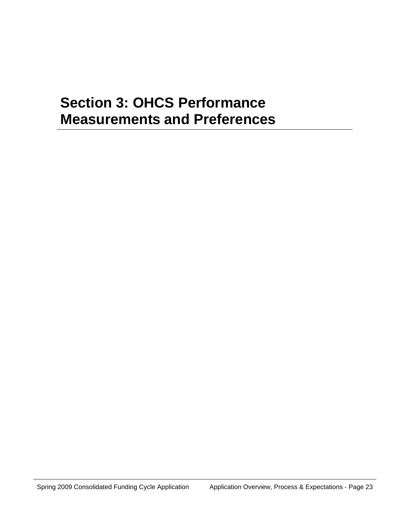# **Section 3: OHCS Performance Measurements and Preferences**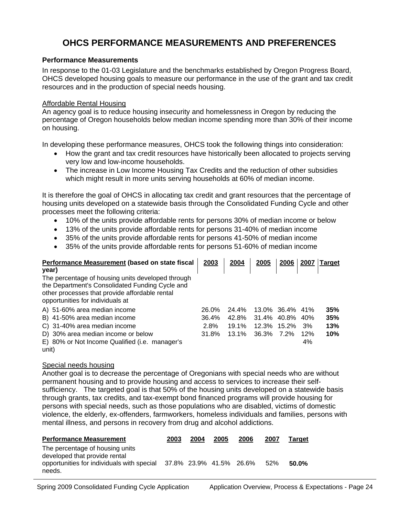# **OHCS PERFORMANCE MEASUREMENTS AND PREFERENCES**

# **Performance Measurements**

In response to the 01-03 Legislature and the benchmarks established by Oregon Progress Board, OHCS developed housing goals to measure our performance in the use of the grant and tax credit resources and in the production of special needs housing.

### Affordable Rental Housing

An agency goal is to reduce housing insecurity and homelessness in Oregon by reducing the percentage of Oregon households below median income spending more than 30% of their income on housing.

In developing these performance measures, OHCS took the following things into consideration:

- How the grant and tax credit resources have historically been allocated to projects serving very low and low-income households.
- The increase in Low Income Housing Tax Credits and the reduction of other subsidies which might result in more units serving households at 60% of median income.

It is therefore the goal of OHCS in allocating tax credit and grant resources that the percentage of housing units developed on a statewide basis through the Consolidated Funding Cycle and other processes meet the following criteria:

- 10% of the units provide affordable rents for persons 30% of median income or below
- 13% of the units provide affordable rents for persons 31-40% of median income
- 35% of the units provide affordable rents for persons 41-50% of median income
- 35% of the units provide affordable rents for persons 51-60% of median income

| Performance Measurement (based on state fiscal<br>year)                            | 2003  | 2004     | 2005  | 2006        | 2007 | <b>Target</b> |
|------------------------------------------------------------------------------------|-------|----------|-------|-------------|------|---------------|
| The percentage of housing units developed through                                  |       |          |       |             |      |               |
| the Department's Consolidated Funding Cycle and                                    |       |          |       |             |      |               |
| other processes that provide affordable rental<br>opportunities for individuals at |       |          |       |             |      |               |
| A) 51-60% area median income                                                       | 26.0% | 24.4%    |       | 13.0% 36.4% | 41%  | 35%           |
| B) 41-50% area median income                                                       | 36.4% | 42.8%    | 31.4% | 40.8%       | 40%  | 35%           |
| C) 31-40% area median income                                                       | 2.8%  | 19.1%    | 12.3% | 15.2%       | 3%   | 13%           |
| D) 30% area median income or below                                                 | 31.8% | $13.1\%$ | 36.3% | 7.2%        | 12%  | 10%           |
| E) 80% or Not Income Qualified (i.e. manager's                                     |       |          |       |             | 4%   |               |
| unit)                                                                              |       |          |       |             |      |               |

#### Special needs housing

Another goal is to decrease the percentage of Oregonians with special needs who are without permanent housing and to provide housing and access to services to increase their selfsufficiency. The targeted goal is that 50% of the housing units developed on a statewide basis through grants, tax credits, and tax-exempt bond financed programs will provide housing for persons with special needs, such as those populations who are disabled, victims of domestic violence, the elderly, ex-offenders, farmworkers, homeless individuals and families, persons with mental illness, and persons in recovery from drug and alcohol addictions.

| <b>Performance Measurement</b>                                                                                                                   | 2003 | 2004 | 2005 | 2006 | 2007 | <b>Target</b> |
|--------------------------------------------------------------------------------------------------------------------------------------------------|------|------|------|------|------|---------------|
| The percentage of housing units<br>developed that provide rental<br>opportunities for individuals with special 37.8% 23.9% 41.5% 26.6%<br>needs. |      |      |      |      | 52%  | 50.0%         |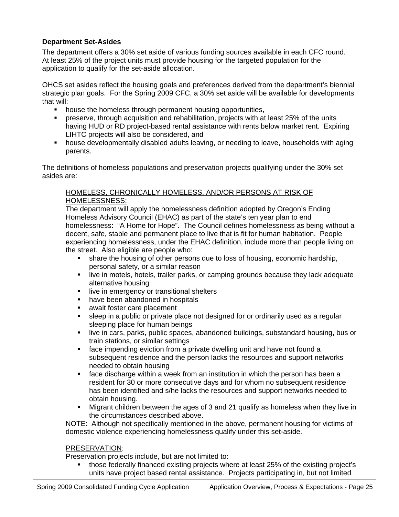# **Department Set-Asides**

The department offers a 30% set aside of various funding sources available in each CFC round. At least 25% of the project units must provide housing for the targeted population for the application to qualify for the set-aside allocation.

OHCS set asides reflect the housing goals and preferences derived from the department's biennial strategic plan goals. For the Spring 2009 CFC, a 30% set aside will be available for developments that will:

- house the homeless through permanent housing opportunities,
- preserve, through acquisition and rehabilitation, projects with at least 25% of the units having HUD or RD project-based rental assistance with rents below market rent. Expiring LIHTC projects will also be considered, and
- house developmentally disabled adults leaving, or needing to leave, households with aging parents.

The definitions of homeless populations and preservation projects qualifying under the 30% set asides are:

# HOMELESS, CHRONICALLY HOMELESS, AND/OR PERSONS AT RISK OF HOMELESSNESS:

The department will apply the homelessness definition adopted by Oregon's Ending Homeless Advisory Council (EHAC) as part of the state's ten year plan to end homelessness: "A Home for Hope". The Council defines homelessness as being without a decent, safe, stable and permanent place to live that is fit for human habitation. People experiencing homelessness, under the EHAC definition, include more than people living on the street. Also eligible are people who:

- share the housing of other persons due to loss of housing, economic hardship, personal safety, or a similar reason
- **I.** live in motels, hotels, trailer parks, or camping grounds because they lack adequate alternative housing
- live in emergency or transitional shelters
- have been abandoned in hospitals
- await foster care placement
- sleep in a public or private place not designed for or ordinarily used as a regular sleeping place for human beings
- live in cars, parks, public spaces, abandoned buildings, substandard housing, bus or train stations, or similar settings
- face impending eviction from a private dwelling unit and have not found a subsequent residence and the person lacks the resources and support networks needed to obtain housing
- **face discharge within a week from an institution in which the person has been a** resident for 30 or more consecutive days and for whom no subsequent residence has been identified and s/he lacks the resources and support networks needed to obtain housing.
- Migrant children between the ages of 3 and 21 qualify as homeless when they live in the circumstances described above.

NOTE: Although not specifically mentioned in the above, permanent housing for victims of domestic violence experiencing homelessness qualify under this set-aside.

# PRESERVATION:

Preservation projects include, but are not limited to:

 those federally financed existing projects where at least 25% of the existing project's units have project based rental assistance. Projects participating in, but not limited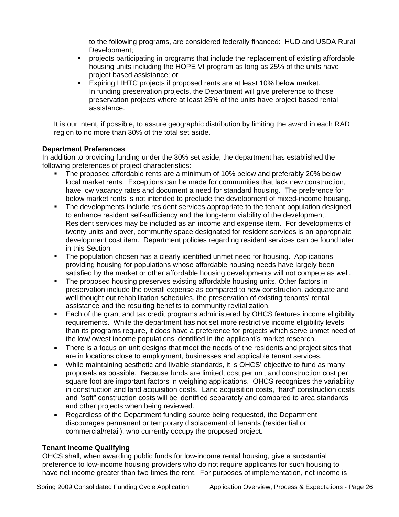to the following programs, are considered federally financed: HUD and USDA Rural Development;

- projects participating in programs that include the replacement of existing affordable housing units including the HOPE VI program as long as 25% of the units have project based assistance; or
- Expiring LIHTC projects if proposed rents are at least 10% below market. In funding preservation projects, the Department will give preference to those preservation projects where at least 25% of the units have project based rental assistance.

It is our intent, if possible, to assure geographic distribution by limiting the award in each RAD region to no more than 30% of the total set aside.

# **Department Preferences**

In addition to providing funding under the 30% set aside, the department has established the following preferences of project characteristics:

- The proposed affordable rents are a minimum of 10% below and preferably 20% below local market rents. Exceptions can be made for communities that lack new construction, have low vacancy rates and document a need for standard housing. The preference for below market rents is not intended to preclude the development of mixed-income housing.
- **The developments include resident services appropriate to the tenant population designed** to enhance resident self-sufficiency and the long-term viability of the development. Resident services may be included as an income and expense item. For developments of twenty units and over, community space designated for resident services is an appropriate development cost item. Department policies regarding resident services can be found later in this Section
- The population chosen has a clearly identified unmet need for housing. Applications providing housing for populations whose affordable housing needs have largely been satisfied by the market or other affordable housing developments will not compete as well.
- The proposed housing preserves existing affordable housing units. Other factors in preservation include the overall expense as compared to new construction, adequate and well thought out rehabilitation schedules, the preservation of existing tenants' rental assistance and the resulting benefits to community revitalization.
- Each of the grant and tax credit programs administered by OHCS features income eligibility requirements. While the department has not set more restrictive income eligibility levels than its programs require, it does have a preference for projects which serve unmet need of the low/lowest income populations identified in the applicant's market research.
- There is a focus on unit designs that meet the needs of the residents and project sites that are in locations close to employment, businesses and applicable tenant services.
- While maintaining aesthetic and livable standards, it is OHCS' objective to fund as many proposals as possible. Because funds are limited, cost per unit and construction cost per square foot are important factors in weighing applications. OHCS recognizes the variability in construction and land acquisition costs. Land acquisition costs, "hard" construction costs and "soft" construction costs will be identified separately and compared to area standards and other projects when being reviewed.
- Regardless of the Department funding source being requested, the Department discourages permanent or temporary displacement of tenants (residential or commercial/retail), who currently occupy the proposed project.

# **Tenant Income Qualifying**

OHCS shall, when awarding public funds for low-income rental housing, give a substantial preference to low-income housing providers who do not require applicants for such housing to have net income greater than two times the rent. For purposes of implementation, net income is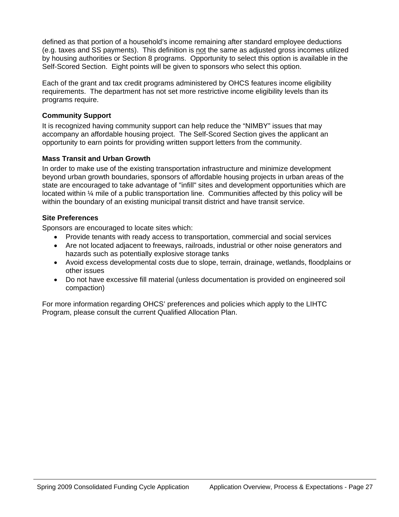defined as that portion of a household's income remaining after standard employee deductions (e.g. taxes and SS payments). This definition is not the same as adjusted gross incomes utilized by housing authorities or Section 8 programs. Opportunity to select this option is available in the Self-Scored Section. Eight points will be given to sponsors who select this option.

Each of the grant and tax credit programs administered by OHCS features income eligibility requirements. The department has not set more restrictive income eligibility levels than its programs require.

# **Community Support**

It is recognized having community support can help reduce the "NIMBY" issues that may accompany an affordable housing project. The Self-Scored Section gives the applicant an opportunity to earn points for providing written support letters from the community.

# **Mass Transit and Urban Growth**

In order to make use of the existing transportation infrastructure and minimize development beyond urban growth boundaries, sponsors of affordable housing projects in urban areas of the state are encouraged to take advantage of "infill" sites and development opportunities which are located within ¼ mile of a public transportation line. Communities affected by this policy will be within the boundary of an existing municipal transit district and have transit service.

# **Site Preferences**

Sponsors are encouraged to locate sites which:

- Provide tenants with ready access to transportation, commercial and social services
- Are not located adjacent to freeways, railroads, industrial or other noise generators and hazards such as potentially explosive storage tanks
- Avoid excess developmental costs due to slope, terrain, drainage, wetlands, floodplains or other issues
- Do not have excessive fill material (unless documentation is provided on engineered soil compaction)

For more information regarding OHCS' preferences and policies which apply to the LIHTC Program, please consult the current Qualified Allocation Plan.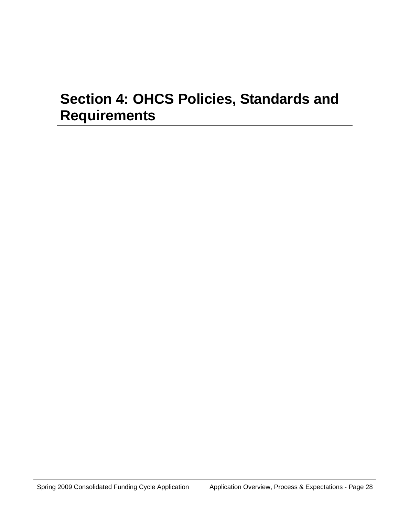# **Section 4: OHCS Policies, Standards and Requirements**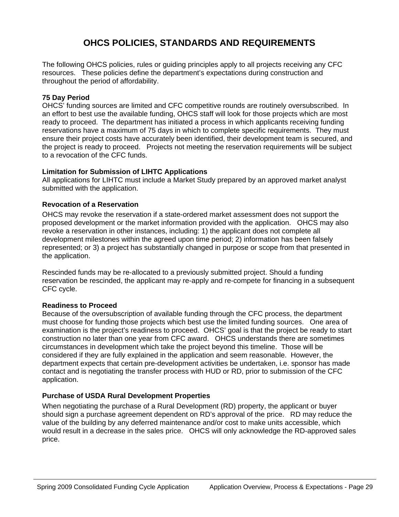# **OHCS POLICIES, STANDARDS AND REQUIREMENTS**

The following OHCS policies, rules or guiding principles apply to all projects receiving any CFC resources. These policies define the department's expectations during construction and throughout the period of affordability.

# **75 Day Period**

OHCS' funding sources are limited and CFC competitive rounds are routinely oversubscribed. In an effort to best use the available funding, OHCS staff will look for those projects which are most ready to proceed. The department has initiated a process in which applicants receiving funding reservations have a maximum of 75 days in which to complete specific requirements. They must ensure their project costs have accurately been identified, their development team is secured, and the project is ready to proceed. Projects not meeting the reservation requirements will be subject to a revocation of the CFC funds.

# **Limitation for Submission of LIHTC Applications**

All applications for LIHTC must include a Market Study prepared by an approved market analyst submitted with the application.

# **Revocation of a Reservation**

OHCS may revoke the reservation if a state-ordered market assessment does not support the proposed development or the market information provided with the application. OHCS may also revoke a reservation in other instances, including: 1) the applicant does not complete all development milestones within the agreed upon time period; 2) information has been falsely represented; or 3) a project has substantially changed in purpose or scope from that presented in the application.

Rescinded funds may be re-allocated to a previously submitted project. Should a funding reservation be rescinded, the applicant may re-apply and re-compete for financing in a subsequent CFC cycle.

# **Readiness to Proceed**

Because of the oversubscription of available funding through the CFC process, the department must choose for funding those projects which best use the limited funding sources. One area of examination is the project's readiness to proceed. OHCS' goal is that the project be ready to start construction no later than one year from CFC award. OHCS understands there are sometimes circumstances in development which take the project beyond this timeline. Those will be considered if they are fully explained in the application and seem reasonable. However, the department expects that certain pre-development activities be undertaken, i.e. sponsor has made contact and is negotiating the transfer process with HUD or RD, prior to submission of the CFC application.

# **Purchase of USDA Rural Development Properties**

When negotiating the purchase of a Rural Development (RD) property, the applicant or buyer should sign a purchase agreement dependent on RD's approval of the price. RD may reduce the value of the building by any deferred maintenance and/or cost to make units accessible, which would result in a decrease in the sales price. OHCS will only acknowledge the RD-approved sales price.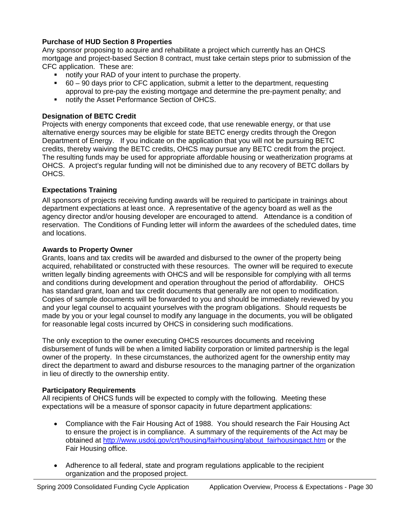# **Purchase of HUD Section 8 Properties**

Any sponsor proposing to acquire and rehabilitate a project which currently has an OHCS mortgage and project-based Section 8 contract, must take certain steps prior to submission of the CFC application. These are:

- notify your RAD of your intent to purchase the property.
- 60 90 days prior to CFC application, submit a letter to the department, requesting approval to pre-pay the existing mortgage and determine the pre-payment penalty; and
- notify the Asset Performance Section of OHCS.

# **Designation of BETC Credit**

Projects with energy components that exceed code, that use renewable energy, or that use alternative energy sources may be eligible for state BETC energy credits through the Oregon Department of Energy. If you indicate on the application that you will not be pursuing BETC credits, thereby waiving the BETC credits, OHCS may pursue any BETC credit from the project. The resulting funds may be used for appropriate affordable housing or weatherization programs at OHCS. A project's regular funding will not be diminished due to any recovery of BETC dollars by OHCS.

# **Expectations Training**

All sponsors of projects receiving funding awards will be required to participate in trainings about department expectations at least once. A representative of the agency board as well as the agency director and/or housing developer are encouraged to attend. Attendance is a condition of reservation. The Conditions of Funding letter will inform the awardees of the scheduled dates, time and locations.

#### **Awards to Property Owner**

Grants, loans and tax credits will be awarded and disbursed to the owner of the property being acquired, rehabilitated or constructed with these resources. The owner will be required to execute written legally binding agreements with OHCS and will be responsible for complying with all terms and conditions during development and operation throughout the period of affordability. OHCS has standard grant, loan and tax credit documents that generally are not open to modification. Copies of sample documents will be forwarded to you and should be immediately reviewed by you and your legal counsel to acquaint yourselves with the program obligations. Should requests be made by you or your legal counsel to modify any language in the documents, you will be obligated for reasonable legal costs incurred by OHCS in considering such modifications.

The only exception to the owner executing OHCS resources documents and receiving disbursement of funds will be when a limited liability corporation or limited partnership is the legal owner of the property. In these circumstances, the authorized agent for the ownership entity may direct the department to award and disburse resources to the managing partner of the organization in lieu of directly to the ownership entity.

# **Participatory Requirements**

All recipients of OHCS funds will be expected to comply with the following. Meeting these expectations will be a measure of sponsor capacity in future department applications:

- Compliance with the Fair Housing Act of 1988. You should research the Fair Housing Act to ensure the project is in compliance. A summary of the requirements of the Act may be obtained at [http://www.usdoj.gov/crt/housing/fairhousing/about\\_fairhousingact.htm](http://www.usdoj.gov/crt/housing/fairhousing/about_fairhousingact.htm) or the Fair Housing office.
- Adherence to all federal, state and program regulations applicable to the recipient organization and the proposed project.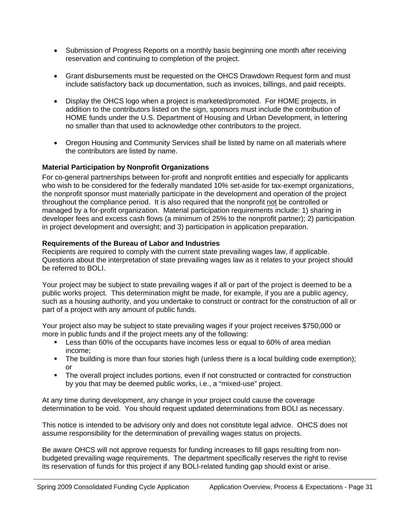- Submission of Progress Reports on a monthly basis beginning one month after receiving reservation and continuing to completion of the project.
- Grant disbursements must be requested on the OHCS Drawdown Request form and must include satisfactory back up documentation, such as invoices, billings, and paid receipts.
- Display the OHCS logo when a project is marketed/promoted. For HOME projects, in addition to the contributors listed on the sign, sponsors must include the contribution of HOME funds under the U.S. Department of Housing and Urban Development, in lettering no smaller than that used to acknowledge other contributors to the project.
- Oregon Housing and Community Services shall be listed by name on all materials where the contributors are listed by name.

# **Material Participation by Nonprofit Organizations**

For co-general partnerships between for-profit and nonprofit entities and especially for applicants who wish to be considered for the federally mandated 10% set-aside for tax-exempt organizations, the nonprofit sponsor must materially participate in the development and operation of the project throughout the compliance period. It is also required that the nonprofit not be controlled or managed by a for-profit organization. Material participation requirements include: 1) sharing in developer fees and excess cash flows (a minimum of 25% to the nonprofit partner); 2) participation in project development and oversight; and 3) participation in application preparation.

# **Requirements of the Bureau of Labor and Industries**

Recipients are required to comply with the current state prevailing wages law, if applicable. Questions about the interpretation of state prevailing wages law as it relates to your project should be referred to BOLI.

Your project may be subject to state prevailing wages if all or part of the project is deemed to be a public works project. This determination might be made, for example, if you are a public agency, such as a housing authority, and you undertake to construct or contract for the construction of all or part of a project with any amount of public funds.

Your project also may be subject to state prevailing wages if your project receives \$750,000 or more in public funds and if the project meets any of the following:

- **Less than 60% of the occupants have incomes less or equal to 60% of area median** income;
- The building is more than four stories high (unless there is a local building code exemption); or
- The overall project includes portions, even if not constructed or contracted for construction by you that may be deemed public works, i.e., a "mixed-use" project.

At any time during development, any change in your project could cause the coverage determination to be void. You should request updated determinations from BOLI as necessary.

This notice is intended to be advisory only and does not constitute legal advice. OHCS does not assume responsibility for the determination of prevailing wages status on projects.

Be aware OHCS will not approve requests for funding increases to fill gaps resulting from nonbudgeted prevailing wage requirements. The department specifically reserves the right to revise its reservation of funds for this project if any BOLI-related funding gap should exist or arise.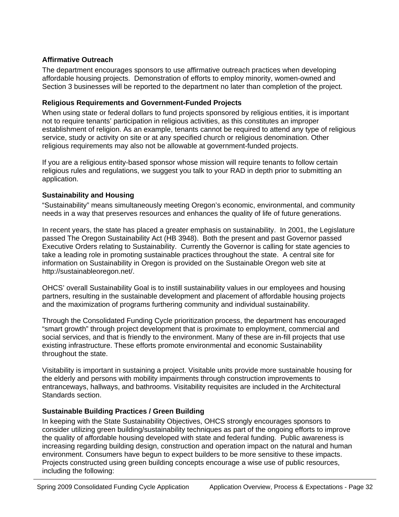## **Affirmative Outreach**

The department encourages sponsors to use affirmative outreach practices when developing affordable housing projects. Demonstration of efforts to employ minority, women-owned and Section 3 businesses will be reported to the department no later than completion of the project.

#### **Religious Requirements and Government-Funded Projects**

When using state or federal dollars to fund projects sponsored by religious entities, it is important not to require tenants' participation in religious activities, as this constitutes an improper establishment of religion. As an example, tenants cannot be required to attend any type of religious service, study or activity on site or at any specified church or religious denomination. Other religious requirements may also not be allowable at government-funded projects.

If you are a religious entity-based sponsor whose mission will require tenants to follow certain religious rules and regulations, we suggest you talk to your RAD in depth prior to submitting an application.

#### **Sustainability and Housing**

"Sustainability" means simultaneously meeting Oregon's economic, environmental, and community needs in a way that preserves resources and enhances the quality of life of future generations.

In recent years, the state has placed a greater emphasis on sustainability. In 2001, the Legislature passed The Oregon Sustainability Act (HB 3948). Both the present and past Governor passed Executive Orders relating to Sustainability. Currently the Governor is calling for state agencies to take a leading role in promoting sustainable practices throughout the state. A central site for information on Sustainability in Oregon is provided on the Sustainable Oregon web site at http://sustainableoregon.net/.

OHCS' overall Sustainability Goal is to instill sustainability values in our employees and housing partners, resulting in the sustainable development and placement of affordable housing projects and the maximization of programs furthering community and individual sustainability.

Through the Consolidated Funding Cycle prioritization process, the department has encouraged "smart growth" through project development that is proximate to employment, commercial and social services, and that is friendly to the environment. Many of these are in-fill projects that use existing infrastructure. These efforts promote environmental and economic Sustainability throughout the state.

Visitability is important in sustaining a project. Visitable units provide more sustainable housing for the elderly and persons with mobility impairments through construction improvements to entranceways, hallways, and bathrooms. Visitability requisites are included in the Architectural Standards section.

# **Sustainable Building Practices / Green Building**

In keeping with the State Sustainability Objectives, OHCS strongly encourages sponsors to consider utilizing green building/sustainability techniques as part of the ongoing efforts to improve the quality of affordable housing developed with state and federal funding. Public awareness is increasing regarding building design, construction and operation impact on the natural and human environment. Consumers have begun to expect builders to be more sensitive to these impacts. Projects constructed using green building concepts encourage a wise use of public resources, including the following: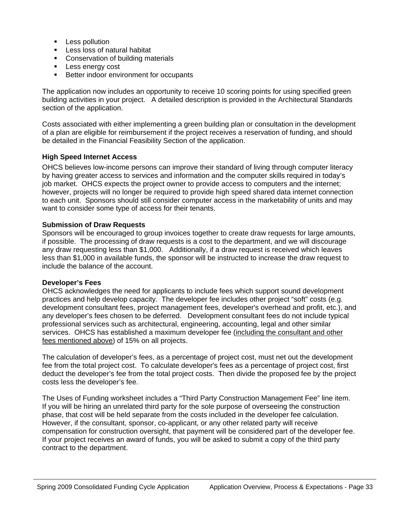- **Less pollution**
- **Less loss of natural habitat**
- Conservation of building materials
- **Less energy cost**
- Better indoor environment for occupants

The application now includes an opportunity to receive 10 scoring points for using specified green building activities in your project. A detailed description is provided in the Architectural Standards section of the application.

Costs associated with either implementing a green building plan or consultation in the development of a plan are eligible for reimbursement if the project receives a reservation of funding, and should be detailed in the Financial Feasibility Section of the application.

#### **High Speed Internet Access**

OHCS believes low-income persons can improve their standard of living through computer literacy by having greater access to services and information and the computer skills required in today's job market. OHCS expects the project owner to provide access to computers and the internet; however, projects will no longer be required to provide high speed shared data internet connection to each unit. Sponsors should still consider computer access in the marketability of units and may want to consider some type of access for their tenants.

#### **Submission of Draw Requests**

Sponsors will be encouraged to group invoices together to create draw requests for large amounts, if possible. The processing of draw requests is a cost to the department, and we will discourage any draw requesting less than \$1,000. Additionally, if a draw request is received which leaves less than \$1,000 in available funds, the sponsor will be instructed to increase the draw request to include the balance of the account.

#### **Developer's Fees**

OHCS acknowledges the need for applicants to include fees which support sound development practices and help develop capacity. The developer fee includes other project "soft" costs (e.g. development consultant fees, project management fees, developer's overhead and profit, etc.), and any developer's fees chosen to be deferred. Development consultant fees do not include typical professional services such as architectural, engineering, accounting, legal and other similar services. OHCS has established a maximum developer fee (including the consultant and other fees mentioned above) of 15% on all projects.

The calculation of developer's fees, as a percentage of project cost, must net out the development fee from the total project cost. To calculate developer's fees as a percentage of project cost, first deduct the developer's fee from the total project costs. Then divide the proposed fee by the project costs less the developer's fee.

The Uses of Funding worksheet includes a "Third Party Construction Management Fee" line item. If you will be hiring an unrelated third party for the sole purpose of overseeing the construction phase, that cost will be held separate from the costs included in the developer fee calculation. However, if the consultant, sponsor, co-applicant, or any other related party will receive compensation for construction oversight, that payment will be considered part of the developer fee. If your project receives an award of funds, you will be asked to submit a copy of the third party contract to the department.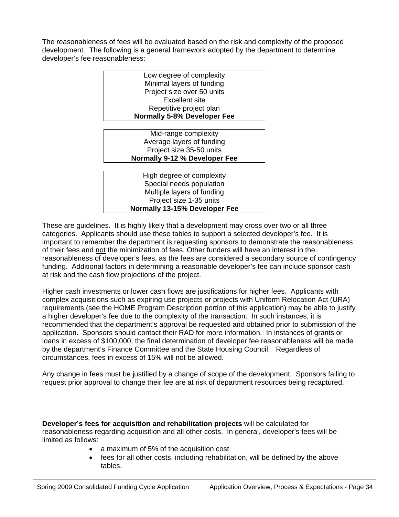The reasonableness of fees will be evaluated based on the risk and complexity of the proposed development. The following is a general framework adopted by the department to determine developer's fee reasonableness:

| Low degree of complexity             |  |  |  |  |
|--------------------------------------|--|--|--|--|
| Minimal layers of funding            |  |  |  |  |
| Project size over 50 units           |  |  |  |  |
| Excellent site                       |  |  |  |  |
| Repetitive project plan              |  |  |  |  |
| <b>Normally 5-8% Developer Fee</b>   |  |  |  |  |
|                                      |  |  |  |  |
| Mid-range complexity                 |  |  |  |  |
| Average layers of funding            |  |  |  |  |
| Project size 35-50 units             |  |  |  |  |
| Normally 9-12 % Developer Fee        |  |  |  |  |
|                                      |  |  |  |  |
| High degree of complexity            |  |  |  |  |
| Special needs population             |  |  |  |  |
| Multiple layers of funding           |  |  |  |  |
| Project size 1-35 units              |  |  |  |  |
| <b>Normally 13-15% Developer Fee</b> |  |  |  |  |

These are guidelines. It is highly likely that a development may cross over two or all three categories. Applicants should use these tables to support a selected developer's fee. It is important to remember the department is requesting sponsors to demonstrate the reasonableness of their fees and not the minimization of fees. Other funders will have an interest in the reasonableness of developer's fees, as the fees are considered a secondary source of contingency funding. Additional factors in determining a reasonable developer's fee can include sponsor cash at risk and the cash flow projections of the project.

Higher cash investments or lower cash flows are justifications for higher fees. Applicants with complex acquisitions such as expiring use projects or projects with Uniform Relocation Act (URA) requirements (see the HOME Program Description portion of this application) may be able to justify a higher developer's fee due to the complexity of the transaction. In such instances, it is recommended that the department's approval be requested and obtained prior to submission of the application. Sponsors should contact their RAD for more information. In instances of grants or loans in excess of \$100,000, the final determination of developer fee reasonableness will be made by the department's Finance Committee and the State Housing Council. Regardless of circumstances, fees in excess of 15% will not be allowed.

Any change in fees must be justified by a change of scope of the development. Sponsors failing to request prior approval to change their fee are at risk of department resources being recaptured.

**Developer's fees for acquisition and rehabilitation projects** will be calculated for reasonableness regarding acquisition and all other costs. In general, developer's fees will be limited as follows:

- a maximum of 5% of the acquisition cost
- fees for all other costs, including rehabilitation, will be defined by the above tables.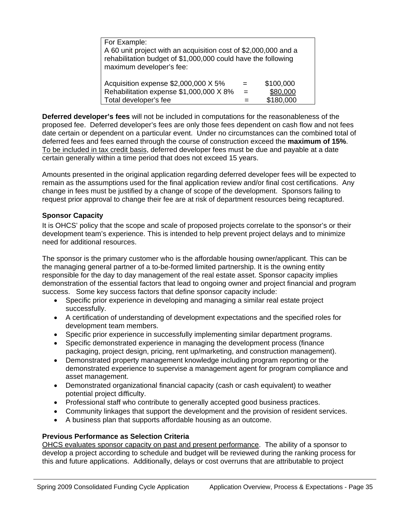| For Example:                                                                                                                                                 |     |           |  |  |
|--------------------------------------------------------------------------------------------------------------------------------------------------------------|-----|-----------|--|--|
| A 60 unit project with an acquisition cost of \$2,000,000 and a<br>rehabilitation budget of \$1,000,000 could have the following<br>maximum developer's fee: |     |           |  |  |
| Acquisition expense \$2,000,000 X 5%                                                                                                                         | $=$ | \$100,000 |  |  |
| Rehabilitation expense \$1,000,000 X 8%                                                                                                                      | $=$ | \$80,000  |  |  |
| Total developer's fee                                                                                                                                        |     | \$180,000 |  |  |

**Deferred developer's fees** will not be included in computations for the reasonableness of the proposed fee.Deferred developer's fees are only those fees dependent on cash flow and not fees date certain or dependent on a particular event. Under no circumstances can the combined total of deferred fees and fees earned through the course of construction exceed the **maximum of 15%**. To be included in tax credit basis, deferred developer fees must be due and payable at a date certain generally within a time period that does not exceed 15 years.

Amounts presented in the original application regarding deferred developer fees will be expected to remain as the assumptions used for the final application review and/or final cost certifications. Any change in fees must be justified by a change of scope of the development. Sponsors failing to request prior approval to change their fee are at risk of department resources being recaptured.

#### **Sponsor Capacity**

It is OHCS' policy that the scope and scale of proposed projects correlate to the sponsor's or their development team's experience. This is intended to help prevent project delays and to minimize need for additional resources.

The sponsor is the primary customer who is the affordable housing owner/applicant. This can be the managing general partner of a to-be-formed limited partnership. It is the owning entity responsible for the day to day management of the real estate asset. Sponsor capacity implies demonstration of the essential factors that lead to ongoing owner and project financial and program success. Some key success factors that define sponsor capacity include:

- Specific prior experience in developing and managing a similar real estate project successfully.
- A certification of understanding of development expectations and the specified roles for development team members.
- Specific prior experience in successfully implementing similar department programs.
- Specific demonstrated experience in managing the development process (finance packaging, project design, pricing, rent up/marketing, and construction management).
- Demonstrated property management knowledge including program reporting or the demonstrated experience to supervise a management agent for program compliance and asset management.
- Demonstrated organizational financial capacity (cash or cash equivalent) to weather potential project difficulty.
- Professional staff who contribute to generally accepted good business practices.
- Community linkages that support the development and the provision of resident services.
- A business plan that supports affordable housing as an outcome.

# **Previous Performance as Selection Criteria**

OHCS evaluates sponsor capacity on past and present performance. The ability of a sponsor to develop a project according to schedule and budget will be reviewed during the ranking process for this and future applications. Additionally, delays or cost overruns that are attributable to project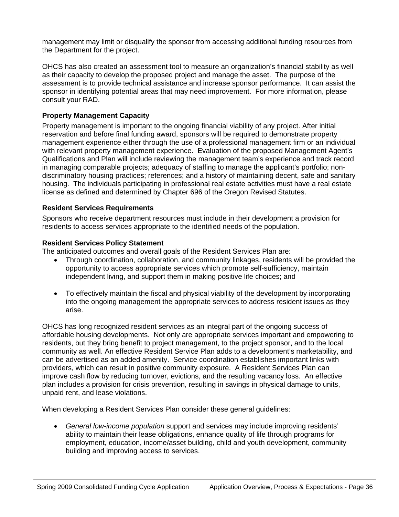management may limit or disqualify the sponsor from accessing additional funding resources from the Department for the project.

OHCS has also created an assessment tool to measure an organization's financial stability as well as their capacity to develop the proposed project and manage the asset. The purpose of the assessment is to provide technical assistance and increase sponsor performance. It can assist the sponsor in identifying potential areas that may need improvement. For more information, please consult your RAD.

# **Property Management Capacity**

Property management is important to the ongoing financial viability of any project. After initial reservation and before final funding award, sponsors will be required to demonstrate property management experience either through the use of a professional management firm or an individual with relevant property management experience. Evaluation of the proposed Management Agent's Qualifications and Plan will include reviewing the management team's experience and track record in managing comparable projects; adequacy of staffing to manage the applicant's portfolio; nondiscriminatory housing practices; references; and a history of maintaining decent, safe and sanitary housing. The individuals participating in professional real estate activities must have a real estate license as defined and determined by Chapter 696 of the Oregon Revised Statutes.

# **Resident Services Requirements**

Sponsors who receive department resources must include in their development a provision for residents to access services appropriate to the identified needs of the population.

#### **Resident Services Policy Statement**

The anticipated outcomes and overall goals of the Resident Services Plan are:

- Through coordination, collaboration, and community linkages, residents will be provided the opportunity to access appropriate services which promote self-sufficiency, maintain independent living, and support them in making positive life choices; and
- To effectively maintain the fiscal and physical viability of the development by incorporating into the ongoing management the appropriate services to address resident issues as they arise.

OHCS has long recognized resident services as an integral part of the ongoing success of affordable housing developments. Not only are appropriate services important and empowering to residents, but they bring benefit to project management, to the project sponsor, and to the local community as well. An effective Resident Service Plan adds to a development's marketability, and can be advertised as an added amenity. Service coordination establishes important links with providers, which can result in positive community exposure. A Resident Services Plan can improve cash flow by reducing turnover, evictions, and the resulting vacancy loss. An effective plan includes a provision for crisis prevention, resulting in savings in physical damage to units, unpaid rent, and lease violations.

When developing a Resident Services Plan consider these general guidelines:

• *General low-income population* support and services may include improving residents' ability to maintain their lease obligations, enhance quality of life through programs for employment, education, income/asset building, child and youth development, community building and improving access to services.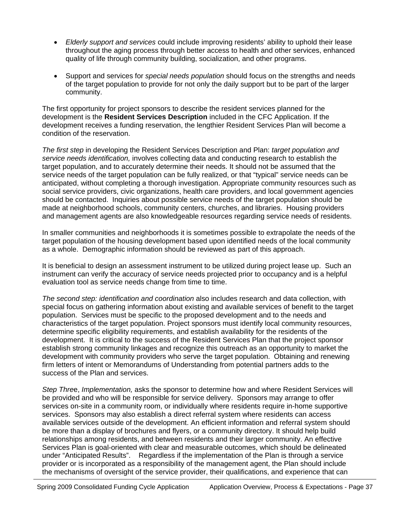- *Elderly support and services* could include improving residents' ability to uphold their lease throughout the aging process through better access to health and other services, enhanced quality of life through community building, socialization, and other programs.
- Support and services for *special needs population* should focus on the strengths and needs of the target population to provide for not only the daily support but to be part of the larger community.

The first opportunity for project sponsors to describe the resident services planned for the development is the **Resident Services Description** included in the CFC Application. If the development receives a funding reservation, the lengthier Resident Services Plan will become a condition of the reservation.

*The first step* in developing the Resident Services Description and Plan: *target population and service needs identification,* involves collecting data and conducting research to establish the target population, and to accurately determine their needs. It should not be assumed that the service needs of the target population can be fully realized, or that "typical" service needs can be anticipated, without completing a thorough investigation. Appropriate community resources such as social service providers, civic organizations, health care providers, and local government agencies should be contacted. Inquiries about possible service needs of the target population should be made at neighborhood schools, community centers, churches, and libraries. Housing providers and management agents are also knowledgeable resources regarding service needs of residents.

In smaller communities and neighborhoods it is sometimes possible to extrapolate the needs of the target population of the housing development based upon identified needs of the local community as a whole. Demographic information should be reviewed as part of this approach.

It is beneficial to design an assessment instrument to be utilized during project lease up. Such an instrument can verify the accuracy of service needs projected prior to occupancy and is a helpful evaluation tool as service needs change from time to time.

*The second step: identification and coordination* also includes research and data collection, with special focus on gathering information about existing and available services of benefit to the target population. Services must be specific to the proposed development and to the needs and characteristics of the target population. Project sponsors must identify local community resources, determine specific eligibility requirements, and establish availability for the residents of the development. It is critical to the success of the Resident Services Plan that the project sponsor establish strong community linkages and recognize this outreach as an opportunity to market the development with community providers who serve the target population. Obtaining and renewing firm letters of intent or Memorandums of Understanding from potential partners adds to the success of the Plan and services.

*Step Thre*e, *Implementation,* asks the sponsor to determine how and where Resident Services will be provided and who will be responsible for service delivery. Sponsors may arrange to offer services on-site in a community room, or individually where residents require in-home supportive services. Sponsors may also establish a direct referral system where residents can access available services outside of the development. An efficient information and referral system should be more than a display of brochures and flyers, or a community directory. It should help build relationships among residents, and between residents and their larger community. An effective Services Plan is goal-oriented with clear and measurable outcomes, which should be delineated under "Anticipated Results". Regardless if the implementation of the Plan is through a service provider or is incorporated as a responsibility of the management agent, the Plan should include the mechanisms of oversight of the service provider, their qualifications, and experience that can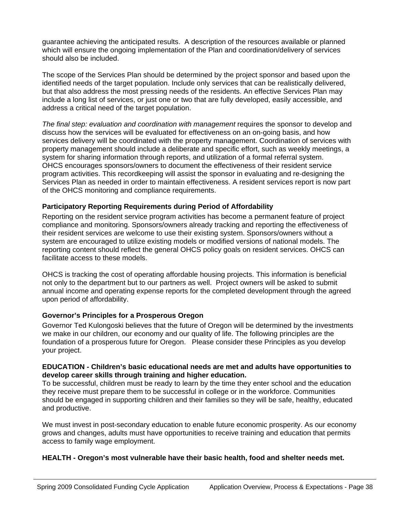guarantee achieving the anticipated results. A description of the resources available or planned which will ensure the ongoing implementation of the Plan and coordination/delivery of services should also be included.

The scope of the Services Plan should be determined by the project sponsor and based upon the identified needs of the target population. Include only services that can be realistically delivered, but that also address the most pressing needs of the residents. An effective Services Plan may include a long list of services, or just one or two that are fully developed, easily accessible, and address a critical need of the target population.

*The final step: evaluation and coordination with management* requires the sponsor to develop and discuss how the services will be evaluated for effectiveness on an on-going basis, and how services delivery will be coordinated with the property management. Coordination of services with property management should include a deliberate and specific effort, such as weekly meetings, a system for sharing information through reports, and utilization of a formal referral system. OHCS encourages sponsors/owners to document the effectiveness of their resident service program activities. This recordkeeping will assist the sponsor in evaluating and re-designing the Services Plan as needed in order to maintain effectiveness. A resident services report is now part of the OHCS monitoring and compliance requirements.

# **Participatory Reporting Requirements during Period of Affordability**

Reporting on the resident service program activities has become a permanent feature of project compliance and monitoring. Sponsors/owners already tracking and reporting the effectiveness of their resident services are welcome to use their existing system. Sponsors/owners without a system are encouraged to utilize existing models or modified versions of national models. The reporting content should reflect the general OHCS policy goals on resident services. OHCS can facilitate access to these models.

OHCS is tracking the cost of operating affordable housing projects. This information is beneficial not only to the department but to our partners as well. Project owners will be asked to submit annual income and operating expense reports for the completed development through the agreed upon period of affordability.

# **Governor's Principles for a Prosperous Oregon**

Governor Ted Kulongoski believes that the future of Oregon will be determined by the investments we make in our children, our economy and our quality of life. The following principles are the foundation of a prosperous future for Oregon. Please consider these Principles as you develop your project.

#### **EDUCATION - Children's basic educational needs are met and adults have opportunities to develop career skills through training and higher education.**

To be successful, children must be ready to learn by the time they enter school and the education they receive must prepare them to be successful in college or in the workforce. Communities should be engaged in supporting children and their families so they will be safe, healthy, educated and productive.

We must invest in post-secondary education to enable future economic prosperity. As our economy grows and changes, adults must have opportunities to receive training and education that permits access to family wage employment.

# **HEALTH - Oregon's most vulnerable have their basic health, food and shelter needs met.**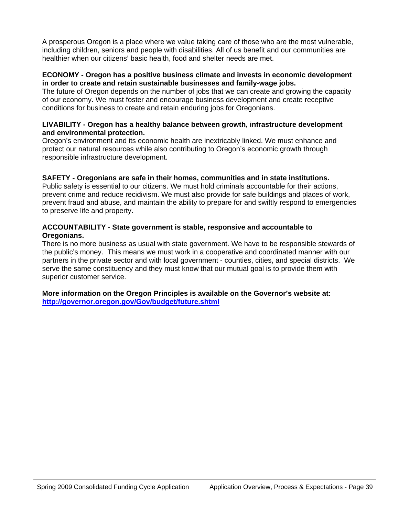A prosperous Oregon is a place where we value taking care of those who are the most vulnerable, including children, seniors and people with disabilities. All of us benefit and our communities are healthier when our citizens' basic health, food and shelter needs are met.

#### **ECONOMY - Oregon has a positive business climate and invests in economic development in order to create and retain sustainable businesses and family-wage jobs.**

The future of Oregon depends on the number of jobs that we can create and growing the capacity of our economy. We must foster and encourage business development and create receptive conditions for business to create and retain enduring jobs for Oregonians.

#### **LIVABILITY - Oregon has a healthy balance between growth, infrastructure development and environmental protection.**

Oregon's environment and its economic health are inextricably linked. We must enhance and protect our natural resources while also contributing to Oregon's economic growth through responsible infrastructure development.

#### **SAFETY - Oregonians are safe in their homes, communities and in state institutions.**

Public safety is essential to our citizens. We must hold criminals accountable for their actions, prevent crime and reduce recidivism. We must also provide for safe buildings and places of work, prevent fraud and abuse, and maintain the ability to prepare for and swiftly respond to emergencies to preserve life and property.

#### **ACCOUNTABILITY - State government is stable, responsive and accountable to Oregonians.**

There is no more business as usual with state government. We have to be responsible stewards of the public's money. This means we must work in a cooperative and coordinated manner with our partners in the private sector and with local government - counties, cities, and special districts. We serve the same constituency and they must know that our mutual goal is to provide them with superior customer service.

**More information on the Oregon Principles is available on the Governor's website at: <http://governor.oregon.gov/Gov/budget/future.shtml>**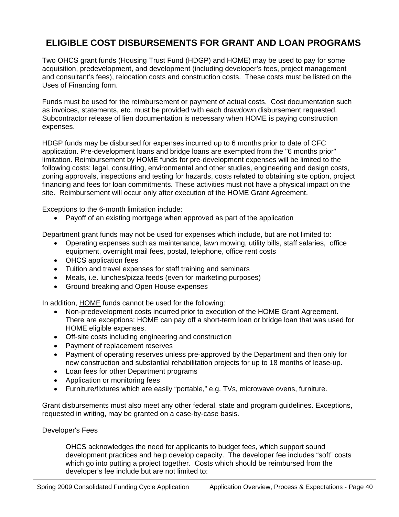# **ELIGIBLE COST DISBURSEMENTS FOR GRANT AND LOAN PROGRAMS**

Two OHCS grant funds (Housing Trust Fund (HDGP) and HOME) may be used to pay for some acquisition, predevelopment, and development (including developer's fees, project management and consultant's fees), relocation costs and construction costs. These costs must be listed on the Uses of Financing form.

Funds must be used for the reimbursement or payment of actual costs. Cost documentation such as invoices, statements, etc. must be provided with each drawdown disbursement requested. Subcontractor release of lien documentation is necessary when HOME is paying construction expenses.

HDGP funds may be disbursed for expenses incurred up to 6 months prior to date of CFC application. Pre-development loans and bridge loans are exempted from the "6 months prior" limitation. Reimbursement by HOME funds for pre-development expenses will be limited to the following costs: legal, consulting, environmental and other studies, engineering and design costs, zoning approvals, inspections and testing for hazards, costs related to obtaining site option, project financing and fees for loan commitments. These activities must not have a physical impact on the site. Reimbursement will occur only after execution of the HOME Grant Agreement.

Exceptions to the 6-month limitation include:

• Payoff of an existing mortgage when approved as part of the application

Department grant funds may not be used for expenses which include, but are not limited to:

- Operating expenses such as maintenance, lawn mowing, utility bills, staff salaries, office equipment, overnight mail fees, postal, telephone, office rent costs
- OHCS application fees
- Tuition and travel expenses for staff training and seminars
- Meals, i.e. lunches/pizza feeds (even for marketing purposes)
- Ground breaking and Open House expenses

In addition, HOME funds cannot be used for the following:

- Non-predevelopment costs incurred prior to execution of the HOME Grant Agreement. There are exceptions: HOME can pay off a short-term loan or bridge loan that was used for HOME eligible expenses.
- Off-site costs including engineering and construction
- Payment of replacement reserves
- Payment of operating reserves unless pre-approved by the Department and then only for new construction and substantial rehabilitation projects for up to 18 months of lease-up.
- Loan fees for other Department programs
- Application or monitoring fees
- Furniture/fixtures which are easily "portable," e.g. TVs, microwave ovens, furniture.

Grant disbursements must also meet any other federal, state and program guidelines. Exceptions, requested in writing, may be granted on a case-by-case basis.

#### Developer's Fees

OHCS acknowledges the need for applicants to budget fees, which support sound development practices and help develop capacity. The developer fee includes "soft" costs which go into putting a project together. Costs which should be reimbursed from the developer's fee include but are not limited to: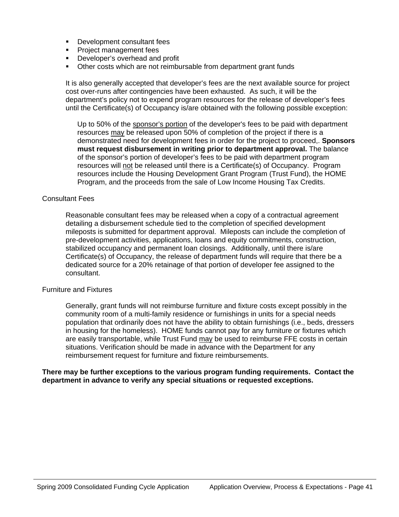- Development consultant fees
- **Project management fees**<br>**Propiety** Developer's overhead and
- Developer's overhead and profit
- Other costs which are not reimbursable from department grant funds

It is also generally accepted that developer's fees are the next available source for project cost over-runs after contingencies have been exhausted. As such, it will be the department's policy not to expend program resources for the release of developer's fees until the Certificate(s) of Occupancy is/are obtained with the following possible exception:

Up to 50% of the sponsor's portion of the developer's fees to be paid with department resources may be released upon 50% of completion of the project if there is a demonstrated need for development fees in order for the project to proceed,. **Sponsors must request disbursement in writing prior to department approval.** The balance of the sponsor's portion of developer's fees to be paid with department program resources will not be released until there is a Certificate(s) of Occupancy. Program resources include the Housing Development Grant Program (Trust Fund), the HOME Program, and the proceeds from the sale of Low Income Housing Tax Credits.

#### Consultant Fees

Reasonable consultant fees may be released when a copy of a contractual agreement detailing a disbursement schedule tied to the completion of specified development mileposts is submitted for department approval. Mileposts can include the completion of pre-development activities, applications, loans and equity commitments, construction, stabilized occupancy and permanent loan closings. Additionally, until there is/are Certificate(s) of Occupancy, the release of department funds will require that there be a dedicated source for a 20% retainage of that portion of developer fee assigned to the consultant.

#### Furniture and Fixtures

Generally, grant funds will not reimburse furniture and fixture costs except possibly in the community room of a multi-family residence or furnishings in units for a special needs population that ordinarily does not have the ability to obtain furnishings (i.e., beds, dressers in housing for the homeless). HOME funds cannot pay for any furniture or fixtures which are easily transportable, while Trust Fund may be used to reimburse FFE costs in certain situations. Verification should be made in advance with the Department for any reimbursement request for furniture and fixture reimbursements.

#### **There may be further exceptions to the various program funding requirements. Contact the department in advance to verify any special situations or requested exceptions.**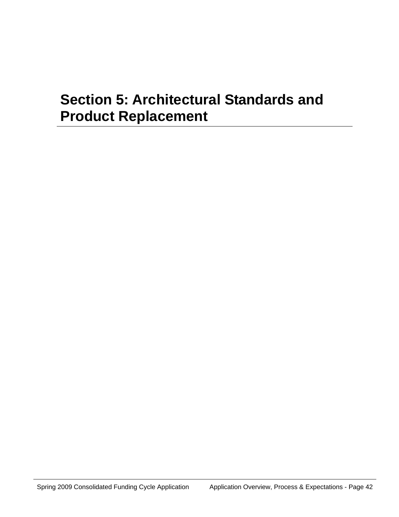# **Section 5: Architectural Standards and Product Replacement**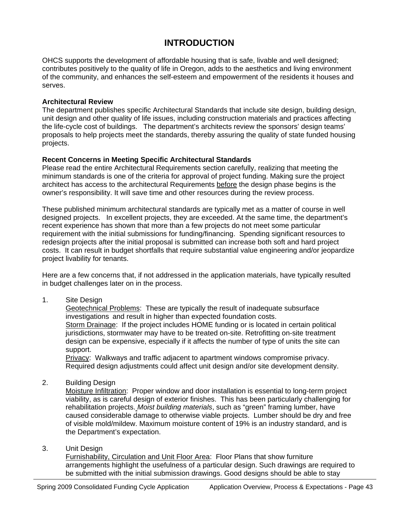# **INTRODUCTION**

OHCS supports the development of affordable housing that is safe, livable and well designed; contributes positively to the quality of life in Oregon, adds to the aesthetics and living environment of the community, and enhances the self-esteem and empowerment of the residents it houses and serves.

#### **Architectural Review**

The department publishes specific Architectural Standards that include site design, building design, unit design and other quality of life issues, including construction materials and practices affecting the life-cycle cost of buildings. The department's architects review the sponsors' design teams' proposals to help projects meet the standards, thereby assuring the quality of state funded housing projects.

# **Recent Concerns in Meeting Specific Architectural Standards**

Please read the entire Architectural Requirements section carefully, realizing that meeting the minimum standards is one of the criteria for approval of project funding. Making sure the project architect has access to the architectural Requirements before the design phase begins is the owner's responsibility. It will save time and other resources during the review process.

These published minimum architectural standards are typically met as a matter of course in well designed projects. In excellent projects, they are exceeded. At the same time, the department's recent experience has shown that more than a few projects do not meet some particular requirement with the initial submissions for funding/financing. Spending significant resources to redesign projects after the initial proposal is submitted can increase both soft and hard project costs. It can result in budget shortfalls that require substantial value engineering and/or jeopardize project livability for tenants.

Here are a few concerns that, if not addressed in the application materials, have typically resulted in budget challenges later on in the process.

1. Site Design

Geotechnical Problems: These are typically the result of inadequate subsurface investigations and result in higher than expected foundation costs. Storm Drainage: If the project includes HOME funding or is located in certain political jurisdictions, stormwater may have to be treated on-site. Retrofitting on-site treatment design can be expensive, especially if it affects the number of type of units the site can support.

Privacy: Walkways and traffic adjacent to apartment windows compromise privacy. Required design adjustments could affect unit design and/or site development density.

2. Building Design

Moisture Infiltration: Proper window and door installation is essential to long-term project viability, as is careful design of exterior finishes. This has been particularly challenging for rehabilitation projects. *Moist building materials*, such as "green" framing lumber, have caused considerable damage to otherwise viable projects. Lumber should be dry and free of visible mold/mildew. Maximum moisture content of 19% is an industry standard, and is the Department's expectation.

3. Unit Design

Furnishability, Circulation and Unit Floor Area: Floor Plans that show furniture arrangements highlight the usefulness of a particular design. Such drawings are required to be submitted with the initial submission drawings. Good designs should be able to stay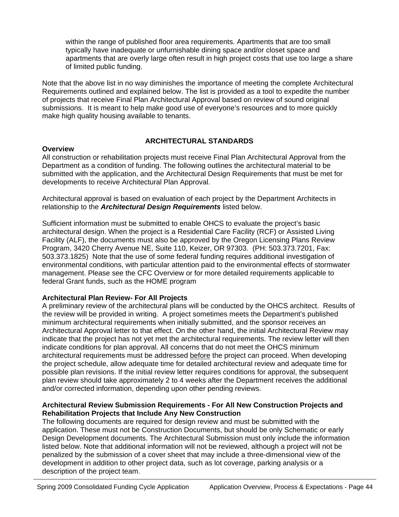within the range of published floor area requirements. Apartments that are too small typically have inadequate or unfurnishable dining space and/or closet space and apartments that are overly large often result in high project costs that use too large a share of limited public funding.

Note that the above list in no way diminishes the importance of meeting the complete Architectural Requirements outlined and explained below. The list is provided as a tool to expedite the number of projects that receive Final Plan Architectural Approval based on review of sound original submissions. It is meant to help make good use of everyone's resources and to more quickly make high quality housing available to tenants.

# **ARCHITECTURAL STANDARDS**

#### **Overview**

All construction or rehabilitation projects must receive Final Plan Architectural Approval from the Department as a condition of funding. The following outlines the architectural material to be submitted with the application, and the Architectural Design Requirements that must be met for developments to receive Architectural Plan Approval.

Architectural approval is based on evaluation of each project by the Department Architects in relationship to the *Architectural Design Requirements* listed below.

Sufficient information must be submitted to enable OHCS to evaluate the project's basic architectural design. When the project is a Residential Care Facility (RCF) or Assisted Living Facility (ALF), the documents must also be approved by the Oregon Licensing Plans Review Program, 3420 Cherry Avenue NE, Suite 110, Keizer, OR 97303. (PH: 503.373.7201, Fax: 503.373.1825) Note that the use of some federal funding requires additional investigation of environmental conditions, with particular attention paid to the environmental effects of stormwater management. Please see the CFC Overview or for more detailed requirements applicable to federal Grant funds, such as the HOME program

# **Architectural Plan Review- For All Projects**

A preliminary review of the architectural plans will be conducted by the OHCS architect. Results of the review will be provided in writing. A project sometimes meets the Department's published minimum architectural requirements when initially submitted, and the sponsor receives an Architectural Approval letter to that effect. On the other hand, the initial Architectural Review may indicate that the project has not yet met the architectural requirements. The review letter will then indicate conditions for plan approval. All concerns that do not meet the OHCS minimum architectural requirements must be addressed before the project can proceed. When developing the project schedule, allow adequate time for detailed architectural review and adequate time for possible plan revisions. If the initial review letter requires conditions for approval, the subsequent plan review should take approximately 2 to 4 weeks after the Department receives the additional and/or corrected information, depending upon other pending reviews.

#### **Architectural Review Submission Requirements - For All New Construction Projects and Rehabilitation Projects that Include Any New Construction**

The following documents are required for design review and must be submitted with the application. These must not be Construction Documents, but should be only Schematic or early Design Development documents. The Architectural Submission must only include the information listed below. Note that additional information will not be reviewed, although a project will not be penalized by the submission of a cover sheet that may include a three-dimensional view of the development in addition to other project data, such as lot coverage, parking analysis or a description of the project team.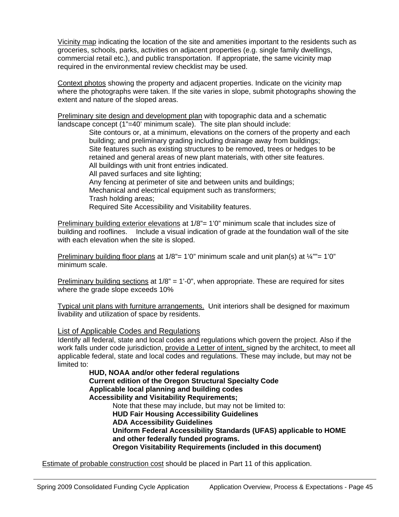Vicinity map indicating the location of the site and amenities important to the residents such as groceries, schools, parks, activities on adjacent properties (e.g. single family dwellings, commercial retail etc.), and public transportation. If appropriate, the same vicinity map required in the environmental review checklist may be used.

Context photos showing the property and adjacent properties. Indicate on the vicinity map where the photographs were taken. If the site varies in slope, submit photographs showing the extent and nature of the sloped areas.

Preliminary site design and development plan with topographic data and a schematic landscape concept (1"=40' minimum scale). The site plan should include:

Site contours or, at a minimum, elevations on the corners of the property and each building; and preliminary grading including drainage away from buildings; Site features such as existing structures to be removed, trees or hedges to be retained and general areas of new plant materials, with other site features. All buildings with unit front entries indicated. All paved surfaces and site lighting; Any fencing at perimeter of site and between units and buildings; Mechanical and electrical equipment such as transformers; Trash holding areas; Required Site Accessibility and Visitability features.

Preliminary building exterior elevations at 1/8"= 1'0" minimum scale that includes size of building and rooflines. Include a visual indication of grade at the foundation wall of the site with each elevation when the site is sloped.

Preliminary building floor plans at  $1/8$ "= 1'0" minimum scale and unit plan(s) at  $\frac{1}{4}$ ""= 1'0" minimum scale.

Preliminary building sections at 1/8" = 1'-0", when appropriate. These are required for sites where the grade slope exceeds 10%

Typical unit plans with furniture arrangements. Unit interiors shall be designed for maximum livability and utilization of space by residents.

#### List of Applicable Codes and Regulations

Identify all federal, state and local codes and regulations which govern the project. Also if the work falls under code jurisdiction, provide a Letter of intent, signed by the architect, to meet all applicable federal, state and local codes and regulations. These may include, but may not be limited to:

> **HUD, NOAA and/or other federal regulations Current edition of the Oregon Structural Specialty Code Applicable local planning and building codes Accessibility and Visitability Requirements;** Note that these may include, but may not be limited to: **HUD Fair Housing Accessibility Guidelines ADA Accessibility Guidelines Uniform Federal Accessibility Standards (UFAS) applicable to HOME and other federally funded programs. Oregon Visitability Requirements (included in this document)**

Estimate of probable construction cost should be placed in Part 11 of this application.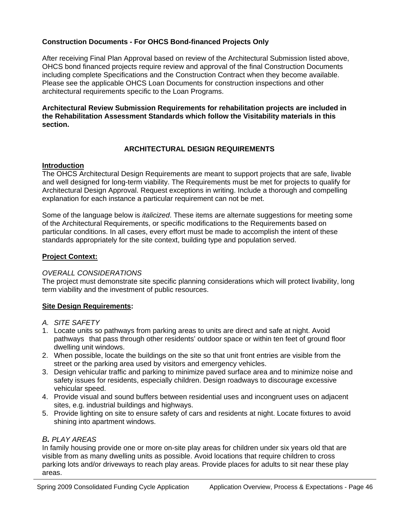# **Construction Documents - For OHCS Bond-financed Projects Only**

After receiving Final Plan Approval based on review of the Architectural Submission listed above, OHCS bond financed projects require review and approval of the final Construction Documents including complete Specifications and the Construction Contract when they become available. Please see the applicable OHCS Loan Documents for construction inspections and other architectural requirements specific to the Loan Programs.

**Architectural Review Submission Requirements for rehabilitation projects are included in the Rehabilitation Assessment Standards which follow the Visitability materials in this section.** 

# **ARCHITECTURAL DESIGN REQUIREMENTS**

#### **Introduction**

The OHCS Architectural Design Requirements are meant to support projects that are safe, livable and well designed for long-term viability. The Requirements must be met for projects to qualify for Architectural Design Approval. Request exceptions in writing. Include a thorough and compelling explanation for each instance a particular requirement can not be met.

Some of the language below is *italicized*. These items are alternate suggestions for meeting some of the Architectural Requirements, or specific modifications to the Requirements based on particular conditions. In all cases, every effort must be made to accomplish the intent of these standards appropriately for the site context, building type and population served.

# **Project Context:**

# *OVERALL CONSIDERATIONS*

The project must demonstrate site specific planning considerations which will protect livability, long term viability and the investment of public resources.

# **Site Design Requirements:**

- *A. SITE SAFETY*
- 1. Locate units so pathways from parking areas to units are direct and safe at night. Avoid pathways that pass through other residents' outdoor space or within ten feet of ground floor dwelling unit windows.
- 2. When possible, locate the buildings on the site so that unit front entries are visible from the street or the parking area used by visitors and emergency vehicles.
- 3. Design vehicular traffic and parking to minimize paved surface area and to minimize noise and safety issues for residents, especially children. Design roadways to discourage excessive vehicular speed.
- 4. Provide visual and sound buffers between residential uses and incongruent uses on adjacent sites, e.g. industrial buildings and highways.
- 5. Provide lighting on site to ensure safety of cars and residents at night. Locate fixtures to avoid shining into apartment windows.

# *B. PLAY AREAS*

In family housing provide one or more on-site play areas for children under six years old that are visible from as many dwelling units as possible. Avoid locations that require children to cross parking lots and/or driveways to reach play areas. Provide places for adults to sit near these play areas.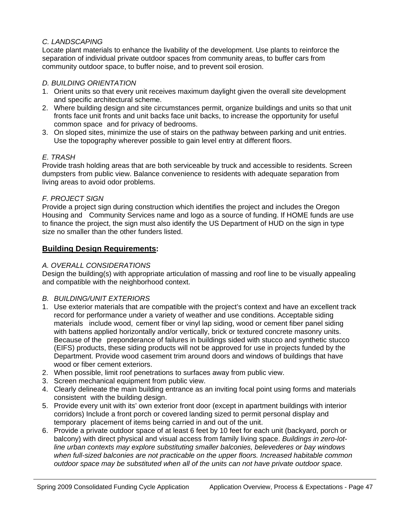# *C. LANDSCAPING*

Locate plant materials to enhance the livability of the development. Use plants to reinforce the separation of individual private outdoor spaces from community areas, to buffer cars from community outdoor space, to buffer noise, and to prevent soil erosion.

# *D. BUILDING ORIENTATION*

- 1. Orient units so that every unit receives maximum daylight given the overall site development and specific architectural scheme.
- 2. Where building design and site circumstances permit, organize buildings and units so that unit fronts face unit fronts and unit backs face unit backs, to increase the opportunity for useful common space and for privacy of bedrooms.
- 3. On sloped sites, minimize the use of stairs on the pathway between parking and unit entries. Use the topography wherever possible to gain level entry at different floors.

# *E. TRASH*

Provide trash holding areas that are both serviceable by truck and accessible to residents. Screen dumpsters from public view. Balance convenience to residents with adequate separation from living areas to avoid odor problems.

# *F. PROJECT SIGN*

Provide a project sign during construction which identifies the project and includes the Oregon Housing and Community Services name and logo as a source of funding. If HOME funds are use to finance the project, the sign must also identify the US Department of HUD on the sign in type size no smaller than the other funders listed.

# **Building Design Requirements:**

# *A. OVERALL CONSIDERATIONS*

Design the building(s) with appropriate articulation of massing and roof line to be visually appealing and compatible with the neighborhood context.

# *B. BUILDING/UNIT EXTERIORS*

- 1. Use exterior materials that are compatible with the project's context and have an excellent track record for performance under a variety of weather and use conditions. Acceptable siding materials include wood, cement fiber or vinyl lap siding, wood or cement fiber panel siding with battens applied horizontally and/or vertically, brick or textured concrete masonry units. Because of the preponderance of failures in buildings sided with stucco and synthetic stucco (EIFS) products, these siding products will not be approved for use in projects funded by the Department. Provide wood casement trim around doors and windows of buildings that have wood or fiber cement exteriors.
- 2. When possible, limit roof penetrations to surfaces away from public view.
- 3. Screen mechanical equipment from public view.
- 4. Clearly delineate the main building entrance as an inviting focal point using forms and materials consistent with the building design.
- 5. Provide every unit with its' own exterior front door (except in apartment buildings with interior corridors) Include a front porch or covered landing sized to permit personal display and temporary placement of items being carried in and out of the unit.
- 6. Provide a private outdoor space of at least 6 feet by 10 feet for each unit (backyard, porch or balcony) with direct physical and visual access from family living space. *Buildings in zero-lotline urban contexts may explore substituting smaller balconies, belevederes or bay windows when full-sized balconies are not practicable on the upper floors. Increased habitable common outdoor space may be substituted when all of the units can not have private outdoor space.*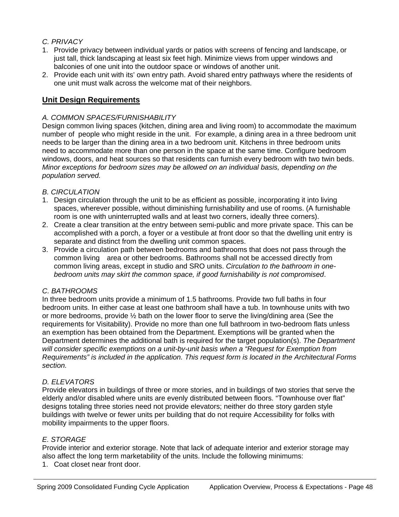# *C. PRIVACY*

- 1. Provide privacy between individual yards or patios with screens of fencing and landscape, or just tall, thick landscaping at least six feet high. Minimize views from upper windows and balconies of one unit into the outdoor space or windows of another unit.
- 2. Provide each unit with its' own entry path. Avoid shared entry pathways where the residents of one unit must walk across the welcome mat of their neighbors.

# **Unit Design Requirements**

## *A. COMMON SPACES/FURNISHABILITY*

Design common living spaces (kitchen, dining area and living room) to accommodate the maximum number of people who might reside in the unit. For example, a dining area in a three bedroom unit needs to be larger than the dining area in a two bedroom unit. Kitchens in three bedroom units need to accommodate more than one person in the space at the same time. Configure bedroom windows, doors, and heat sources so that residents can furnish every bedroom with two twin beds. *Minor exceptions for bedroom sizes may be allowed on an individual basis, depending on the population served.* 

# *B. CIRCULATION*

- 1. Design circulation through the unit to be as efficient as possible, incorporating it into living spaces, wherever possible, without diminishing furnishability and use of rooms. (A furnishable room is one with uninterrupted walls and at least two corners, ideally three corners).
- 2. Create a clear transition at the entry between semi-public and more private space. This can be accomplished with a porch, a foyer or a vestibule at front door so that the dwelling unit entry is separate and distinct from the dwelling unit common spaces.
- 3. Provide a circulation path between bedrooms and bathrooms that does not pass through the common living area or other bedrooms. Bathrooms shall not be accessed directly from common living areas, except in studio and SRO units. *Circulation to the bathroom in onebedroom units may skirt the common space, if good furnishability is not compromised*.

# *C. BATHROOMS*

In three bedroom units provide a minimum of 1.5 bathrooms. Provide two full baths in four bedroom units. In either case at least one bathroom shall have a tub. In townhouse units with two or more bedrooms, provide ½ bath on the lower floor to serve the living/dining area (See the requirements for Visitability). Provide no more than one full bathroom in two-bedroom flats unless an exemption has been obtained from the Department. Exemptions will be granted when the Department determines the additional bath is required for the target population(s). *The Department will consider specific exemptions on a unit-by-unit basis when a "Request for Exemption from Requirements" is included in the application. This request form is located in the Architectural Forms section.* 

# *D. ELEVATORS*

Provide elevators in buildings of three or more stories, and in buildings of two stories that serve the elderly and/or disabled where units are evenly distributed between floors. "Townhouse over flat" designs totaling three stories need not provide elevators; neither do three story garden style buildings with twelve or fewer units per building that do not require Accessibility for folks with mobility impairments to the upper floors.

# *E. STORAGE*

Provide interior and exterior storage. Note that lack of adequate interior and exterior storage may also affect the long term marketability of the units. Include the following minimums:

1. Coat closet near front door.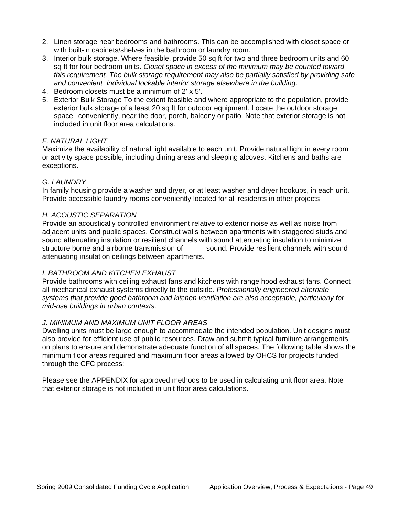- 2. Linen storage near bedrooms and bathrooms. This can be accomplished with closet space or with built-in cabinets/shelves in the bathroom or laundry room.
- 3. Interior bulk storage. Where feasible, provide 50 sq ft for two and three bedroom units and 60 sq ft for four bedroom units. *Closet space in excess of the minimum may be counted toward this requirement. The bulk storage requirement may also be partially satisfied by providing safe and convenient individual lockable interior storage elsewhere in the building*.
- 4. Bedroom closets must be a minimum of 2' x 5'.
- 5. Exterior Bulk Storage To the extent feasible and where appropriate to the population, provide exterior bulk storage of a least 20 sq ft for outdoor equipment. Locate the outdoor storage space conveniently, near the door, porch, balcony or patio. Note that exterior storage is not included in unit floor area calculations.

#### *F. NATURAL LIGHT*

Maximize the availability of natural light available to each unit. Provide natural light in every room or activity space possible, including dining areas and sleeping alcoves. Kitchens and baths are exceptions.

#### *G. LAUNDRY*

In family housing provide a washer and dryer, or at least washer and dryer hookups, in each unit. Provide accessible laundry rooms conveniently located for all residents in other projects

#### *H. ACOUSTIC SEPARATION*

Provide an acoustically controlled environment relative to exterior noise as well as noise from adjacent units and public spaces. Construct walls between apartments with staggered studs and sound attenuating insulation or resilient channels with sound attenuating insulation to minimize structure borne and airborne transmission of sound. Provide resilient channels with sound attenuating insulation ceilings between apartments.

#### *I. BATHROOM AND KITCHEN EXHAUST*

Provide bathrooms with ceiling exhaust fans and kitchens with range hood exhaust fans. Connect all mechanical exhaust systems directly to the outside. *Professionally engineered alternate systems that provide good bathroom and kitchen ventilation are also acceptable, particularly for mid-rise buildings in urban contexts.*

#### *J. MINIMUM AND MAXIMUM UNIT FLOOR AREAS*

Dwelling units must be large enough to accommodate the intended population. Unit designs must also provide for efficient use of public resources. Draw and submit typical furniture arrangements on plans to ensure and demonstrate adequate function of all spaces. The following table shows the minimum floor areas required and maximum floor areas allowed by OHCS for projects funded through the CFC process:

Please see the APPENDIX for approved methods to be used in calculating unit floor area. Note that exterior storage is not included in unit floor area calculations.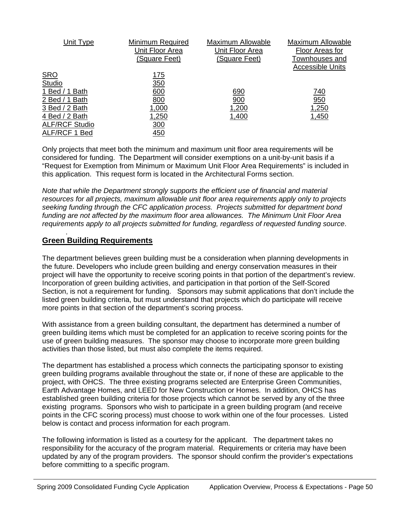| Unit Type             | Minimum Required | <b>Maximum Allowable</b> | Maximum Allowable       |
|-----------------------|------------------|--------------------------|-------------------------|
|                       | Unit Floor Area  | Unit Floor Area          | Floor Areas for         |
|                       | (Square Feet)    | (Square Feet)            | Townhouses and          |
|                       |                  |                          | <b>Accessible Units</b> |
| <b>SRO</b>            | <u>175</u>       |                          |                         |
| Studio                | 350              |                          |                         |
| 1 Bed / 1 Bath        | 600              | 690                      | 740                     |
| 2 Bed / 1 Bath        | 800              | 900                      | 950                     |
| 3 Bed / 2 Bath        | 1,000            | 1,200                    | 1,250                   |
| 4 Bed / 2 Bath        | 1,250            | 1,400                    | 1,450                   |
| <b>ALF/RCF Studio</b> | 300              |                          |                         |
| ALF/RCF 1 Bed         | 450              |                          |                         |

Only projects that meet both the minimum and maximum unit floor area requirements will be considered for funding. The Department will consider exemptions on a unit-by-unit basis if a "Request for Exemption from Minimum or Maximum Unit Floor Area Requirements" is included in this application. This request form is located in the Architectural Forms section.

*Note that while the Department strongly supports the efficient use of financial and material resources for all projects, maximum allowable unit floor area requirements apply only to projects seeking funding through the CFC application process. Projects submitted for department bond funding are not affected by the maximum floor area allowances. The Minimum Unit Floor Area requirements apply to all projects submitted for funding, regardless of requested funding source*.

# **Green Building Requirements**

.

The department believes green building must be a consideration when planning developments in the future. Developers who include green building and energy conservation measures in their project will have the opportunity to receive scoring points in that portion of the department's review. Incorporation of green building activities, and participation in that portion of the Self-Scored Section, is not a requirement for funding. Sponsors may submit applications that don't include the listed green building criteria, but must understand that projects which do participate will receive more points in that section of the department's scoring process.

With assistance from a green building consultant, the department has determined a number of green building items which must be completed for an application to receive scoring points for the use of green building measures. The sponsor may choose to incorporate more green building activities than those listed, but must also complete the items required.

The department has established a process which connects the participating sponsor to existing green building programs available throughout the state or, if none of these are applicable to the project, with OHCS. The three existing programs selected are Enterprise Green Communities, Earth Advantage Homes, and LEED for New Construction or Homes. In addition, OHCS has established green building criteria for those projects which cannot be served by any of the three existing programs. Sponsors who wish to participate in a green building program (and receive points in the CFC scoring process) must choose to work within one of the four processes. Listed below is contact and process information for each program.

The following information is listed as a courtesy for the applicant. The department takes no responsibility for the accuracy of the program material. Requirements or criteria may have been updated by any of the program providers. The sponsor should confirm the provider's expectations before committing to a specific program.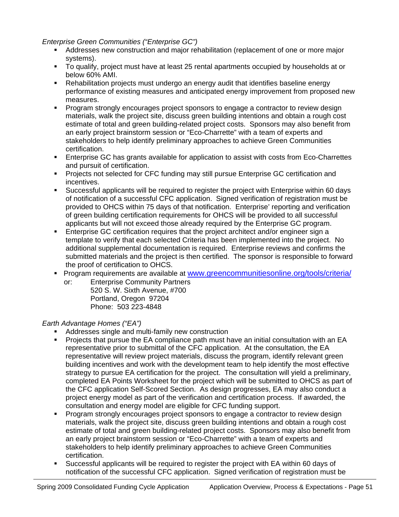*Enterprise Green Communities ("Enterprise GC")*

- Addresses new construction and major rehabilitation (replacement of one or more major systems).
- To qualify, project must have at least 25 rental apartments occupied by households at or below 60% AMI.
- Rehabilitation projects must undergo an energy audit that identifies baseline energy performance of existing measures and anticipated energy improvement from proposed new measures.
- **Program strongly encourages project sponsors to engage a contractor to review design** materials, walk the project site, discuss green building intentions and obtain a rough cost estimate of total and green building-related project costs. Sponsors may also benefit from an early project brainstorm session or "Eco-Charrette" with a team of experts and stakeholders to help identify preliminary approaches to achieve Green Communities certification.
- Enterprise GC has grants available for application to assist with costs from Eco-Charrettes and pursuit of certification.
- Projects not selected for CFC funding may still pursue Enterprise GC certification and incentives.
- Successful applicants will be required to register the project with Enterprise within 60 days of notification of a successful CFC application. Signed verification of registration must be provided to OHCS within 75 days of that notification. Enterprise' reporting and verification of green building certification requirements for OHCS will be provided to all successful applicants but will not exceed those already required by the Enterprise GC program.
- Enterprise GC certification requires that the project architect and/or engineer sign a template to verify that each selected Criteria has been implemented into the project. No additional supplemental documentation is required. Enterprise reviews and confirms the submitted materials and the project is then certified. The sponsor is responsible to forward the proof of certification to OHCS.
- **Program requirements are available at [www.greencommunitiesonline.org/tools/criteria/](http://www.greencommunitiesonline.org/tools/criteria/)**  or: Enterprise Community Partners
	- 520 S. W. Sixth Avenue, #700 Portland, Oregon 97204 Phone: 503 223-4848

*Earth Advantage Homes ("EA")* 

- Addresses single and multi-family new construction
- **Projects that pursue the EA compliance path must have an initial consultation with an EA** representative prior to submittal of the CFC application. At the consultation, the EA representative will review project materials, discuss the program, identify relevant green building incentives and work with the development team to help identify the most effective strategy to pursue EA certification for the project. The consultation will yield a preliminary, completed EA Points Worksheet for the project which will be submitted to OHCS as part of the CFC application Self-Scored Section. As design progresses, EA may also conduct a project energy model as part of the verification and certification process. If awarded, the consultation and energy model are eligible for CFC funding support.
- **Program strongly encourages project sponsors to engage a contractor to review design** materials, walk the project site, discuss green building intentions and obtain a rough cost estimate of total and green building-related project costs. Sponsors may also benefit from an early project brainstorm session or "Eco-Charrette" with a team of experts and stakeholders to help identify preliminary approaches to achieve Green Communities certification.
- Successful applicants will be required to register the project with EA within 60 days of notification of the successful CFC application. Signed verification of registration must be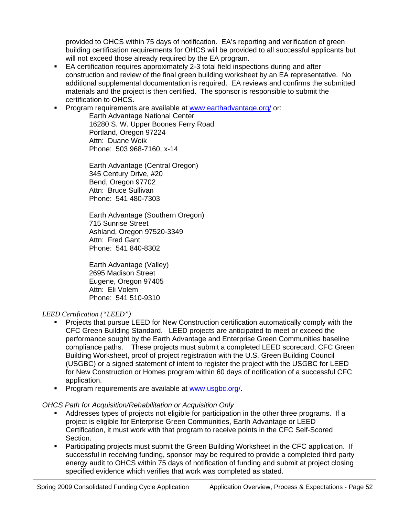provided to OHCS within 75 days of notification. EA's reporting and verification of green building certification requirements for OHCS will be provided to all successful applicants but will not exceed those already required by the EA program.

- EA certification requires approximately 2-3 total field inspections during and after construction and review of the final green building worksheet by an EA representative. No additional supplemental documentation is required. EA reviews and confirms the submitted materials and the project is then certified. The sponsor is responsible to submit the certification to OHCS.
- **Program requirements are available at [www.earthadvantage.org/](http://www.earthadvantage.org/) or:**

Earth Advantage National Center 16280 S. W. Upper Boones Ferry Road Portland, Oregon 97224 Attn: Duane Woik Phone: 503 968-7160, x-14

Earth Advantage (Central Oregon) 345 Century Drive, #20 Bend, Oregon 97702 Attn: Bruce Sullivan Phone: 541 480-7303

Earth Advantage (Southern Oregon) 715 Sunrise Street Ashland, Oregon 97520-3349 Attn: Fred Gant Phone: 541 840-8302

Earth Advantage (Valley) 2695 Madison Street Eugene, Oregon 97405 Attn: Eli Volem Phone: 541 510-9310

#### *LEED Certification ("LEED")*

- Projects that pursue LEED for New Construction certification automatically comply with the CFC Green Building Standard. LEED projects are anticipated to meet or exceed the performance sought by the Earth Advantage and Enterprise Green Communities baseline compliance paths. These projects must submit a completed LEED scorecard, CFC Green Building Worksheet, proof of project registration with the U.S. Green Building Council (USGBC) or a signed statement of intent to register the project with the USGBC for LEED for New Construction or Homes program within 60 days of notification of a successful CFC application.
- **Program requirements are available at [www.usgbc.org/](http://www.usgbc.org/).**

#### *OHCS Path for Acquisition/Rehabilitation or Acquisition Only*

- Addresses types of projects not eligible for participation in the other three programs. If a project is eligible for Enterprise Green Communities, Earth Advantage or LEED Certification, it must work with that program to receive points in the CFC Self-Scored Section.
- Participating projects must submit the Green Building Worksheet in the CFC application. If successful in receiving funding, sponsor may be required to provide a completed third party energy audit to OHCS within 75 days of notification of funding and submit at project closing specified evidence which verifies that work was completed as stated.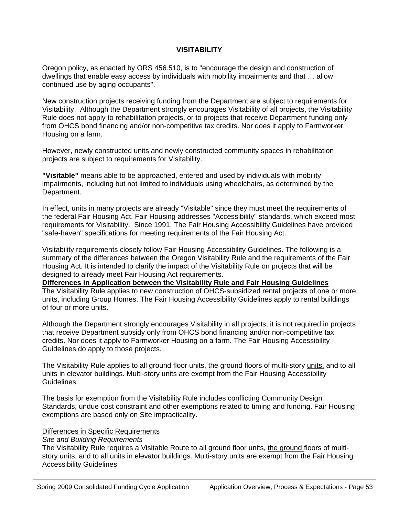#### **VISITABILITY**

Oregon policy, as enacted by ORS 456.510, is to "encourage the design and construction of dwellings that enable easy access by individuals with mobility impairments and that … allow continued use by aging occupants".

New construction projects receiving funding from the Department are subject to requirements for Visitability. Although the Department strongly encourages Visitability of all projects, the Visitability Rule does not apply to rehabilitation projects, or to projects that receive Department funding only from OHCS bond financing and/or non-competitive tax credits. Nor does it apply to Farmworker Housing on a farm.

However, newly constructed units and newly constructed community spaces in rehabilitation projects are subject to requirements for Visitability.

**"Visitable"** means able to be approached, entered and used by individuals with mobility impairments, including but not limited to individuals using wheelchairs, as determined by the Department.

In effect, units in many projects are already "Visitable" since they must meet the requirements of the federal Fair Housing Act. Fair Housing addresses "Accessibility" standards, which exceed most requirements for Visitability. Since 1991, The Fair Housing Accessibility Guidelines have provided "safe-haven" specifications for meeting requirements of the Fair Housing Act.

Visitability requirements closely follow Fair Housing Accessibility Guidelines. The following is a summary of the differences between the Oregon Visitability Rule and the requirements of the Fair Housing Act. It is intended to clarify the impact of the Visitability Rule on projects that will be designed to already meet Fair Housing Act requirements.

## **Differences in Application between the Visitability Rule and Fair Housing Guidelines**

The Visitability Rule applies to new construction of OHCS-subsidized rental projects of one or more units, including Group Homes. The Fair Housing Accessibility Guidelines apply to rental buildings of four or more units.

Although the Department strongly encourages Visitability in all projects, it is not required in projects that receive Department subsidy only from OHCS bond financing and/or non-competitive tax credits. Nor does it apply to Farmworker Housing on a farm. The Fair Housing Accessibility Guidelines do apply to those projects.

The Visitability Rule applies to all ground floor units, the ground floors of multi-story units, and to all units in elevator buildings. Multi-story units are exempt from the Fair Housing Accessibility Guidelines.

The basis for exemption from the Visitability Rule includes conflicting Community Design Standards, undue cost constraint and other exemptions related to timing and funding. Fair Housing exemptions are based only on Site impracticality.

#### Differences in Specific Requirements

#### *Site and Building Requirements*

The Visitability Rule requires a Visitable Route to all ground floor units, the ground floors of multistory units, and to all units in elevator buildings. Multi-story units are exempt from the Fair Housing Accessibility Guidelines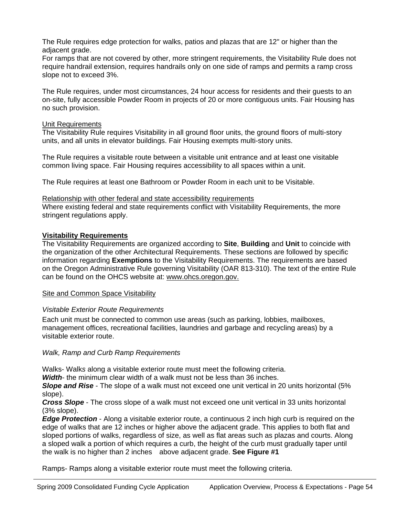The Rule requires edge protection for walks, patios and plazas that are 12" or higher than the adjacent grade.

For ramps that are not covered by other, more stringent requirements, the Visitability Rule does not require handrail extension, requires handrails only on one side of ramps and permits a ramp cross slope not to exceed 3%.

The Rule requires, under most circumstances, 24 hour access for residents and their guests to an on-site, fully accessible Powder Room in projects of 20 or more contiguous units. Fair Housing has no such provision.

#### Unit Requirements

The Visitability Rule requires Visitability in all ground floor units, the ground floors of multi-story units, and all units in elevator buildings. Fair Housing exempts multi-story units.

The Rule requires a visitable route between a visitable unit entrance and at least one visitable common living space. Fair Housing requires accessibility to all spaces within a unit.

The Rule requires at least one Bathroom or Powder Room in each unit to be Visitable.

#### Relationship with other federal and state accessibility requirements

Where existing federal and state requirements conflict with Visitability Requirements, the more stringent regulations apply.

#### **Visitability Requirements**

The Visitability Requirements are organized according to **Site**, **Building** and **Unit** to coincide with the organization of the other Architectural Requirements. These sections are followed by specific information regarding **Exemptions** to the Visitability Requirements. The requirements are based on the Oregon Administrative Rule governing Visitability (OAR 813-310). The text of the entire Rule can be found on the OHCS website at: www.ohcs.oregon.gov.

#### Site and Common Space Visitability

#### *Visitable Exterior Route Requirements*

Each unit must be connected to common use areas (such as parking, lobbies, mailboxes, management offices, recreational facilities, laundries and garbage and recycling areas) by a visitable exterior route.

#### *Walk, Ramp and Curb Ramp Requirements*

Walks- Walk*s* along a visitable exterior route must meet the following criteria.

*Width*- the minimum clear width of a walk must not be less than 36 inches.

*Slope and Rise* - The slope of a walk must not exceed one unit vertical in 20 units horizontal (5% slope).

*Cross Slope* - The cross slope of a walk must not exceed one unit vertical in 33 units horizontal (3% slope).

*Edge Protection* - Along a visitable exterior route, a continuous 2 inch high curb is required on the edge of walks that are 12 inches or higher above the adjacent grade. This applies to both flat and sloped portions of walks, regardless of size, as well as flat areas such as plazas and courts. Along a sloped walk a portion of which requires a curb, the height of the curb must gradually taper until the walk is no higher than 2 inches above adjacent grade. **See Figure #1** 

Ramps- Ramps along a visitable exterior route must meet the following criteria.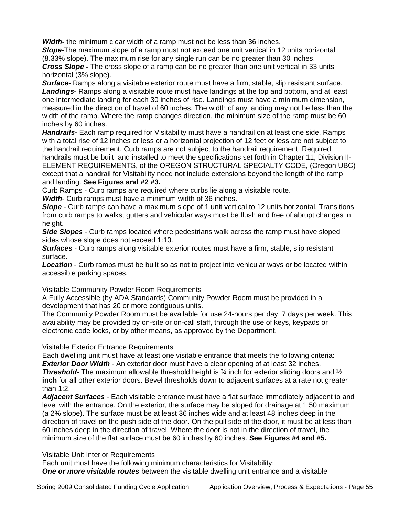*Width***-** the minimum clear width of a ramp must not be less than 36 inches.

*Slope***-**The maximum slope of a ramp must not exceed one unit vertical in 12 units horizontal (8.33% slope). The maximum rise for any single run can be no greater than 30 inches. *Cross Slope* **-** The cross slope of a ramp can be no greater than one unit vertical in 33 units horizontal (3% slope).

**Surface** Ramps along a visitable exterior route must have a firm, stable, slip resistant surface. Landings**-** Ramps along a visitable route must have landings at the top and bottom, and at least one intermediate landing for each 30 inches of rise. Landings must have a minimum dimension, measured in the direction of travel of 60 inches. The width of any landing may not be less than the width of the ramp. Where the ramp changes direction, the minimum size of the ramp must be 60 inches by 60 inches.

*Handrails-* Each ramp required for Visitability must have a handrail on at least one side. Ramps with a total rise of 12 inches or less or a horizontal projection of 12 feet or less are not subject to the handrail requirement. Curb ramps are not subject to the handrail requirement. Required handrails must be built and installed to meet the specifications set forth in Chapter 11, Division II-ELEMENT REQUIREMENTS, of the OREGON STRUCTURAL SPECIALTY CODE, (Oregon UBC) except that a handrail for Visitability need not include extensions beyond the length of the ramp and landing. **See Figures and #2 #3.**

Curb Ramps - Curb ramps are required where curbs lie along a visitable route.

*Width*- Curb ramps must have a minimum width of 36 inches.

*Slope* - Curb ramps can have a maximum slope of 1 unit vertical to 12 units horizontal. Transitions from curb ramps to walks; gutters and vehicular ways must be flush and free of abrupt changes in height.

*Side Slopes* - Curb ramps located where pedestrians walk across the ramp must have sloped sides whose slope does not exceed 1:10.

*Surfaces* - Curb ramps along visitable exterior routes must have a firm, stable, slip resistant surface.

*Location* - Curb ramps must be built so as not to project into vehicular ways or be located within accessible parking spaces.

# Visitable Community Powder Room Requirements

A Fully Accessible (by ADA Standards) Community Powder Room must be provided in a development that has 20 or more contiguous units.

The Community Powder Room must be available for use 24-hours per day, 7 days per week. This availability may be provided by on-site or on-call staff, through the use of keys, keypads or electronic code locks, or by other means, as approved by the Department.

# Visitable Exterior Entrance Requirements

Each dwelling unit must have at least one visitable entrance that meets the following criteria: *Exterior Door Width* - An exterior door must have a clear opening of at least 32 inches. *Threshold*- The maximum allowable threshold height is ¾ inch for exterior sliding doors and ½ **inch** for all other exterior doors. Bevel thresholds down to adjacent surfaces at a rate not greater than 1:2.

*Adjacent Surfaces* - Each visitable entrance must have a flat surface immediately adjacent to and level with the entrance. On the exterior, the surface may be sloped for drainage at 1:50 maximum (a 2% slope). The surface must be at least 36 inches wide and at least 48 inches deep in the direction of travel on the push side of the door. On the pull side of the door, it must be at less than 60 inches deep in the direction of travel. Where the door is not in the direction of travel, the minimum size of the flat surface must be 60 inches by 60 inches. **See Figures #4 and #5.**

# Visitable Unit Interior Requirements

Each unit must have the following minimum characteristics for Visitability: *One or more visitable routes* between the visitable dwelling unit entrance and a visitable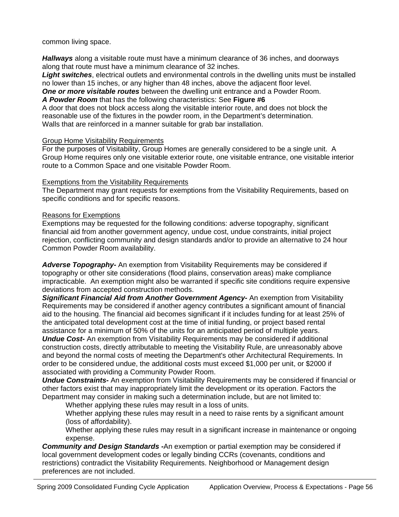common living space.

*Hallways* along a visitable route must have a minimum clearance of 36 inches, and doorways along that route must have a minimum clearance of 32 inches.

*Light switches*, electrical outlets and environmental controls in the dwelling units must be installed no lower than 15 inches, or any higher than 48 inches, above the adjacent floor level.

*One or more visitable routes* between the dwelling unit entrance and a Powder Room.

*A Powder Room* that has the following characteristics: See **Figure #6**

A door that does not block access along the visitable interior route, and does not block the reasonable use of the fixtures in the powder room, in the Department's determination. Walls that are reinforced in a manner suitable for grab bar installation.

#### Group Home Visitability Requirements

For the purposes of Visitability, Group Homes are generally considered to be a single unit. A Group Home requires only one visitable exterior route, one visitable entrance, one visitable interior route to a Common Space and one visitable Powder Room.

#### Exemptions from the Visitability Requirements

The Department may grant requests for exemptions from the Visitability Requirements, based on specific conditions and for specific reasons.

#### Reasons for Exemptions

Exemptions may be requested for the following conditions: adverse topography, significant financial aid from another government agency, undue cost, undue constraints, initial project rejection, conflicting community and design standards and/or to provide an alternative to 24 hour Common Powder Room availability.

*Adverse Topography-* An exemption from Visitability Requirements may be considered if topography or other site considerations (flood plains, conservation areas) make compliance impracticable. An exemption might also be warranted if specific site conditions require expensive deviations from accepted construction methods.

**Significant Financial Aid from Another Government Agency-** An exemption from Visitability Requirements may be considered if another agency contributes a significant amount of financial aid to the housing. The financial aid becomes significant if it includes funding for at least 25% of the anticipated total development cost at the time of initial funding, or project based rental assistance for a minimum of 50% of the units for an anticipated period of multiple years.

*Undue Cost-* An exemption from Visitability Requirements may be considered if additional construction costs, directly attributable to meeting the Visitability Rule, are unreasonably above and beyond the normal costs of meeting the Department's other Architectural Requirements. In order to be considered undue, the additional costs must exceed \$1,000 per unit, or \$2000 if associated with providing a Community Powder Room.

*Undue Constraints-* An exemption from Visitability Requirements may be considered if financial or other factors exist that may inappropriately limit the development or its operation. Factors the Department may consider in making such a determination include, but are not limited to:

Whether applying these rules may result in a loss of units.

Whether applying these rules may result in a need to raise rents by a significant amount (loss of affordability).

Whether applying these rules may result in a significant increase in maintenance or ongoing expense.

*Community and Design Standards -*An exemption or partial exemption may be considered if local government development codes or legally binding CCRs (covenants, conditions and restrictions) contradict the Visitability Requirements. Neighborhood or Management design preferences are not included.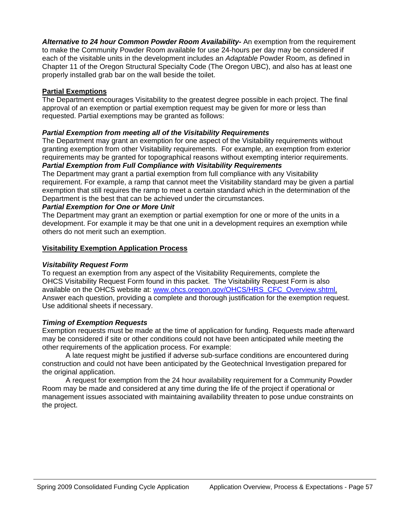*Alternative to 24 hour Common Powder Room Availability-* An exemption from the requirement to make the Community Powder Room available for use 24-hours per day may be considered if each of the visitable units in the development includes an *Adaptable* Powder Room, as defined in Chapter 11 of the Oregon Structural Specialty Code (The Oregon UBC), and also has at least one properly installed grab bar on the wall beside the toilet.

## **Partial Exemptions**

The Department encourages Visitability to the greatest degree possible in each project. The final approval of an exemption or partial exemption request may be given for more or less than requested. Partial exemptions may be granted as follows:

#### *Partial Exemption from meeting all of the Visitability Requirements*

The Department may grant an exemption for one aspect of the Visitability requirements without granting exemption from other Visitability requirements. For example, an exemption from exterior requirements may be granted for topographical reasons without exempting interior requirements. *Partial Exemption from Full Compliance with Visitability Requirements* 

The Department may grant a partial exemption from full compliance with any Visitability requirement. For example, a ramp that cannot meet the Visitability standard may be given a partial exemption that still requires the ramp to meet a certain standard which in the determination of the Department is the best that can be achieved under the circumstances.

#### *Partial Exemption for One or More Unit*

The Department may grant an exemption or partial exemption for one or more of the units in a development. For example it may be that one unit in a development requires an exemption while others do not merit such an exemption.

#### **Visitability Exemption Application Process**

#### *Visitability Request Form*

To request an exemption from any aspect of the Visitability Requirements, complete the OHCS Visitability Request Form found in this packet. The Visitability Request Form is also available on the OHCS website at: [www.ohcs.oregon.gov/OHCS/HRS\\_CFC\\_Overview.shtml.](http://www.ohcs.oregon.gov/OHCS/HRS_CFC_Overview.shtml) Answer each question, providing a complete and thorough justification for the exemption request. Use additional sheets if necessary.

#### *Timing of Exemption Requests*

Exemption requests must be made at the time of application for funding. Requests made afterward may be considered if site or other conditions could not have been anticipated while meeting the other requirements of the application process. For example:

A late request might be justified if adverse sub-surface conditions are encountered during construction and could not have been anticipated by the Geotechnical Investigation prepared for the original application.

A request for exemption from the 24 hour availability requirement for a Community Powder Room may be made and considered at any time during the life of the project if operational or management issues associated with maintaining availability threaten to pose undue constraints on the project.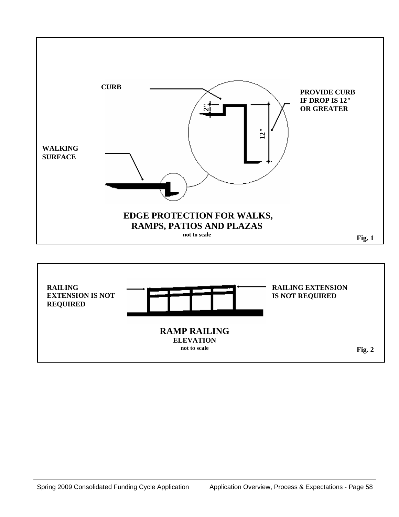

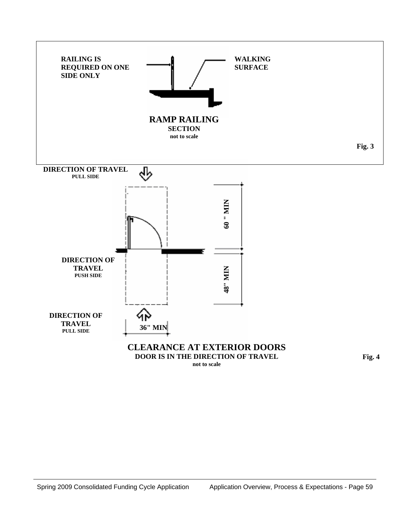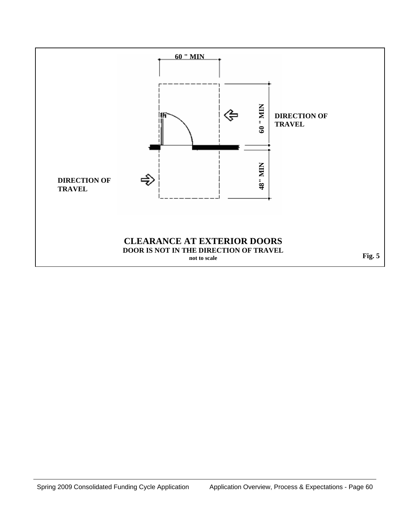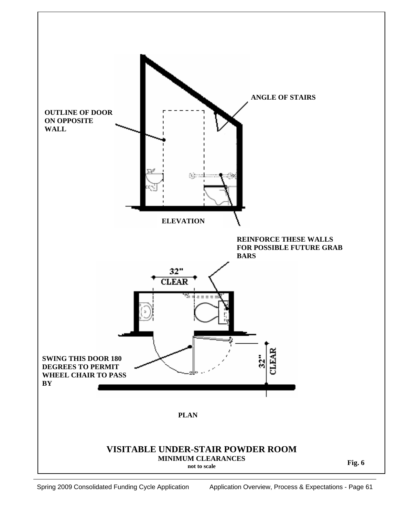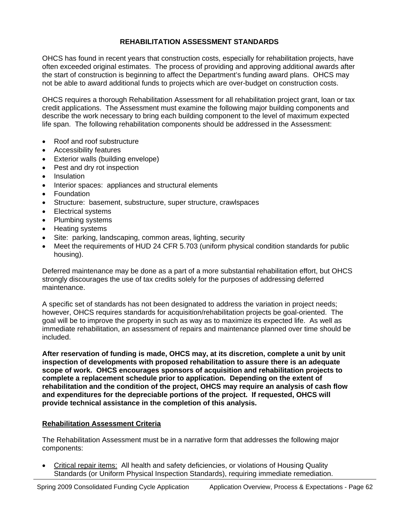# **REHABILITATION ASSESSMENT STANDARDS**

OHCS has found in recent years that construction costs, especially for rehabilitation projects, have often exceeded original estimates. The process of providing and approving additional awards after the start of construction is beginning to affect the Department's funding award plans. OHCS may not be able to award additional funds to projects which are over-budget on construction costs.

OHCS requires a thorough Rehabilitation Assessment for all rehabilitation project grant, loan or tax credit applications. The Assessment must examine the following major building components and describe the work necessary to bring each building component to the level of maximum expected life span. The following rehabilitation components should be addressed in the Assessment:

- Roof and roof substructure
- Accessibility features
- Exterior walls (building envelope)
- Pest and dry rot inspection
- Insulation
- Interior spaces: appliances and structural elements
- Foundation
- Structure: basement, substructure, super structure, crawlspaces
- Electrical systems
- Plumbing systems
- Heating systems
- Site: parking, landscaping, common areas, lighting, security
- Meet the requirements of HUD 24 CFR 5.703 (uniform physical condition standards for public housing).

Deferred maintenance may be done as a part of a more substantial rehabilitation effort, but OHCS strongly discourages the use of tax credits solely for the purposes of addressing deferred maintenance.

A specific set of standards has not been designated to address the variation in project needs; however, OHCS requires standards for acquisition/rehabilitation projects be goal-oriented. The goal will be to improve the property in such as way as to maximize its expected life. As well as immediate rehabilitation, an assessment of repairs and maintenance planned over time should be included.

**After reservation of funding is made, OHCS may, at its discretion, complete a unit by unit inspection of developments with proposed rehabilitation to assure there is an adequate scope of work. OHCS encourages sponsors of acquisition and rehabilitation projects to complete a replacement schedule prior to application. Depending on the extent of rehabilitation and the condition of the project, OHCS may require an analysis of cash flow and expenditures for the depreciable portions of the project. If requested, OHCS will provide technical assistance in the completion of this analysis.**

#### **Rehabilitation Assessment Criteria**

The Rehabilitation Assessment must be in a narrative form that addresses the following major components:

• Critical repair items: All health and safety deficiencies, or violations of Housing Quality Standards (or Uniform Physical Inspection Standards), requiring immediate remediation.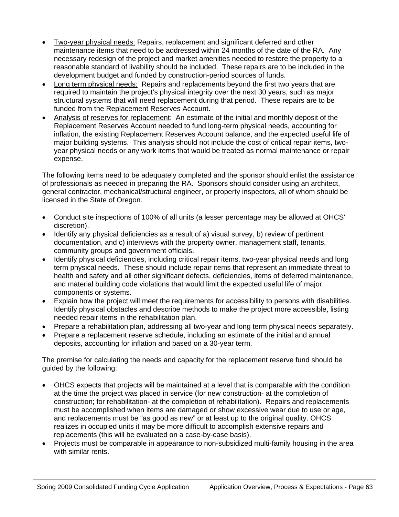- Two-year physical needs: Repairs, replacement and significant deferred and other maintenance items that need to be addressed within 24 months of the date of the RA. Any necessary redesign of the project and market amenities needed to restore the property to a reasonable standard of livability should be included. These repairs are to be included in the development budget and funded by construction-period sources of funds.
- Long term physical needs: Repairs and replacements beyond the first two years that are required to maintain the project's physical integrity over the next 30 years, such as major structural systems that will need replacement during that period. These repairs are to be funded from the Replacement Reserves Account.
- Analysis of reserves for replacement: An estimate of the initial and monthly deposit of the Replacement Reserves Account needed to fund long-term physical needs, accounting for inflation, the existing Replacement Reserves Account balance, and the expected useful life of major building systems. This analysis should not include the cost of critical repair items, twoyear physical needs or any work items that would be treated as normal maintenance or repair expense.

The following items need to be adequately completed and the sponsor should enlist the assistance of professionals as needed in preparing the RA. Sponsors should consider using an architect, general contractor, mechanical/structural engineer, or property inspectors, all of whom should be licensed in the State of Oregon.

- Conduct site inspections of 100% of all units (a lesser percentage may be allowed at OHCS' discretion).
- Identify any physical deficiencies as a result of a) visual survey, b) review of pertinent documentation, and c) interviews with the property owner, management staff, tenants, community groups and government officials.
- Identify physical deficiencies, including critical repair items, two-year physical needs and long term physical needs. These should include repair items that represent an immediate threat to health and safety and all other significant defects, deficiencies, items of deferred maintenance, and material building code violations that would limit the expected useful life of major components or systems.
- Explain how the project will meet the requirements for accessibility to persons with disabilities. Identify physical obstacles and describe methods to make the project more accessible, listing needed repair items in the rehabilitation plan.
- Prepare a rehabilitation plan, addressing all two-year and long term physical needs separately.
- Prepare a replacement reserve schedule, including an estimate of the initial and annual deposits, accounting for inflation and based on a 30-year term.

The premise for calculating the needs and capacity for the replacement reserve fund should be guided by the following:

- OHCS expects that projects will be maintained at a level that is comparable with the condition at the time the project was placed in service (for new construction- at the completion of construction; for rehabilitation- at the completion of rehabilitation). Repairs and replacements must be accomplished when items are damaged or show excessive wear due to use or age, and replacements must be "as good as new" or at least up to the original quality. OHCS realizes in occupied units it may be more difficult to accomplish extensive repairs and replacements (this will be evaluated on a case-by-case basis).
- Projects must be comparable in appearance to non-subsidized multi-family housing in the area with similar rents.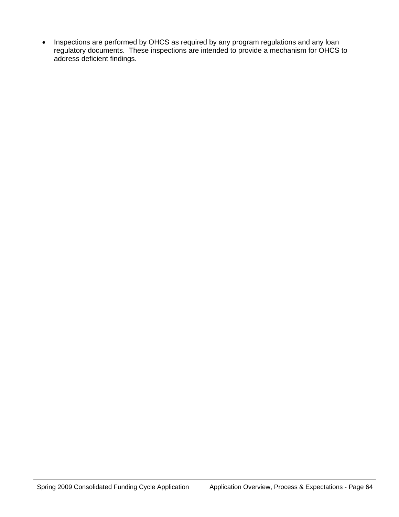• Inspections are performed by OHCS as required by any program regulations and any loan regulatory documents. These inspections are intended to provide a mechanism for OHCS to address deficient findings.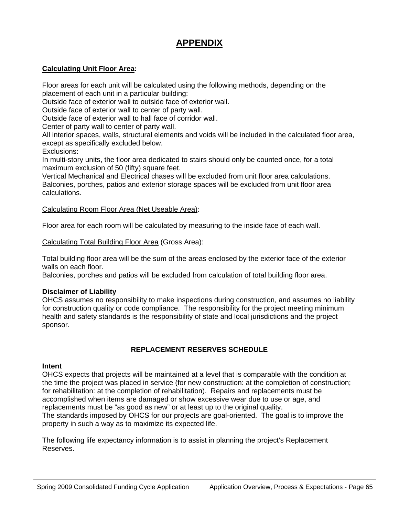# **APPENDIX**

#### **Calculating Unit Floor Area:**

Floor areas for each unit will be calculated using the following methods, depending on the placement of each unit in a particular building:

Outside face of exterior wall to outside face of exterior wall.

Outside face of exterior wall to center of party wall.

Outside face of exterior wall to hall face of corridor wall.

Center of party wall to center of party wall.

All interior spaces, walls, structural elements and voids will be included in the calculated floor area, except as specifically excluded below.

Exclusions:

In multi-story units, the floor area dedicated to stairs should only be counted once, for a total maximum exclusion of 50 (fifty) square feet.

Vertical Mechanical and Electrical chases will be excluded from unit floor area calculations. Balconies, porches, patios and exterior storage spaces will be excluded from unit floor area calculations.

#### Calculating Room Floor Area (Net Useable Area):

Floor area for each room will be calculated by measuring to the inside face of each wall.

Calculating Total Building Floor Area (Gross Area):

Total building floor area will be the sum of the areas enclosed by the exterior face of the exterior walls on each floor.

Balconies, porches and patios will be excluded from calculation of total building floor area.

#### **Disclaimer of Liability**

OHCS assumes no responsibility to make inspections during construction, and assumes no liability for construction quality or code compliance. The responsibility for the project meeting minimum health and safety standards is the responsibility of state and local jurisdictions and the project sponsor.

#### **REPLACEMENT RESERVES SCHEDULE**

#### **Intent**

OHCS expects that projects will be maintained at a level that is comparable with the condition at the time the project was placed in service (for new construction: at the completion of construction; for rehabilitation: at the completion of rehabilitation). Repairs and replacements must be accomplished when items are damaged or show excessive wear due to use or age, and replacements must be "as good as new" or at least up to the original quality. The standards imposed by OHCS for our projects are goal-oriented. The goal is to improve the property in such a way as to maximize its expected life.

The following life expectancy information is to assist in planning the project's Replacement Reserves.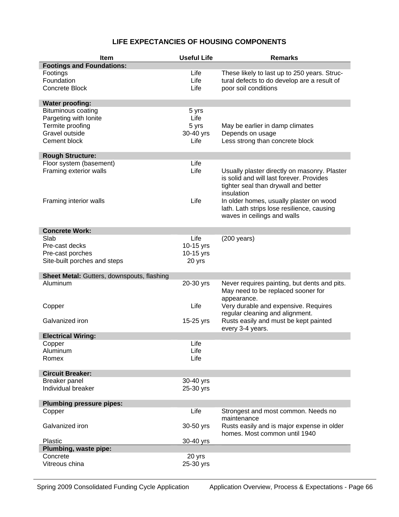# **LIFE EXPECTANCIES OF HOUSING COMPONENTS**

| Item                                                   | <b>Useful Life</b> | <b>Remarks</b>                                    |
|--------------------------------------------------------|--------------------|---------------------------------------------------|
| <b>Footings and Foundations:</b>                       |                    |                                                   |
| Footings                                               | Life               | These likely to last up to 250 years. Struc-      |
| Foundation                                             | Life               | tural defects to do develop are a result of       |
| <b>Concrete Block</b>                                  | Life               | poor soil conditions                              |
|                                                        |                    |                                                   |
| <b>Water proofing:</b>                                 |                    |                                                   |
| <b>Bituminous coating</b>                              | 5 yrs              |                                                   |
| Pargeting with Ionite                                  | Life               |                                                   |
| Termite proofing                                       | 5 yrs              | May be earlier in damp climates                   |
| Gravel outside                                         | 30-40 yrs          | Depends on usage                                  |
| Cement block                                           | Life               | Less strong than concrete block                   |
|                                                        |                    |                                                   |
| <b>Rough Structure:</b>                                |                    |                                                   |
| Floor system (basement)                                | Life               |                                                   |
| Framing exterior walls                                 | Life               | Usually plaster directly on masonry. Plaster      |
|                                                        |                    | is solid and will last forever. Provides          |
|                                                        |                    | tighter seal than drywall and better              |
|                                                        |                    | insulation                                        |
| Framing interior walls                                 | Life               | In older homes, usually plaster on wood           |
|                                                        |                    | lath. Lath strips lose resilience, causing        |
|                                                        |                    | waves in ceilings and walls                       |
|                                                        |                    |                                                   |
| <b>Concrete Work:</b>                                  |                    |                                                   |
| Slab                                                   | Life               | $(200 \text{ years})$                             |
| Pre-cast decks                                         | 10-15 yrs          |                                                   |
| Pre-cast porches                                       | 10-15 yrs          |                                                   |
| Site-built porches and steps                           | 20 yrs             |                                                   |
|                                                        |                    |                                                   |
| Sheet Metal: Gutters, downspouts, flashing<br>Aluminum |                    |                                                   |
|                                                        | 20-30 yrs          | Never requires painting, but dents and pits.      |
|                                                        |                    | May need to be replaced sooner for<br>appearance. |
| Copper                                                 | Life               | Very durable and expensive. Requires              |
|                                                        |                    | regular cleaning and alignment.                   |
| Galvanized iron                                        | 15-25 yrs          | Rusts easily and must be kept painted             |
|                                                        |                    | every 3-4 years.                                  |
| <b>Electrical Wiring:</b>                              |                    |                                                   |
| Copper                                                 | Life               |                                                   |
| Aluminum                                               | Life               |                                                   |
| Romex                                                  | Life               |                                                   |
|                                                        |                    |                                                   |
| <b>Circuit Breaker:</b>                                |                    |                                                   |
| Breaker panel                                          | 30-40 yrs          |                                                   |
| Individual breaker                                     | 25-30 yrs          |                                                   |
|                                                        |                    |                                                   |
| <b>Plumbing pressure pipes:</b>                        |                    |                                                   |
| Copper                                                 | Life               | Strongest and most common. Needs no               |
|                                                        |                    | maintenance                                       |
| Galvanized iron                                        | 30-50 yrs          | Rusts easily and is major expense in older        |
|                                                        |                    | homes. Most common until 1940                     |
| Plastic                                                | 30-40 yrs          |                                                   |
| Plumbing, waste pipe:                                  |                    |                                                   |
| Concrete                                               | 20 yrs             |                                                   |
| Vitreous china                                         | 25-30 yrs          |                                                   |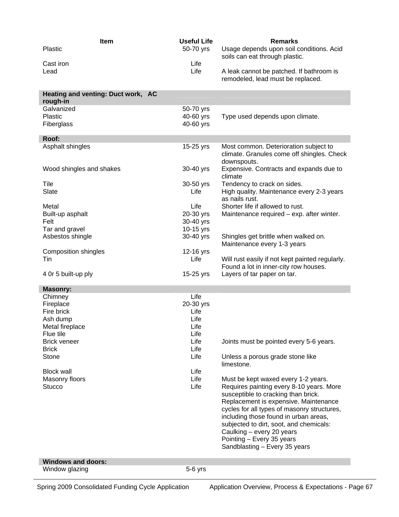| Item<br><b>Plastic</b><br>Cast iron<br>Lead    | <b>Useful Life</b><br>50-70 yrs<br>Life<br>Life | <b>Remarks</b><br>Usage depends upon soil conditions. Acid<br>soils can eat through plastic.<br>A leak cannot be patched. If bathroom is<br>remodeled, lead must be replaced. |
|------------------------------------------------|-------------------------------------------------|-------------------------------------------------------------------------------------------------------------------------------------------------------------------------------|
| Heating and venting: Duct work, AC<br>rough-in |                                                 |                                                                                                                                                                               |
| Galvanized                                     | 50-70 yrs                                       |                                                                                                                                                                               |
| Plastic                                        | 40-60 yrs                                       | Type used depends upon climate.                                                                                                                                               |
| Fiberglass                                     | 40-60 yrs                                       |                                                                                                                                                                               |
| Roof:                                          |                                                 |                                                                                                                                                                               |
| Asphalt shingles                               | 15-25 yrs                                       | Most common. Deterioration subject to<br>climate. Granules come off shingles. Check<br>downspouts.                                                                            |
| Wood shingles and shakes                       | 30-40 yrs                                       | Expensive. Contracts and expands due to<br>climate                                                                                                                            |
| Tile                                           | 30-50 yrs                                       | Tendency to crack on sides.                                                                                                                                                   |
| Slate                                          | Life                                            | High quality. Maintenance every 2-3 years<br>as nails rust.                                                                                                                   |
| Metal                                          | Life                                            | Shorter life if allowed to rust.                                                                                                                                              |
| Built-up asphalt                               | 20-30 yrs                                       | Maintenance required – exp. after winter.                                                                                                                                     |
| Felt                                           | 30-40 yrs                                       |                                                                                                                                                                               |
| Tar and gravel                                 | 10-15 yrs                                       |                                                                                                                                                                               |
| Asbestos shingle                               | 30-40 yrs                                       | Shingles get brittle when walked on.<br>Maintenance every 1-3 years                                                                                                           |
| Composition shingles                           | 12-16 yrs                                       |                                                                                                                                                                               |
| Tin                                            | Life                                            | Will rust easily if not kept painted regularly.                                                                                                                               |
|                                                |                                                 | Found a lot in inner-city row houses.                                                                                                                                         |
| 4 Or 5 built-up ply                            | 15-25 yrs                                       | Layers of tar paper on tar.                                                                                                                                                   |
| <b>Masonry:</b>                                |                                                 |                                                                                                                                                                               |
| Chimney                                        | Life                                            |                                                                                                                                                                               |
| Fireplace                                      | 20-30 yrs                                       |                                                                                                                                                                               |
| Fire brick                                     | Life                                            |                                                                                                                                                                               |
| Ash dump                                       | Life                                            |                                                                                                                                                                               |
| Metal fireplace                                | Life                                            |                                                                                                                                                                               |
| Flue tile<br><b>Brick veneer</b>               | Life<br>Life                                    | Joints must be pointed every 5-6 years.                                                                                                                                       |
| <b>Brick</b>                                   | Life                                            |                                                                                                                                                                               |
| Stone                                          | Life                                            | Unless a porous grade stone like                                                                                                                                              |
|                                                |                                                 | limestone.                                                                                                                                                                    |
| <b>Block wall</b>                              | Life                                            |                                                                                                                                                                               |
| Masonry floors                                 | Life                                            | Must be kept waxed every 1-2 years.                                                                                                                                           |
| <b>Stucco</b>                                  | Life                                            | Requires painting every 8-10 years. More                                                                                                                                      |
|                                                |                                                 | susceptible to cracking than brick.                                                                                                                                           |
|                                                |                                                 | Replacement is expensive. Maintenance<br>cycles for all types of masonry structures,                                                                                          |
|                                                |                                                 | including those found in urban areas,                                                                                                                                         |
|                                                |                                                 | subjected to dirt, soot, and chemicals:                                                                                                                                       |
|                                                |                                                 | Caulking - every 20 years                                                                                                                                                     |
|                                                |                                                 | Pointing - Every 35 years                                                                                                                                                     |
|                                                |                                                 | Sandblasting - Every 35 years                                                                                                                                                 |
| <b>Windows and doors:</b>                      |                                                 |                                                                                                                                                                               |
| Window glazing                                 | $5-6$ yrs                                       |                                                                                                                                                                               |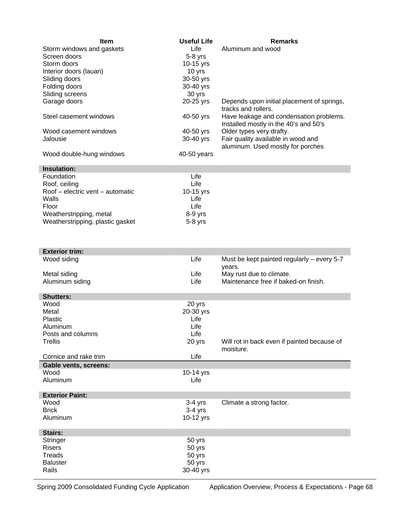| Item                                                                                                                                                                                                                           | Useful Life | <b>Remarks</b>                                                                   |
|--------------------------------------------------------------------------------------------------------------------------------------------------------------------------------------------------------------------------------|-------------|----------------------------------------------------------------------------------|
| Storm windows and gaskets                                                                                                                                                                                                      | Life        | Aluminum and wood                                                                |
| Screen doors                                                                                                                                                                                                                   | $5-8$ yrs   |                                                                                  |
| Storm doors                                                                                                                                                                                                                    | $10-15$ yrs |                                                                                  |
| Interior doors (lauan)                                                                                                                                                                                                         | 10 yrs      |                                                                                  |
| Sliding doors                                                                                                                                                                                                                  | 30-50 yrs   |                                                                                  |
| Folding doors                                                                                                                                                                                                                  | 30-40 yrs   |                                                                                  |
| Sliding screens                                                                                                                                                                                                                | 30 yrs      |                                                                                  |
| Garage doors                                                                                                                                                                                                                   | 20-25 yrs   | Depends upon initial placement of springs,<br>tracks and rollers.                |
| Steel casement windows                                                                                                                                                                                                         | 40-50 yrs   | Have leakage and condensation problems.<br>Installed mostly in the 40's and 50's |
| Wood casement windows                                                                                                                                                                                                          | 40-50 yrs   | Older types very drafty.                                                         |
| Jalousie                                                                                                                                                                                                                       | 30-40 yrs   | Fair quality available in wood and<br>aluminum. Used mostly for porches          |
| Wood double-hung windows                                                                                                                                                                                                       | 40-50 years |                                                                                  |
| The product for the contract of the contract of the contract of the contract of the contract of the contract of the contract of the contract of the contract of the contract of the contract of the contract of the contract o |             |                                                                                  |

| Insulation:                          |             |
|--------------------------------------|-------------|
| Foundation                           | Life        |
| Roof, ceiling                        | Life        |
| $Root - electric$ vent $-$ automatic | $10-15$ yrs |
| Walls                                | Life        |
| Floor                                | Life        |
| Weatherstripping, metal              | $8-9$ yrs   |
| Weatherstripping, plastic gasket     | $5-8$ yrs   |

| Wood siding<br>Life<br>Must be kept painted regularly $-$ every 5-7<br>years.<br>May rust due to climate.<br>Life<br>Metal siding<br>Life<br>Maintenance free if baked-on finish.<br>Aluminum siding<br><b>Shutters:</b><br>Wood<br>20 yrs<br>Metal<br>20-30 yrs<br>Plastic<br>Life<br>Life<br>Aluminum<br>Life<br>Posts and columns<br>Trellis<br>20 yrs<br>Will rot in back even if painted because of<br>moisture.<br>Cornice and rake trim<br>Life<br><b>Gable vents, screens:</b><br>Wood<br>10-14 yrs<br>Aluminum<br>Life<br><b>Exterior Paint:</b><br>Wood<br>$3-4$ yrs<br>Climate a strong factor.<br><b>Brick</b><br>$3-4$ yrs<br>Aluminum<br>10-12 yrs<br><b>Stairs:</b><br>Stringer<br>50 yrs<br><b>Risers</b><br>50 yrs<br><b>Treads</b><br>50 yrs<br><b>Baluster</b><br>50 yrs<br>Rails | <b>Exterior trim:</b> |           |  |
|------------------------------------------------------------------------------------------------------------------------------------------------------------------------------------------------------------------------------------------------------------------------------------------------------------------------------------------------------------------------------------------------------------------------------------------------------------------------------------------------------------------------------------------------------------------------------------------------------------------------------------------------------------------------------------------------------------------------------------------------------------------------------------------------------|-----------------------|-----------|--|
|                                                                                                                                                                                                                                                                                                                                                                                                                                                                                                                                                                                                                                                                                                                                                                                                      |                       |           |  |
|                                                                                                                                                                                                                                                                                                                                                                                                                                                                                                                                                                                                                                                                                                                                                                                                      |                       |           |  |
|                                                                                                                                                                                                                                                                                                                                                                                                                                                                                                                                                                                                                                                                                                                                                                                                      |                       |           |  |
|                                                                                                                                                                                                                                                                                                                                                                                                                                                                                                                                                                                                                                                                                                                                                                                                      |                       |           |  |
|                                                                                                                                                                                                                                                                                                                                                                                                                                                                                                                                                                                                                                                                                                                                                                                                      |                       |           |  |
|                                                                                                                                                                                                                                                                                                                                                                                                                                                                                                                                                                                                                                                                                                                                                                                                      |                       |           |  |
|                                                                                                                                                                                                                                                                                                                                                                                                                                                                                                                                                                                                                                                                                                                                                                                                      |                       |           |  |
|                                                                                                                                                                                                                                                                                                                                                                                                                                                                                                                                                                                                                                                                                                                                                                                                      |                       |           |  |
|                                                                                                                                                                                                                                                                                                                                                                                                                                                                                                                                                                                                                                                                                                                                                                                                      |                       |           |  |
|                                                                                                                                                                                                                                                                                                                                                                                                                                                                                                                                                                                                                                                                                                                                                                                                      |                       |           |  |
|                                                                                                                                                                                                                                                                                                                                                                                                                                                                                                                                                                                                                                                                                                                                                                                                      |                       |           |  |
|                                                                                                                                                                                                                                                                                                                                                                                                                                                                                                                                                                                                                                                                                                                                                                                                      |                       |           |  |
|                                                                                                                                                                                                                                                                                                                                                                                                                                                                                                                                                                                                                                                                                                                                                                                                      |                       |           |  |
|                                                                                                                                                                                                                                                                                                                                                                                                                                                                                                                                                                                                                                                                                                                                                                                                      |                       |           |  |
|                                                                                                                                                                                                                                                                                                                                                                                                                                                                                                                                                                                                                                                                                                                                                                                                      |                       |           |  |
|                                                                                                                                                                                                                                                                                                                                                                                                                                                                                                                                                                                                                                                                                                                                                                                                      |                       |           |  |
|                                                                                                                                                                                                                                                                                                                                                                                                                                                                                                                                                                                                                                                                                                                                                                                                      |                       |           |  |
|                                                                                                                                                                                                                                                                                                                                                                                                                                                                                                                                                                                                                                                                                                                                                                                                      |                       |           |  |
|                                                                                                                                                                                                                                                                                                                                                                                                                                                                                                                                                                                                                                                                                                                                                                                                      |                       | 30-40 yrs |  |

Spring 2009 Consolidated Funding Cycle Application Application Overview, Process & Expectations - Page 68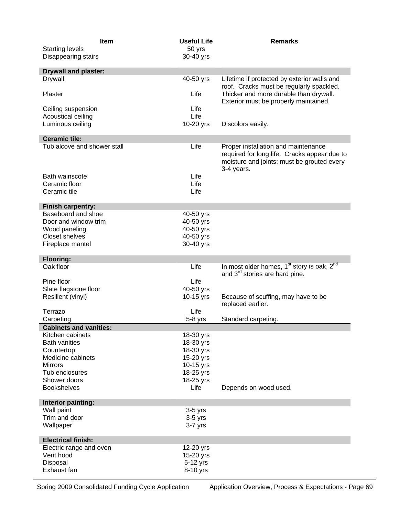| Item<br><b>Starting levels</b>             | <b>Useful Life</b><br>50 yrs | <b>Remarks</b>                                                                                                                                  |
|--------------------------------------------|------------------------------|-------------------------------------------------------------------------------------------------------------------------------------------------|
| Disappearing stairs                        | 30-40 yrs                    |                                                                                                                                                 |
| <b>Drywall and plaster:</b>                |                              |                                                                                                                                                 |
| Drywall                                    | 40-50 yrs                    | Lifetime if protected by exterior walls and<br>roof. Cracks must be regularly spackled.                                                         |
| Plaster                                    | Life                         | Thicker and more durable than drywall.<br>Exterior must be properly maintained.                                                                 |
| Ceiling suspension                         | Life                         |                                                                                                                                                 |
| Acoustical ceiling                         | Life                         |                                                                                                                                                 |
| Luminous ceiling                           | 10-20 yrs                    | Discolors easily.                                                                                                                               |
| <b>Ceramic tile:</b>                       |                              |                                                                                                                                                 |
| Tub alcove and shower stall                | Life                         | Proper installation and maintenance<br>required for long life. Cracks appear due to<br>moisture and joints; must be grouted every<br>3-4 years. |
| Bath wainscote                             | Life                         |                                                                                                                                                 |
| Ceramic floor                              | Life                         |                                                                                                                                                 |
| Ceramic tile                               | Life                         |                                                                                                                                                 |
| <b>Finish carpentry:</b>                   |                              |                                                                                                                                                 |
| Baseboard and shoe                         | 40-50 yrs                    |                                                                                                                                                 |
| Door and window trim<br>Wood paneling      | 40-50 yrs<br>40-50 yrs       |                                                                                                                                                 |
| <b>Closet shelves</b>                      | 40-50 yrs                    |                                                                                                                                                 |
| Fireplace mantel                           | 30-40 yrs                    |                                                                                                                                                 |
|                                            |                              |                                                                                                                                                 |
| <b>Flooring:</b><br>Oak floor              | Life                         | In most older homes, 1 <sup>st</sup> story is oak, 2 <sup>nd</sup>                                                                              |
|                                            |                              | and 3 <sup>rd</sup> stories are hard pine.                                                                                                      |
| Pine floor                                 | Life                         |                                                                                                                                                 |
| Slate flagstone floor                      | 40-50 yrs                    |                                                                                                                                                 |
| Resilient (vinyl)                          | 10-15 yrs                    | Because of scuffing, may have to be<br>replaced earlier.                                                                                        |
| Terrazo                                    | Life                         |                                                                                                                                                 |
| Carpeting<br><b>Cabinets and vanities:</b> | 5-8 yrs                      | Standard carpeting.                                                                                                                             |
| Kitchen cabinets                           | 18-30 yrs                    |                                                                                                                                                 |
| <b>Bath vanities</b>                       | 18-30 yrs                    |                                                                                                                                                 |
| Countertop                                 | 18-30 yrs                    |                                                                                                                                                 |
| Medicine cabinets                          | 15-20 yrs                    |                                                                                                                                                 |
| <b>Mirrors</b><br>Tub enclosures           | 10-15 yrs<br>18-25 yrs       |                                                                                                                                                 |
| Shower doors                               | 18-25 yrs                    |                                                                                                                                                 |
| <b>Bookshelves</b>                         | Life                         | Depends on wood used.                                                                                                                           |
|                                            |                              |                                                                                                                                                 |
| Interior painting:<br>Wall paint           | $3-5$ yrs                    |                                                                                                                                                 |
| Trim and door                              | $3-5$ yrs                    |                                                                                                                                                 |
| Wallpaper                                  | $3-7$ yrs                    |                                                                                                                                                 |
| <b>Electrical finish:</b>                  |                              |                                                                                                                                                 |
| Electric range and oven                    | 12-20 yrs                    |                                                                                                                                                 |
| Vent hood                                  | 15-20 yrs                    |                                                                                                                                                 |
| Disposal                                   | 5-12 yrs                     |                                                                                                                                                 |
| Exhaust fan                                | 8-10 yrs                     |                                                                                                                                                 |

Spring 2009 Consolidated Funding Cycle Application Application Overview, Process & Expectations - Page 69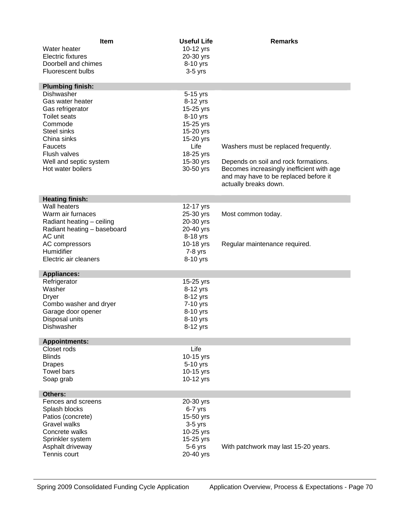| <b>Item</b><br>Water heater<br><b>Electric fixtures</b><br>Doorbell and chimes<br>Fluorescent bulbs                                       | <b>Useful Life</b><br>10-12 yrs<br>20-30 yrs<br>8-10 yrs<br>$3-5$ yrs                   | <b>Remarks</b>                                                                                                                                      |
|-------------------------------------------------------------------------------------------------------------------------------------------|-----------------------------------------------------------------------------------------|-----------------------------------------------------------------------------------------------------------------------------------------------------|
| <b>Plumbing finish:</b>                                                                                                                   |                                                                                         |                                                                                                                                                     |
| Dishwasher<br>Gas water heater<br>Gas refrigerator<br><b>Toilet seats</b><br>Commode<br>Steel sinks                                       | 5-15 yrs<br>8-12 yrs<br>15-25 yrs<br>8-10 yrs<br>15-25 yrs<br>15-20 yrs                 |                                                                                                                                                     |
| China sinks                                                                                                                               | 15-20 yrs                                                                               |                                                                                                                                                     |
| Faucets<br>Flush valves                                                                                                                   | Life<br>18-25 yrs                                                                       | Washers must be replaced frequently.                                                                                                                |
| Well and septic system<br>Hot water boilers                                                                                               | 15-30 yrs<br>30-50 yrs                                                                  | Depends on soil and rock formations.<br>Becomes increasingly inefficient with age<br>and may have to be replaced before it<br>actually breaks down. |
| <b>Heating finish:</b>                                                                                                                    |                                                                                         |                                                                                                                                                     |
| Wall heaters<br>Warm air furnaces<br>Radiant heating - ceiling<br>Radiant heating - baseboard<br>AC unit                                  | 12-17 yrs<br>25-30 yrs<br>20-30 yrs<br>20-40 yrs<br>8-18 yrs                            | Most common today.                                                                                                                                  |
| AC compressors<br>Humidifier<br>Electric air cleaners                                                                                     | 10-18 yrs<br>$7-8$ yrs<br>8-10 yrs                                                      | Regular maintenance required.                                                                                                                       |
| <b>Appliances:</b>                                                                                                                        |                                                                                         |                                                                                                                                                     |
| Refrigerator<br>Washer<br><b>Dryer</b><br>Combo washer and dryer<br>Garage door opener<br>Disposal units<br>Dishwasher                    | 15-25 yrs<br>8-12 yrs<br>8-12 yrs<br>7-10 yrs<br>8-10 yrs<br>8-10 yrs<br>8-12 yrs       |                                                                                                                                                     |
| <b>Appointments:</b>                                                                                                                      |                                                                                         |                                                                                                                                                     |
| Closet rods<br><b>Blinds</b><br><b>Drapes</b><br>Towel bars<br>Soap grab                                                                  | Life<br>10-15 yrs<br>5-10 yrs<br>10-15 yrs<br>10-12 yrs                                 |                                                                                                                                                     |
| Others:                                                                                                                                   |                                                                                         |                                                                                                                                                     |
| Fences and screens<br>Splash blocks<br>Patios (concrete)<br><b>Gravel walks</b><br>Concrete walks<br>Sprinkler system<br>Asphalt driveway | 20-30 yrs<br>$6-7$ yrs<br>15-50 yrs<br>$3-5$ yrs<br>10-25 yrs<br>15-25 yrs<br>$5-6$ yrs | With patchwork may last 15-20 years.                                                                                                                |
| Tennis court                                                                                                                              | 20-40 yrs                                                                               |                                                                                                                                                     |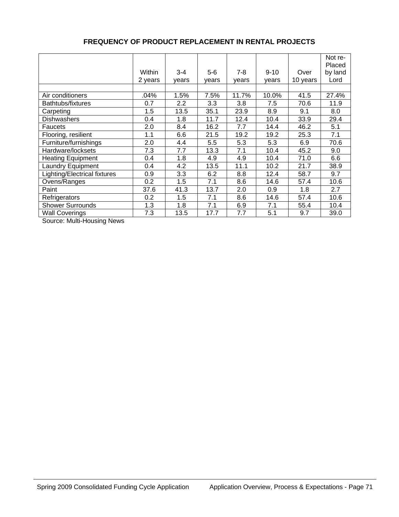|                                     | Within<br>2 years | $3 - 4$<br>years | $5-6$<br>years | $7-8$<br>years | $9 - 10$<br>years | Over<br>10 years | Not re-<br>Placed<br>by land<br>Lord |
|-------------------------------------|-------------------|------------------|----------------|----------------|-------------------|------------------|--------------------------------------|
|                                     |                   |                  |                |                |                   |                  |                                      |
| Air conditioners                    | .04%              | 1.5%             | 7.5%           | 11.7%          | 10.0%             | 41.5             | 27.4%                                |
| Bathtubs/fixtures                   | 0.7               | 2.2              | 3.3            | 3.8            | 7.5               | 70.6             | 11.9                                 |
| Carpeting                           | 1.5               | 13.5             | 35.1           | 23.9           | 8.9               | 9.1              | 8.0                                  |
| <b>Dishwashers</b>                  | 0.4               | 1.8              | 11.7           | 12.4           | 10.4              | 33.9             | 29.4                                 |
| Faucets                             | 2.0               | 8.4              | 16.2           | 7.7            | 14.4              | 46.2             | 5.1                                  |
| Flooring, resilient                 | 1.1               | 6.6              | 21.5           | 19.2           | 19.2              | 25.3             | 7.1                                  |
| Furniture/furnishings               | 2.0               | 4.4              | 5.5            | 5.3            | 5.3               | 6.9              | 70.6                                 |
| Hardware/locksets                   | 7.3               | 7.7              | 13.3           | 7.1            | 10.4              | 45.2             | 9.0                                  |
| <b>Heating Equipment</b>            | 0.4               | 1.8              | 4.9            | 4.9            | 10.4              | 71.0             | 6.6                                  |
| <b>Laundry Equipment</b>            | 0.4               | 4.2              | 13.5           | 11.1           | 10.2              | 21.7             | 38.9                                 |
| <b>Lighting/Electrical fixtures</b> | 0.9               | 3.3              | 6.2            | 8.8            | 12.4              | 58.7             | 9.7                                  |
| Ovens/Ranges                        | 0.2               | 1.5              | 7.1            | 8.6            | 14.6              | 57.4             | 10.6                                 |
| Paint                               | 37.6              | 41.3             | 13.7           | 2.0            | 0.9               | 1.8              | 2.7                                  |
| Refrigerators                       | 0.2               | 1.5              | 7.1            | 8.6            | 14.6              | 57.4             | 10.6                                 |
| <b>Shower Surrounds</b>             | 1.3               | 1.8              | 7.1            | 6.9            | 7.1               | 55.4             | 10.4                                 |
| <b>Wall Coverings</b>               | 7.3               | 13.5             | 17.7           | 7.7            | 5.1               | 9.7              | 39.0                                 |

#### **FREQUENCY OF PRODUCT REPLACEMENT IN RENTAL PROJECTS**

Source: Multi-Housing News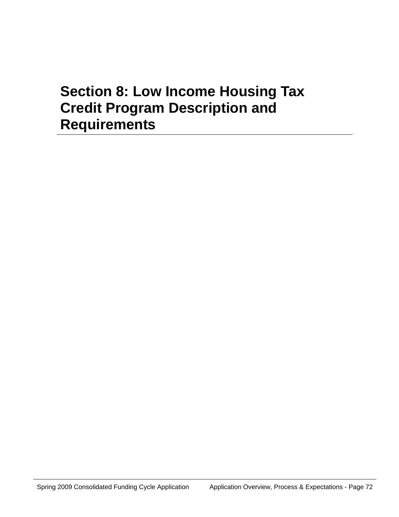# **Section 8: Low Income Housing Tax Credit Program Description and Requirements**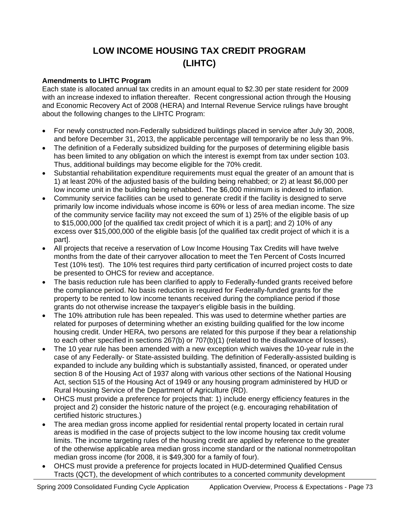# **LOW INCOME HOUSING TAX CREDIT PROGRAM (LIHTC)**

#### **Amendments to LIHTC Program**

Each state is allocated annual tax credits in an amount equal to \$2.30 per state resident for 2009 with an increase indexed to inflation thereafter. Recent congressional action through the Housing and Economic Recovery Act of 2008 (HERA) and Internal Revenue Service rulings have brought about the following changes to the LIHTC Program:

- For newly constructed non-Federally subsidized buildings placed in service after July 30, 2008, and before December 31, 2013, the applicable percentage will temporarily be no less than 9%.
- The definition of a Federally subsidized building for the purposes of determining eligible basis has been limited to any obligation on which the interest is exempt from tax under section 103. Thus, additional buildings may become eligible for the 70% credit.
- Substantial rehabilitation expenditure requirements must equal the greater of an amount that is 1) at least 20% of the adjusted basis of the building being rehabbed; or 2) at least \$6,000 per low income unit in the building being rehabbed. The \$6,000 minimum is indexed to inflation.
- Community service facilities can be used to generate credit if the facility is designed to serve primarily low income individuals whose income is 60% or less of area median income. The size of the community service facility may not exceed the sum of 1) 25% of the eligible basis of up to \$15,000,000 [of the qualified tax credit project of which it is a part]; and 2) 10% of any excess over \$15,000,000 of the eligible basis [of the qualified tax credit project of which it is a part].
- All projects that receive a reservation of Low Income Housing Tax Credits will have twelve months from the date of their carryover allocation to meet the Ten Percent of Costs Incurred Test (10% test). The 10% test requires third party certification of incurred project costs to date be presented to OHCS for review and acceptance.
- The basis reduction rule has been clarified to apply to Federally-funded grants received before the compliance period. No basis reduction is required for Federally-funded grants for the property to be rented to low income tenants received during the compliance period if those grants do not otherwise increase the taxpayer's eligible basis in the building.
- The 10% attribution rule has been repealed. This was used to determine whether parties are related for purposes of determining whether an existing building qualified for the low income housing credit. Under HERA, two persons are related for this purpose if they bear a relationship to each other specified in sections 267(b) or 707(b)(1) (related to the disallowance of losses).
- The 10 year rule has been amended with a new exception which waives the 10-year rule in the case of any Federally- or State-assisted building. The definition of Federally-assisted building is expanded to include any building which is substantially assisted, financed, or operated under section 8 of the Housing Act of 1937 along with various other sections of the National Housing Act, section 515 of the Housing Act of 1949 or any housing program administered by HUD or Rural Housing Service of the Department of Agriculture (RD).
- OHCS must provide a preference for projects that: 1) include energy efficiency features in the project and 2) consider the historic nature of the project (e.g. encouraging rehabilitation of certified historic structures.)
- The area median gross income applied for residential rental property located in certain rural areas is modified in the case of projects subject to the low income housing tax credit volume limits. The income targeting rules of the housing credit are applied by reference to the greater of the otherwise applicable area median gross income standard or the national nonmetropolitan median gross income (for 2008, it is \$49,300 for a family of four).
- OHCS must provide a preference for projects located in HUD-determined Qualified Census Tracts (QCT), the development of which contributes to a concerted community development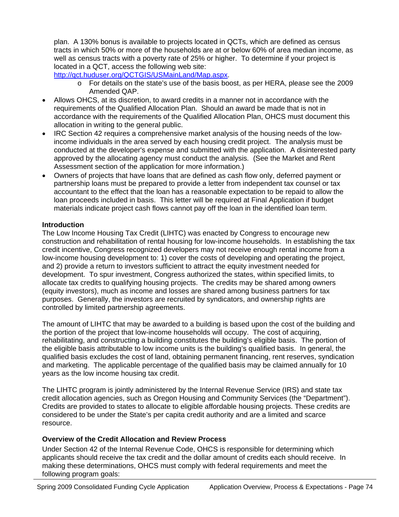plan. A 130% bonus is available to projects located in QCTs, which are defined as census tracts in which 50% or more of the households are at or below 60% of area median income, as well as census tracts with a poverty rate of 25% or higher. To determine if your project is located in a QCT, access the following web site:

<http://qct.huduser.org/QCTGIS/USMainLand/Map.aspx>.

- o For details on the state's use of the basis boost, as per HERA, please see the 2009 Amended QAP.
- Allows OHCS, at its discretion, to award credits in a manner not in accordance with the requirements of the Qualified Allocation Plan. Should an award be made that is not in accordance with the requirements of the Qualified Allocation Plan, OHCS must document this allocation in writing to the general public.
- IRC Section 42 requires a comprehensive market analysis of the housing needs of the lowincome individuals in the area served by each housing credit project. The analysis must be conducted at the developer's expense and submitted with the application. A disinterested party approved by the allocating agency must conduct the analysis*.* (See the Market and Rent Assessment section of the application for more information.)
- Owners of projects that have loans that are defined as cash flow only, deferred payment or partnership loans must be prepared to provide a letter from independent tax counsel or tax accountant to the effect that the loan has a reasonable expectation to be repaid to allow the loan proceeds included in basis. This letter will be required at Final Application if budget materials indicate project cash flows cannot pay off the loan in the identified loan term.

#### **Introduction**

The Low Income Housing Tax Credit (LIHTC) was enacted by Congress to encourage new construction and rehabilitation of rental housing for low-income households. In establishing the tax credit incentive, Congress recognized developers may not receive enough rental income from a low-income housing development to: 1) cover the costs of developing and operating the project, and 2) provide a return to investors sufficient to attract the equity investment needed for development. To spur investment, Congress authorized the states, within specified limits, to allocate tax credits to qualifying housing projects. The credits may be shared among owners (equity investors), much as income and losses are shared among business partners for tax purposes. Generally, the investors are recruited by syndicators, and ownership rights are controlled by limited partnership agreements.

The amount of LIHTC that may be awarded to a building is based upon the cost of the building and the portion of the project that low-income households will occupy. The cost of acquiring, rehabilitating, and constructing a building constitutes the building's eligible basis. The portion of the eligible basis attributable to low income units is the building's qualified basis. In general, the qualified basis excludes the cost of land, obtaining permanent financing, rent reserves, syndication and marketing. The applicable percentage of the qualified basis may be claimed annually for 10 years as the low income housing tax credit.

The LIHTC program is jointly administered by the Internal Revenue Service (IRS) and state tax credit allocation agencies, such as Oregon Housing and Community Services (the "Department"). Credits are provided to states to allocate to eligible affordable housing projects. These credits are considered to be under the State's per capita credit authority and are a limited and scarce resource.

#### **Overview of the Credit Allocation and Review Process**

Under Section 42 of the Internal Revenue Code, OHCS is responsible for determining which applicants should receive the tax credit and the dollar amount of credits each should receive. In making these determinations, OHCS must comply with federal requirements and meet the following program goals: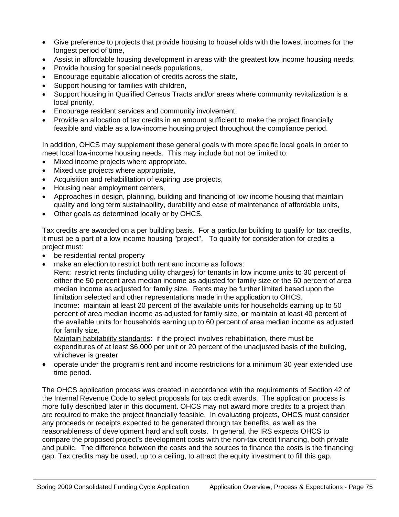- Give preference to projects that provide housing to households with the lowest incomes for the longest period of time,
- Assist in affordable housing development in areas with the greatest low income housing needs,
- Provide housing for special needs populations,
- Encourage equitable allocation of credits across the state,
- Support housing for families with children,
- Support housing in Qualified Census Tracts and/or areas where community revitalization is a local priority,
- Encourage resident services and community involvement,
- Provide an allocation of tax credits in an amount sufficient to make the project financially feasible and viable as a low-income housing project throughout the compliance period.

In addition, OHCS may supplement these general goals with more specific local goals in order to meet local low-income housing needs. This may include but not be limited to:

- Mixed income projects where appropriate,
- Mixed use projects where appropriate,
- Acquisition and rehabilitation of expiring use projects,
- Housing near employment centers,
- Approaches in design, planning, building and financing of low income housing that maintain quality and long term sustainability, durability and ease of maintenance of affordable units,
- Other goals as determined locally or by OHCS.

Tax credits are awarded on a per building basis. For a particular building to qualify for tax credits, it must be a part of a low income housing "project". To qualify for consideration for credits a project must:

- be residential rental property
- make an election to restrict both rent and income as follows:

 Rent: restrict rents (including utility charges) for tenants in low income units to 30 percent of either the 50 percent area median income as adjusted for family size or the 60 percent of area median income as adjusted for family size. Rents may be further limited based upon the limitation selected and other representations made in the application to OHCS.

 Income: maintain at least 20 percent of the available units for households earning up to 50 percent of area median income as adjusted for family size, **or** maintain at least 40 percent of the available units for households earning up to 60 percent of area median income as adjusted for family size.

Maintain habitability standards: if the project involves rehabilitation, there must be expenditures of at least \$6,000 per unit or 20 percent of the unadjusted basis of the building, whichever is greater

• operate under the program's rent and income restrictions for a minimum 30 year extended use time period.

The OHCS application process was created in accordance with the requirements of Section 42 of the Internal Revenue Code to select proposals for tax credit awards. The application process is more fully described later in this document. OHCS may not award more credits to a project than are required to make the project financially feasible. In evaluating projects, OHCS must consider any proceeds or receipts expected to be generated through tax benefits, as well as the reasonableness of development hard and soft costs. In general, the IRS expects OHCS to compare the proposed project's development costs with the non-tax credit financing, both private and public. The difference between the costs and the sources to finance the costs is the financing gap. Tax credits may be used, up to a ceiling, to attract the equity investment to fill this gap.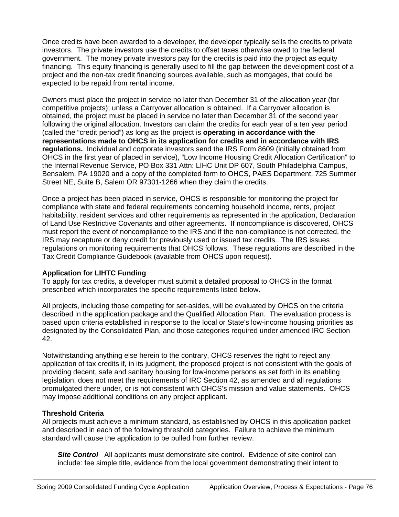Once credits have been awarded to a developer, the developer typically sells the credits to private investors. The private investors use the credits to offset taxes otherwise owed to the federal government. The money private investors pay for the credits is paid into the project as equity financing. This equity financing is generally used to fill the gap between the development cost of a project and the non-tax credit financing sources available, such as mortgages, that could be expected to be repaid from rental income.

Owners must place the project in service no later than December 31 of the allocation year (for competitive projects); unless a Carryover allocation is obtained. If a Carryover allocation is obtained, the project must be placed in service no later than December 31 of the second year following the original allocation. Investors can claim the credits for each year of a ten year period (called the "credit period") as long as the project is **operating in accordance with the representations made to OHCS in its application for credits and in accordance with IRS regulations.** Individual and corporate investors send the IRS Form 8609 (initially obtained from OHCS in the first year of placed in service), "Low Income Housing Credit Allocation Certification" to the Internal Revenue Service, PO Box 331 Attn: LIHC Unit DP 607, South Philadelphia Campus, Bensalem, PA 19020 and a copy of the completed form to OHCS, PAES Department, 725 Summer Street NE, Suite B, Salem OR 97301-1266 when they claim the credits.

Once a project has been placed in service, OHCS is responsible for monitoring the project for compliance with state and federal requirements concerning household income, rents, project habitability, resident services and other requirements as represented in the application, Declaration of Land Use Restrictive Covenants and other agreements. If noncompliance is discovered, OHCS must report the event of noncompliance to the IRS and if the non-compliance is not corrected, the IRS may recapture or deny credit for previously used or issued tax credits. The IRS issues regulations on monitoring requirements that OHCS follows. These regulations are described in the Tax Credit Compliance Guidebook (available from OHCS upon request).

#### **Application for LIHTC Funding**

To apply for tax credits, a developer must submit a detailed proposal to OHCS in the format prescribed which incorporates the specific requirements listed below.

All projects, including those competing for set-asides, will be evaluated by OHCS on the criteria described in the application package and the Qualified Allocation Plan. The evaluation process is based upon criteria established in response to the local or State's low-income housing priorities as designated by the Consolidated Plan, and those categories required under amended IRC Section 42.

Notwithstanding anything else herein to the contrary, OHCS reserves the right to reject any application of tax credits if, in its judgment, the proposed project is not consistent with the goals of providing decent, safe and sanitary housing for low-income persons as set forth in its enabling legislation, does not meet the requirements of IRC Section 42, as amended and all regulations promulgated there under, or is not consistent with OHCS's mission and value statements. OHCS may impose additional conditions on any project applicant.

#### **Threshold Criteria**

All projects must achieve a minimum standard, as established by OHCS in this application packet and described in each of the following threshold categories. Failure to achieve the minimum standard will cause the application to be pulled from further review.

**Site Control** All applicants must demonstrate site control. Evidence of site control can include: fee simple title, evidence from the local government demonstrating their intent to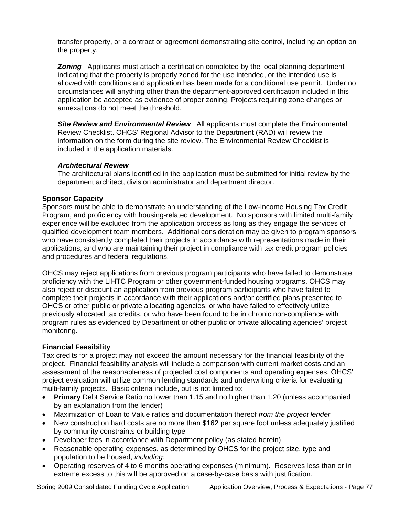transfer property, or a contract or agreement demonstrating site control, including an option on the property.

**Zoning** Applicants must attach a certification completed by the local planning department indicating that the property is properly zoned for the use intended, or the intended use is allowed with conditions and application has been made for a conditional use permit. Under no circumstances will anything other than the department-approved certification included in this application be accepted as evidence of proper zoning. Projects requiring zone changes or annexations do not meet the threshold.

**Site Review and Environmental Review** All applicants must complete the Environmental Review Checklist. OHCS' Regional Advisor to the Department (RAD) will review the information on the form during the site review. The Environmental Review Checklist is included in the application materials.

#### *Architectural Review*

The architectural plans identified in the application must be submitted for initial review by the department architect, division administrator and department director.

#### **Sponsor Capacity**

Sponsors must be able to demonstrate an understanding of the Low-Income Housing Tax Credit Program, and proficiency with housing-related development. No sponsors with limited multi-family experience will be excluded from the application process as long as they engage the services of qualified development team members. Additional consideration may be given to program sponsors who have consistently completed their projects in accordance with representations made in their applications, and who are maintaining their project in compliance with tax credit program policies and procedures and federal regulations.

OHCS may reject applications from previous program participants who have failed to demonstrate proficiency with the LIHTC Program or other government-funded housing programs. OHCS may also reject or discount an application from previous program participants who have failed to complete their projects in accordance with their applications and/or certified plans presented to OHCS or other public or private allocating agencies, or who have failed to effectively utilize previously allocated tax credits, or who have been found to be in chronic non-compliance with program rules as evidenced by Department or other public or private allocating agencies' project monitoring.

#### **Financial Feasibility**

Tax credits for a project may not exceed the amount necessary for the financial feasibility of the project. Financial feasibility analysis will include a comparison with current market costs and an assessment of the reasonableness of projected cost components and operating expenses. OHCS' project evaluation will utilize common lending standards and underwriting criteria for evaluating multi-family projects. Basic criteria include, but is not limited to:

- **Primary** Debt Service Ratio no lower than 1.15 and no higher than 1.20 (unless accompanied by an explanation from the lender)
- Maximization of Loan to Value ratios and documentation thereof *from the project lender*
- New construction hard costs are no more than \$162 per square foot unless adequately justified by community constraints or building type
- Developer fees in accordance with Department policy (as stated herein)
- Reasonable operating expenses, as determined by OHCS for the project size, type and population to be housed, *including:*
- Operating reserves of 4 to 6 months operating expenses (minimum). Reserves less than or in extreme excess to this will be approved on a case-by-case basis with justification.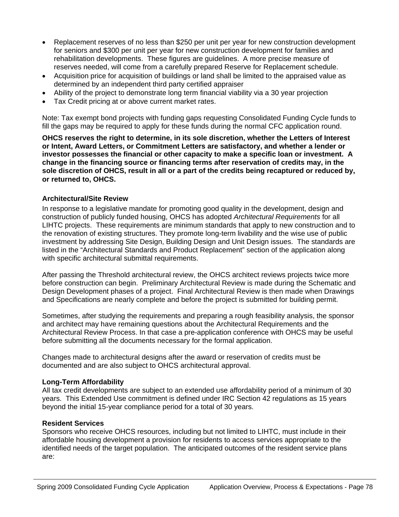- Replacement reserves of no less than \$250 per unit per year for new construction development for seniors and \$300 per unit per year for new construction development for families and rehabilitation developments. These figures are guidelines. A more precise measure of reserves needed, will come from a carefully prepared Reserve for Replacement schedule.
- Acquisition price for acquisition of buildings or land shall be limited to the appraised value as determined by an independent third party certified appraiser
- Ability of the project to demonstrate long term financial viability via a 30 year projection
- Tax Credit pricing at or above current market rates.

Note: Tax exempt bond projects with funding gaps requesting Consolidated Funding Cycle funds to fill the gaps may be required to apply for these funds during the normal CFC application round.

**OHCS reserves the right to determine, in its sole discretion, whether the Letters of Interest or Intent, Award Letters, or Commitment Letters are satisfactory, and whether a lender or investor possesses the financial or other capacity to make a specific loan or investment. A change in the financing source or financing terms after reservation of credits may, in the sole discretion of OHCS, result in all or a part of the credits being recaptured or reduced by, or returned to, OHCS.** 

#### **Architectural/Site Review**

In response to a legislative mandate for promoting good quality in the development, design and construction of publicly funded housing, OHCS has adopted *Architectural Requirements* for all LIHTC projects. These requirements are minimum standards that apply to new construction and to the renovation of existing structures. They promote long-term livability and the wise use of public investment by addressing Site Design, Building Design and Unit Design issues. The standards are listed in the "Architectural Standards and Product Replacement" section of the application along with specific architectural submittal requirements.

After passing the Threshold architectural review, the OHCS architect reviews projects twice more before construction can begin. Preliminary Architectural Review is made during the Schematic and Design Development phases of a project. Final Architectural Review is then made when Drawings and Specifications are nearly complete and before the project is submitted for building permit.

Sometimes, after studying the requirements and preparing a rough feasibility analysis, the sponsor and architect may have remaining questions about the Architectural Requirements and the Architectural Review Process. In that case a pre-application conference with OHCS may be useful before submitting all the documents necessary for the formal application.

Changes made to architectural designs after the award or reservation of credits must be documented and are also subject to OHCS architectural approval.

#### **Long-Term Affordability**

All tax credit developments are subject to an extended use affordability period of a minimum of 30 years. This Extended Use commitment is defined under IRC Section 42 regulations as 15 years beyond the initial 15-year compliance period for a total of 30 years.

#### **Resident Services**

Sponsors who receive OHCS resources, including but not limited to LIHTC, must include in their affordable housing development a provision for residents to access services appropriate to the identified needs of the target population. The anticipated outcomes of the resident service plans are: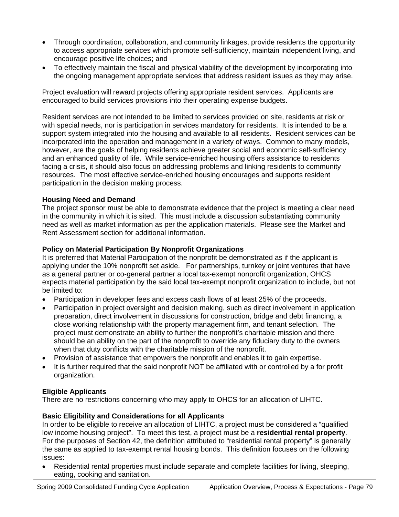- Through coordination, collaboration, and community linkages, provide residents the opportunity to access appropriate services which promote self-sufficiency, maintain independent living, and encourage positive life choices; and
- To effectively maintain the fiscal and physical viability of the development by incorporating into the ongoing management appropriate services that address resident issues as they may arise.

Project evaluation will reward projects offering appropriate resident services. Applicants are encouraged to build services provisions into their operating expense budgets.

Resident services are not intended to be limited to services provided on site, residents at risk or with special needs, nor is participation in services mandatory for residents. It is intended to be a support system integrated into the housing and available to all residents. Resident services can be incorporated into the operation and management in a variety of ways. Common to many models, however, are the goals of helping residents achieve greater social and economic self-sufficiency and an enhanced quality of life. While service-enriched housing offers assistance to residents facing a crisis, it should also focus on addressing problems and linking residents to community resources. The most effective service-enriched housing encourages and supports resident participation in the decision making process.

#### **Housing Need and Demand**

The project sponsor must be able to demonstrate evidence that the project is meeting a clear need in the community in which it is sited. This must include a discussion substantiating community need as well as market information as per the application materials. Please see the Market and Rent Assessment section for additional information.

#### **Policy on Material Participation By Nonprofit Organizations**

It is preferred that Material Participation of the nonprofit be demonstrated as if the applicant is applying under the 10% nonprofit set aside. For partnerships, turnkey or joint ventures that have as a general partner or co-general partner a local tax-exempt nonprofit organization, OHCS expects material participation by the said local tax-exempt nonprofit organization to include, but not be limited to:

- Participation in developer fees and excess cash flows of at least 25% of the proceeds.
- Participation in project oversight and decision making, such as direct involvement in application preparation, direct involvement in discussions for construction, bridge and debt financing, a close working relationship with the property management firm, and tenant selection. The project must demonstrate an ability to further the nonprofit's charitable mission and there should be an ability on the part of the nonprofit to override any fiduciary duty to the owners when that duty conflicts with the charitable mission of the nonprofit.
- Provision of assistance that empowers the nonprofit and enables it to gain expertise.
- It is further required that the said nonprofit NOT be affiliated with or controlled by a for profit organization.

#### **Eligible Applicants**

There are no restrictions concerning who may apply to OHCS for an allocation of LIHTC.

#### **Basic Eligibility and Considerations for all Applicants**

In order to be eligible to receive an allocation of LIHTC, a project must be considered a "qualified low income housing project". To meet this test, a project must be a **residential rental property**. For the purposes of Section 42, the definition attributed to "residential rental property" is generally the same as applied to tax-exempt rental housing bonds. This definition focuses on the following issues:

• Residential rental properties must include separate and complete facilities for living, sleeping, eating, cooking and sanitation.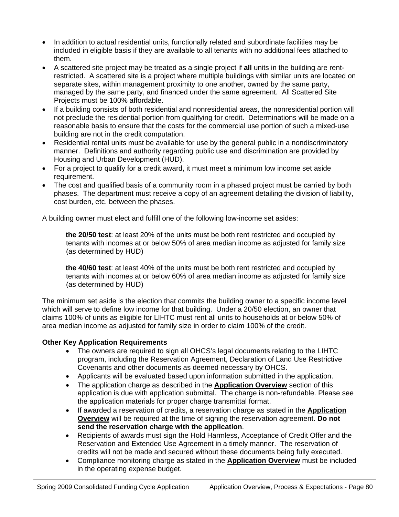- In addition to actual residential units, functionally related and subordinate facilities may be included in eligible basis if they are available to all tenants with no additional fees attached to them.
- A scattered site project may be treated as a single project if **all** units in the building are rentrestricted. A scattered site is a project where multiple buildings with similar units are located on separate sites, within management proximity to one another, owned by the same party, managed by the same party, and financed under the same agreement. All Scattered Site Projects must be 100% affordable.
- If a building consists of both residential and nonresidential areas, the nonresidential portion will not preclude the residential portion from qualifying for credit. Determinations will be made on a reasonable basis to ensure that the costs for the commercial use portion of such a mixed-use building are not in the credit computation.
- Residential rental units must be available for use by the general public in a nondiscriminatory manner. Definitions and authority regarding public use and discrimination are provided by Housing and Urban Development (HUD).
- For a project to qualify for a credit award, it must meet a minimum low income set aside requirement.
- The cost and qualified basis of a community room in a phased project must be carried by both phases. The department must receive a copy of an agreement detailing the division of liability, cost burden, etc. between the phases.

A building owner must elect and fulfill one of the following low-income set asides:

 **the 20/50 test**: at least 20% of the units must be both rent restricted and occupied by tenants with incomes at or below 50% of area median income as adjusted for family size (as determined by HUD)

 **the 40/60 test**: at least 40% of the units must be both rent restricted and occupied by tenants with incomes at or below 60% of area median income as adjusted for family size (as determined by HUD)

The minimum set aside is the election that commits the building owner to a specific income level which will serve to define low income for that building. Under a 20/50 election, an owner that claims 100% of units as eligible for LIHTC must rent all units to households at or below 50% of area median income as adjusted for family size in order to claim 100% of the credit.

#### **Other Key Application Requirements**

- The owners are required to sign all OHCS's legal documents relating to the LIHTC program, including the Reservation Agreement, Declaration of Land Use Restrictive Covenants and other documents as deemed necessary by OHCS.
- Applicants will be evaluated based upon information submitted in the application.
- The application charge as described in the **Application Overview** section of this application is due with application submittal. The charge is non-refundable. Please see the application materials for proper charge transmittal format.
- If awarded a reservation of credits, a reservation charge as stated in the **Application Overview** will be required at the time of signing the reservation agreement. **Do not send the reservation charge with the application**.
- Recipients of awards must sign the Hold Harmless, Acceptance of Credit Offer and the Reservation and Extended Use Agreement in a timely manner. The reservation of credits will not be made and secured without these documents being fully executed.
- Compliance monitoring charge as stated in the **Application Overview** must be included in the operating expense budget.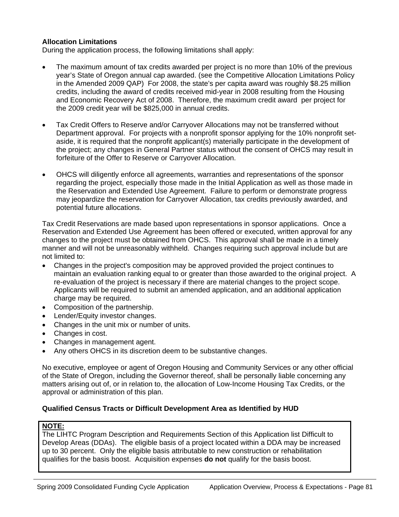#### **Allocation Limitations**

During the application process, the following limitations shall apply:

- The maximum amount of tax credits awarded per project is no more than 10% of the previous year's State of Oregon annual cap awarded. (see the Competitive Allocation Limitations Policy in the Amended 2009 QAP) For 2008, the state's per capita award was roughly \$8.25 million credits, including the award of credits received mid-year in 2008 resulting from the Housing and Economic Recovery Act of 2008. Therefore, the maximum credit award per project for the 2009 credit year will be \$825,000 in annual credits.
- Tax Credit Offers to Reserve and/or Carryover Allocations may not be transferred without Department approval. For projects with a nonprofit sponsor applying for the 10% nonprofit setaside, it is required that the nonprofit applicant(s) materially participate in the development of the project; any changes in General Partner status without the consent of OHCS may result in forfeiture of the Offer to Reserve or Carryover Allocation.
- OHCS will diligently enforce all agreements, warranties and representations of the sponsor regarding the project, especially those made in the Initial Application as well as those made in the Reservation and Extended Use Agreement. Failure to perform or demonstrate progress may jeopardize the reservation for Carryover Allocation, tax credits previously awarded, and potential future allocations.

Tax Credit Reservations are made based upon representations in sponsor applications. Once a Reservation and Extended Use Agreement has been offered or executed, written approval for any changes to the project must be obtained from OHCS. This approval shall be made in a timely manner and will not be unreasonably withheld. Changes requiring such approval include but are not limited to:

- Changes in the project's composition may be approved provided the project continues to maintain an evaluation ranking equal to or greater than those awarded to the original project. A re-evaluation of the project is necessary if there are material changes to the project scope. Applicants will be required to submit an amended application, and an additional application charge may be required.
- Composition of the partnership.
- Lender/Equity investor changes.
- Changes in the unit mix or number of units.
- Changes in cost.
- Changes in management agent.
- Any others OHCS in its discretion deem to be substantive changes.

No executive, employee or agent of Oregon Housing and Community Services or any other official of the State of Oregon, including the Governor thereof, shall be personally liable concerning any matters arising out of, or in relation to, the allocation of Low-Income Housing Tax Credits, or the approval or administration of this plan.

#### **Qualified Census Tracts or Difficult Development Area as Identified by HUD**

#### **NOTE:**

The LIHTC Program Description and Requirements Section of this Application list Difficult to Develop Areas (DDAs). The eligible basis of a project located within a DDA may be increased up to 30 percent. Only the eligible basis attributable to new construction or rehabilitation qualifies for the basis boost. Acquisition expenses **do not** qualify for the basis boost.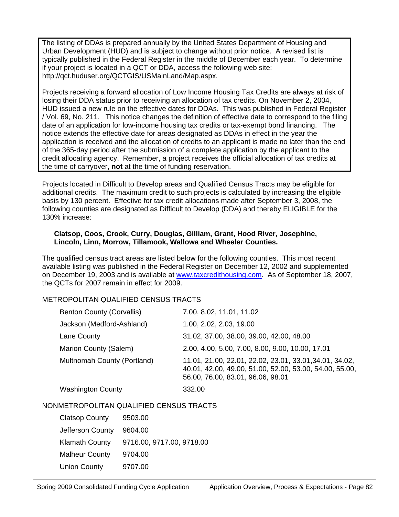The listing of DDAs is prepared annually by the United States Department of Housing and Urban Development (HUD) and is subject to change without prior notice. A revised list is typically published in the Federal Register in the middle of December each year. To determine if your project is located in a QCT or DDA, access the following web site: http://qct.huduser.org/QCTGIS/USMainLand/Map.aspx.

Projects receiving a forward allocation of Low Income Housing Tax Credits are always at risk of losing their DDA status prior to receiving an allocation of tax credits. On November 2, 2004, HUD issued a new rule on the effective dates for DDAs. This was published in Federal Register / Vol. 69, No. 211. This notice changes the definition of effective date to correspond to the filing date of an application for low-income housing tax credits or tax-exempt bond financing. The notice extends the effective date for areas designated as DDAs in effect in the year the application is received and the allocation of credits to an applicant is made no later than the end of the 365-day period after the submission of a complete application by the applicant to the credit allocating agency. Remember, a project receives the official allocation of tax credits at the time of carryover, **not** at the time of funding reservation.

Projects located in Difficult to Develop areas and Qualified Census Tracts may be eligible for additional credits. The maximum credit to such projects is calculated by increasing the eligible basis by 130 percent. Effective for tax credit allocations made after September 3, 2008, the following counties are designated as Difficult to Develop (DDA) and thereby ELIGIBLE for the 130% increase:

#### **Clatsop, Coos, Crook, Curry, Douglas, Gilliam, Grant, Hood River, Josephine, Lincoln, Linn, Morrow, Tillamook, Wallowa and Wheeler Counties.**

The qualified census tract areas are listed below for the following counties. This most recent available listing was published in the Federal Register on December 12, 2002 and supplemented on December 19, 2003 and is available at [www.taxcredithousing.com.](http://www.taxcredithousing.com/) As of September 18, 2007, the QCTs for 2007 remain in effect for 2009.

#### METROPOLITAN QUALIFIED CENSUS TRACTS

| <b>Benton County (Corvallis)</b> | 7.00, 8.02, 11.01, 11.02                                                                                                                                |
|----------------------------------|---------------------------------------------------------------------------------------------------------------------------------------------------------|
| Jackson (Medford-Ashland)        | 1.00, 2.02, 2.03, 19.00                                                                                                                                 |
| Lane County                      | 31.02, 37.00, 38.00, 39.00, 42.00, 48.00                                                                                                                |
| Marion County (Salem)            | 2.00, 4.00, 5.00, 7.00, 8.00, 9.00, 10.00, 17.01                                                                                                        |
| Multnomah County (Portland)      | 11.01, 21.00, 22.01, 22.02, 23.01, 33.01, 34.01, 34.02,<br>40.01, 42.00, 49.00, 51.00, 52.00, 53.00, 54.00, 55.00,<br>56.00, 76.00, 83.01, 96.06, 98.01 |
| <b>Washington County</b>         | 332.00                                                                                                                                                  |

#### NONMETROPOLITAN QUALIFIED CENSUS TRACTS

| <b>Clatsop County</b> | 9503.00                   |
|-----------------------|---------------------------|
| Jefferson County      | 9604.00                   |
| <b>Klamath County</b> | 9716.00, 9717.00, 9718.00 |
| <b>Malheur County</b> | 9704.00                   |
| <b>Union County</b>   | 9707.00                   |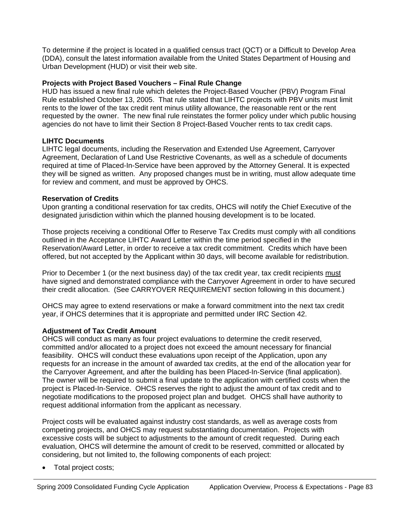To determine if the project is located in a qualified census tract (QCT) or a Difficult to Develop Area (DDA), consult the latest information available from the United States Department of Housing and Urban Development (HUD) or visit their web site.

#### **Projects with Project Based Vouchers – Final Rule Change**

HUD has issued a new final rule which deletes the Project-Based Voucher (PBV) Program Final Rule established October 13, 2005. That rule stated that LIHTC projects with PBV units must limit rents to the lower of the tax credit rent minus utility allowance, the reasonable rent or the rent requested by the owner. The new final rule reinstates the former policy under which public housing agencies do not have to limit their Section 8 Project-Based Voucher rents to tax credit caps.

#### **LIHTC Documents**

LIHTC legal documents, including the Reservation and Extended Use Agreement, Carryover Agreement, Declaration of Land Use Restrictive Covenants, as well as a schedule of documents required at time of Placed-In-Service have been approved by the Attorney General. It is expected they will be signed as written. Any proposed changes must be in writing, must allow adequate time for review and comment, and must be approved by OHCS.

#### **Reservation of Credits**

Upon granting a conditional reservation for tax credits, OHCS will notify the Chief Executive of the designated jurisdiction within which the planned housing development is to be located.

Those projects receiving a conditional Offer to Reserve Tax Credits must comply with all conditions outlined in the Acceptance LIHTC Award Letter within the time period specified in the Reservation/Award Letter, in order to receive a tax credit commitment. Credits which have been offered, but not accepted by the Applicant within 30 days, will become available for redistribution.

Prior to December 1 (or the next business day) of the tax credit year, tax credit recipients must have signed and demonstrated compliance with the Carryover Agreement in order to have secured their credit allocation. (See CARRYOVER REQUIREMENT section following in this document.)

OHCS may agree to extend reservations or make a forward commitment into the next tax credit year, if OHCS determines that it is appropriate and permitted under IRC Section 42.

#### **Adjustment of Tax Credit Amount**

OHCS will conduct as many as four project evaluations to determine the credit reserved, committed and/or allocated to a project does not exceed the amount necessary for financial feasibility. OHCS will conduct these evaluations upon receipt of the Application, upon any requests for an increase in the amount of awarded tax credits, at the end of the allocation year for the Carryover Agreement, and after the building has been Placed-In-Service (final application). The owner will be required to submit a final update to the application with certified costs when the project is Placed-In-Service. OHCS reserves the right to adjust the amount of tax credit and to negotiate modifications to the proposed project plan and budget. OHCS shall have authority to request additional information from the applicant as necessary.

Project costs will be evaluated against industry cost standards, as well as average costs from competing projects, and OHCS may request substantiating documentation. Projects with excessive costs will be subject to adjustments to the amount of credit requested. During each evaluation, OHCS will determine the amount of credit to be reserved, committed or allocated by considering, but not limited to, the following components of each project:

• Total project costs;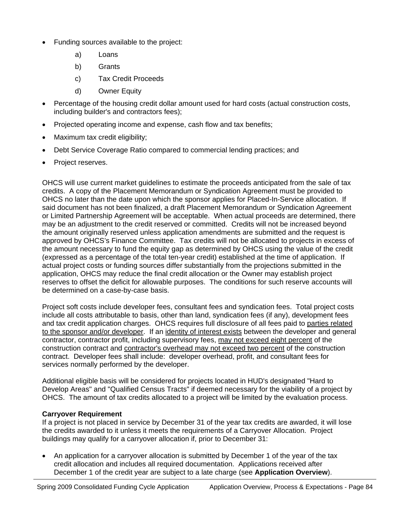- Funding sources available to the project:
	- a) Loans
	- b) Grants
	- c) Tax Credit Proceeds
	- d) Owner Equity
- Percentage of the housing credit dollar amount used for hard costs (actual construction costs, including builder's and contractors fees);
- Projected operating income and expense, cash flow and tax benefits;
- Maximum tax credit eligibility;
- Debt Service Coverage Ratio compared to commercial lending practices; and
- Project reserves.

OHCS will use current market guidelines to estimate the proceeds anticipated from the sale of tax credits. A copy of the Placement Memorandum or Syndication Agreement must be provided to OHCS no later than the date upon which the sponsor applies for Placed-In-Service allocation. If said document has not been finalized, a draft Placement Memorandum or Syndication Agreement or Limited Partnership Agreement will be acceptable. When actual proceeds are determined, there may be an adjustment to the credit reserved or committed. Credits will not be increased beyond the amount originally reserved unless application amendments are submitted and the request is approved by OHCS's Finance Committee. Tax credits will not be allocated to projects in excess of the amount necessary to fund the equity gap as determined by OHCS using the value of the credit (expressed as a percentage of the total ten-year credit) established at the time of application. If actual project costs or funding sources differ substantially from the projections submitted in the application, OHCS may reduce the final credit allocation or the Owner may establish project reserves to offset the deficit for allowable purposes. The conditions for such reserve accounts will be determined on a case-by-case basis.

Project soft costs include developer fees, consultant fees and syndication fees. Total project costs include all costs attributable to basis, other than land, syndication fees (if any), development fees and tax credit application charges. OHCS requires full disclosure of all fees paid to parties related to the sponsor and/or developer. If an identity of interest exists between the developer and general contractor, contractor profit, including supervisory fees, may not exceed eight percent of the construction contract and contractor's overhead may not exceed two percent of the construction contract. Developer fees shall include: developer overhead, profit, and consultant fees for services normally performed by the developer.

Additional eligible basis will be considered for projects located in HUD's designated "Hard to Develop Areas" and "Qualified Census Tracts" if deemed necessary for the viability of a project by OHCS. The amount of tax credits allocated to a project will be limited by the evaluation process.

#### **Carryover Requirement**

If a project is not placed in service by December 31 of the year tax credits are awarded, it will lose the credits awarded to it unless it meets the requirements of a Carryover Allocation. Project buildings may qualify for a carryover allocation if, prior to December 31:

• An application for a carryover allocation is submitted by December 1 of the year of the tax credit allocation and includes all required documentation. Applications received after December 1 of the credit year are subject to a late charge (see **Application Overview**).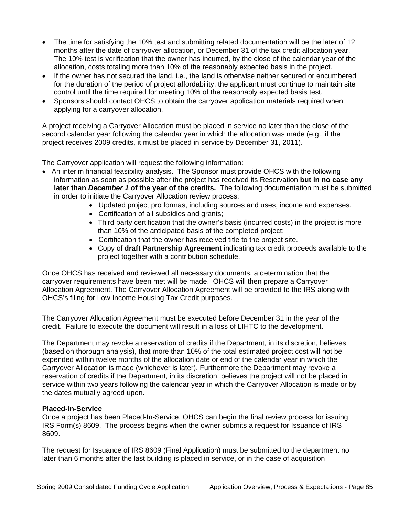- The time for satisfying the 10% test and submitting related documentation will be the later of 12 months after the date of carryover allocation, or December 31 of the tax credit allocation year. The 10% test is verification that the owner has incurred, by the close of the calendar year of the allocation, costs totaling more than 10% of the reasonably expected basis in the project.
- If the owner has not secured the land, i.e., the land is otherwise neither secured or encumbered for the duration of the period of project affordability, the applicant must continue to maintain site control until the time required for meeting 10% of the reasonably expected basis test.
- Sponsors should contact OHCS to obtain the carryover application materials required when applying for a carryover allocation.

A project receiving a Carryover Allocation must be placed in service no later than the close of the second calendar year following the calendar year in which the allocation was made (e.g., if the project receives 2009 credits, it must be placed in service by December 31, 2011).

The Carryover application will request the following information:

- An interim financial feasibility analysis. The Sponsor must provide OHCS with the following information as soon as possible after the project has received its Reservation **but in no case any later than** *December 1* **of the year of the credits.** The following documentation must be submitted in order to initiate the Carryover Allocation review process:
	- Updated project pro formas, including sources and uses, income and expenses.
	- Certification of all subsidies and grants;
	- Third party certification that the owner's basis (incurred costs) in the project is more than 10% of the anticipated basis of the completed project;
	- Certification that the owner has received title to the project site.
	- Copy of **draft Partnership Agreement** indicating tax credit proceeds available to the project together with a contribution schedule.

Once OHCS has received and reviewed all necessary documents, a determination that the carryover requirements have been met will be made. OHCS will then prepare a Carryover Allocation Agreement. The Carryover Allocation Agreement will be provided to the IRS along with OHCS's filing for Low Income Housing Tax Credit purposes.

The Carryover Allocation Agreement must be executed before December 31 in the year of the credit. Failure to execute the document will result in a loss of LIHTC to the development.

The Department may revoke a reservation of credits if the Department, in its discretion, believes (based on thorough analysis), that more than 10% of the total estimated project cost will not be expended within twelve months of the allocation date or end of the calendar year in which the Carryover Allocation is made (whichever is later). Furthermore the Department may revoke a reservation of credits if the Department, in its discretion, believes the project will not be placed in service within two years following the calendar year in which the Carryover Allocation is made or by the dates mutually agreed upon.

#### **Placed-in-Service**

Once a project has been Placed-In-Service, OHCS can begin the final review process for issuing IRS Form(s) 8609. The process begins when the owner submits a request for Issuance of IRS 8609.

The request for Issuance of IRS 8609 (Final Application) must be submitted to the department no later than 6 months after the last building is placed in service, or in the case of acquisition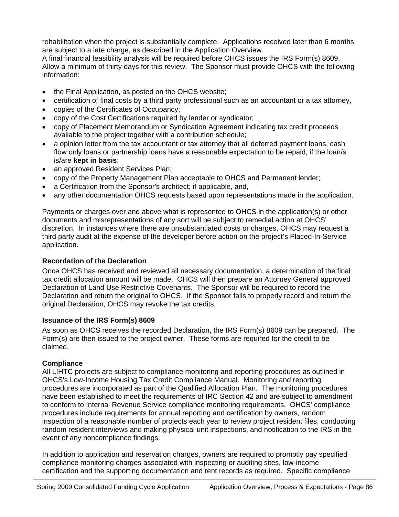rehabilitation when the project is substantially complete. Applications received later than 6 months are subject to a late charge, as described in the Application Overview.

A final financial feasibility analysis will be required before OHCS issues the IRS Form(s) 8609. Allow a minimum of thirty days for this review. The Sponsor must provide OHCS with the following information:

- the Final Application, as posted on the OHCS website;
- certification of final costs by a third party professional such as an accountant or a tax attorney,
- copies of the Certificates of Occupancy;
- copy of the Cost Certifications required by lender or syndicator;
- copy of Placement Memorandum or Syndication Agreement indicating tax credit proceeds available to the project together with a contribution schedule;
- a opinion letter from the tax accountant or tax attorney that all deferred payment loans, cash flow only loans or partnership loans have a reasonable expectation to be repaid, if the loan/s is/are **kept in basis**;
- an approved Resident Services Plan;
- copy of the Property Management Plan acceptable to OHCS and Permanent lender;
- a Certification from the Sponsor's architect; if applicable, and,
- any other documentation OHCS requests based upon representations made in the application.

Payments or charges over and above what is represented to OHCS in the application(s) or other documents and misrepresentations of any sort will be subject to remedial action at OHCS' discretion. In instances where there are unsubstantiated costs or charges, OHCS may request a third party audit at the expense of the developer before action on the project's Placed-In-Service application.

#### **Recordation of the Declaration**

Once OHCS has received and reviewed all necessary documentation, a determination of the final tax credit allocation amount will be made. OHCS will then prepare an Attorney General approved Declaration of Land Use Restrictive Covenants. The Sponsor will be required to record the Declaration and return the original to OHCS. If the Sponsor fails to properly record and return the original Declaration, OHCS may revoke the tax credits.

#### **Issuance of the IRS Form(s) 8609**

As soon as OHCS receives the recorded Declaration, the IRS Form(s) 8609 can be prepared. The Form(s) are then issued to the project owner. These forms are required for the credit to be claimed.

#### **Compliance**

All LIHTC projects are subject to compliance monitoring and reporting procedures as outlined in OHCS's Low-Income Housing Tax Credit Compliance Manual. Monitoring and reporting procedures are incorporated as part of the Qualified Allocation Plan. The monitoring procedures have been established to meet the requirements of IRC Section 42 and are subject to amendment to conform to Internal Revenue Service compliance monitoring requirements. OHCS' compliance procedures include requirements for annual reporting and certification by owners, random inspection of a reasonable number of projects each year to review project resident files, conducting random resident interviews and making physical unit inspections, and notification to the IRS in the event of any noncompliance findings.

In addition to application and reservation charges, owners are required to promptly pay specified compliance monitoring charges associated with inspecting or auditing sites, low-income certification and the supporting documentation and rent records as required. Specific compliance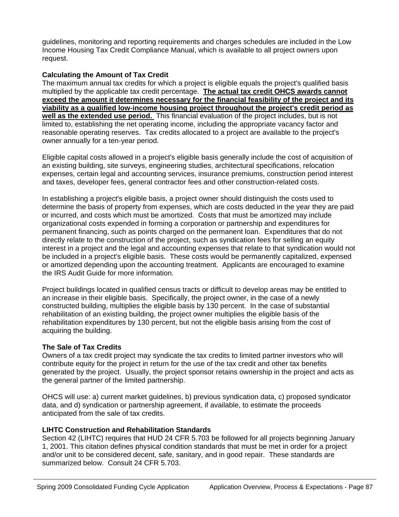guidelines, monitoring and reporting requirements and charges schedules are included in the Low Income Housing Tax Credit Compliance Manual, which is available to all project owners upon request.

#### **Calculating the Amount of Tax Credit**

The maximum annual tax credits for which a project is eligible equals the project's qualified basis multiplied by the applicable tax credit percentage. **The actual tax credit OHCS awards cannot exceed the amount it determines necessary for the financial feasibility of the project and its viability as a qualified low-income housing project throughout the project's credit period as well as the extended use period.** This financial evaluation of the project includes, but is not limited to, establishing the net operating income, including the appropriate vacancy factor and reasonable operating reserves. Tax credits allocated to a project are available to the project's owner annually for a ten-year period.

Eligible capital costs allowed in a project's eligible basis generally include the cost of acquisition of an existing building, site surveys, engineering studies, architectural specifications, relocation expenses, certain legal and accounting services, insurance premiums, construction period interest and taxes, developer fees, general contractor fees and other construction-related costs.

In establishing a project's eligible basis, a project owner should distinguish the costs used to determine the basis of property from expenses, which are costs deducted in the year they are paid or incurred, and costs which must be amortized. Costs that must be amortized may include organizational costs expended in forming a corporation or partnership and expenditures for permanent financing, such as points charged on the permanent loan. Expenditures that do not directly relate to the construction of the project, such as syndication fees for selling an equity interest in a project and the legal and accounting expenses that relate to that syndication would not be included in a project's eligible basis. These costs would be permanently capitalized, expensed or amortized depending upon the accounting treatment. Applicants are encouraged to examine the IRS Audit Guide for more information.

Project buildings located in qualified census tracts or difficult to develop areas may be entitled to an increase in their eligible basis. Specifically, the project owner, in the case of a newly constructed building, multiplies the eligible basis by 130 percent. In the case of substantial rehabilitation of an existing building, the project owner multiplies the eligible basis of the rehabilitation expenditures by 130 percent, but not the eligible basis arising from the cost of acquiring the building.

#### **The Sale of Tax Credits**

Owners of a tax credit project may syndicate the tax credits to limited partner investors who will contribute equity for the project in return for the use of the tax credit and other tax benefits generated by the project. Usually, the project sponsor retains ownership in the project and acts as the general partner of the limited partnership.

OHCS will use: a) current market guidelines, b) previous syndication data, c) proposed syndicator data, and d) syndication or partnership agreement, if available, to estimate the proceeds anticipated from the sale of tax credits.

#### **LIHTC Construction and Rehabilitation Standards**

Section 42 (LIHTC) requires that HUD 24 CFR 5.703 be followed for all projects beginning January 1, 2001. This citation defines physical condition standards that must be met in order for a project and/or unit to be considered decent, safe, sanitary, and in good repair. These standards are summarized below. Consult 24 CFR 5.703.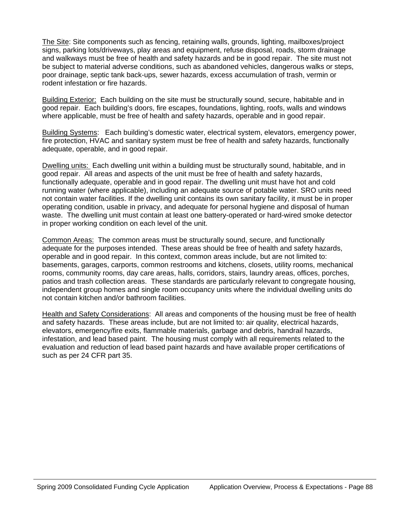The Site: Site components such as fencing, retaining walls, grounds, lighting, mailboxes/project signs, parking lots/driveways, play areas and equipment, refuse disposal, roads, storm drainage and walkways must be free of health and safety hazards and be in good repair. The site must not be subject to material adverse conditions, such as abandoned vehicles, dangerous walks or steps, poor drainage, septic tank back-ups, sewer hazards, excess accumulation of trash, vermin or rodent infestation or fire hazards.

Building Exterior: Each building on the site must be structurally sound, secure, habitable and in good repair. Each building's doors, fire escapes, foundations, lighting, roofs, walls and windows where applicable, must be free of health and safety hazards, operable and in good repair.

Building Systems: Each building's domestic water, electrical system, elevators, emergency power, fire protection, HVAC and sanitary system must be free of health and safety hazards, functionally adequate, operable, and in good repair.

Dwelling units: Each dwelling unit within a building must be structurally sound, habitable, and in good repair. All areas and aspects of the unit must be free of health and safety hazards, functionally adequate, operable and in good repair. The dwelling unit must have hot and cold running water (where applicable), including an adequate source of potable water. SRO units need not contain water facilities. If the dwelling unit contains its own sanitary facility, it must be in proper operating condition, usable in privacy, and adequate for personal hygiene and disposal of human waste. The dwelling unit must contain at least one battery-operated or hard-wired smoke detector in proper working condition on each level of the unit.

Common Areas: The common areas must be structurally sound, secure, and functionally adequate for the purposes intended. These areas should be free of health and safety hazards, operable and in good repair. In this context, common areas include, but are not limited to: basements, garages, carports, common restrooms and kitchens, closets, utility rooms, mechanical rooms, community rooms, day care areas, halls, corridors, stairs, laundry areas, offices, porches, patios and trash collection areas. These standards are particularly relevant to congregate housing, independent group homes and single room occupancy units where the individual dwelling units do not contain kitchen and/or bathroom facilities.

Health and Safety Considerations: All areas and components of the housing must be free of health and safety hazards. These areas include, but are not limited to: air quality, electrical hazards, elevators, emergency/fire exits, flammable materials, garbage and debris, handrail hazards, infestation, and lead based paint. The housing must comply with all requirements related to the evaluation and reduction of lead based paint hazards and have available proper certifications of such as per 24 CFR part 35.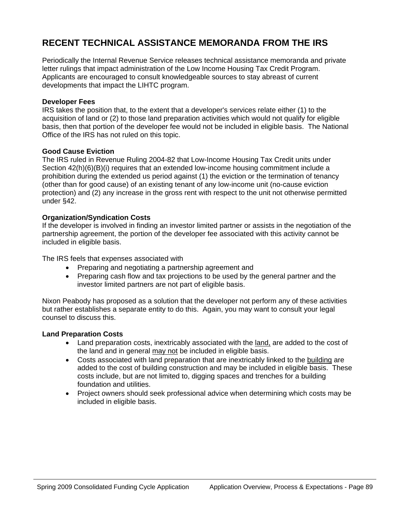# **RECENT TECHNICAL ASSISTANCE MEMORANDA FROM THE IRS**

Periodically the Internal Revenue Service releases technical assistance memoranda and private letter rulings that impact administration of the Low Income Housing Tax Credit Program. Applicants are encouraged to consult knowledgeable sources to stay abreast of current developments that impact the LIHTC program.

#### **Developer Fees**

IRS takes the position that, to the extent that a developer's services relate either (1) to the acquisition of land or (2) to those land preparation activities which would not qualify for eligible basis, then that portion of the developer fee would not be included in eligible basis. The National Office of the IRS has not ruled on this topic.

#### **Good Cause Eviction**

The IRS ruled in Revenue Ruling 2004-82 that Low-Income Housing Tax Credit units under Section 42(h)(6)(B)(i) requires that an extended low-income housing commitment include a prohibition during the extended us period against (1) the eviction or the termination of tenancy (other than for good cause) of an existing tenant of any low-income unit (no-cause eviction protection) and (2) any increase in the gross rent with respect to the unit not otherwise permitted under §42.

#### **Organization/Syndication Costs**

If the developer is involved in finding an investor limited partner or assists in the negotiation of the partnership agreement, the portion of the developer fee associated with this activity cannot be included in eligible basis.

The IRS feels that expenses associated with

- Preparing and negotiating a partnership agreement and
- Preparing cash flow and tax projections to be used by the general partner and the investor limited partners are not part of eligible basis.

Nixon Peabody has proposed as a solution that the developer not perform any of these activities but rather establishes a separate entity to do this. Again, you may want to consult your legal counsel to discuss this.

#### **Land Preparation Costs**

- Land preparation costs, inextricably associated with the land, are added to the cost of the land and in general may not be included in eligible basis.
- Costs associated with land preparation that are inextricably linked to the building are added to the cost of building construction and may be included in eligible basis. These costs include, but are not limited to, digging spaces and trenches for a building foundation and utilities.
- Project owners should seek professional advice when determining which costs may be included in eligible basis.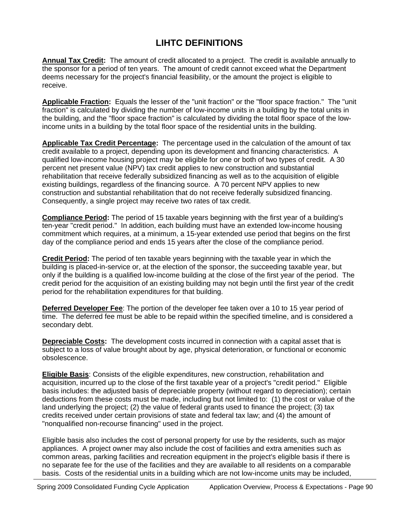### **LIHTC DEFINITIONS**

**Annual Tax Credit:** The amount of credit allocated to a project. The credit is available annually to the sponsor for a period of ten years. The amount of credit cannot exceed what the Department deems necessary for the project's financial feasibility, or the amount the project is eligible to receive.

**Applicable Fraction:** Equals the lesser of the "unit fraction" or the "floor space fraction." The "unit fraction" is calculated by dividing the number of low-income units in a building by the total units in the building, and the "floor space fraction" is calculated by dividing the total floor space of the lowincome units in a building by the total floor space of the residential units in the building.

**Applicable Tax Credit Percentage:** The percentage used in the calculation of the amount of tax credit available to a project, depending upon its development and financing characteristics. A qualified low-income housing project may be eligible for one or both of two types of credit. A 30 percent net present value (NPV) tax credit applies to new construction and substantial rehabilitation that receive federally subsidized financing as well as to the acquisition of eligible existing buildings, regardless of the financing source. A 70 percent NPV applies to new construction and substantial rehabilitation that do not receive federally subsidized financing. Consequently, a single project may receive two rates of tax credit.

**Compliance Period:** The period of 15 taxable years beginning with the first year of a building's ten-year "credit period." In addition, each building must have an extended low-income housing commitment which requires, at a minimum, a 15-year extended use period that begins on the first day of the compliance period and ends 15 years after the close of the compliance period.

**Credit Period:** The period of ten taxable years beginning with the taxable year in which the building is placed-in-service or, at the election of the sponsor, the succeeding taxable year, but only if the building is a qualified low-income building at the close of the first year of the period. The credit period for the acquisition of an existing building may not begin until the first year of the credit period for the rehabilitation expenditures for that building.

**Deferred Developer Fee**: The portion of the developer fee taken over a 10 to 15 year period of time. The deferred fee must be able to be repaid within the specified timeline, and is considered a secondary debt.

**Depreciable Costs:** The development costs incurred in connection with a capital asset that is subject to a loss of value brought about by age, physical deterioration, or functional or economic obsolescence.

**Eligible Basis**: Consists of the eligible expenditures, new construction, rehabilitation and acquisition, incurred up to the close of the first taxable year of a project's "credit period." Eligible basis includes: the adjusted basis of depreciable property (without regard to depreciation); certain deductions from these costs must be made, including but not limited to: (1) the cost or value of the land underlying the project; (2) the value of federal grants used to finance the project; (3) tax credits received under certain provisions of state and federal tax law; and (4) the amount of "nonqualified non-recourse financing" used in the project.

Eligible basis also includes the cost of personal property for use by the residents, such as major appliances. A project owner may also include the cost of facilities and extra amenities such as common areas, parking facilities and recreation equipment in the project's eligible basis if there is no separate fee for the use of the facilities and they are available to all residents on a comparable basis. Costs of the residential units in a building which are not low-income units may be included,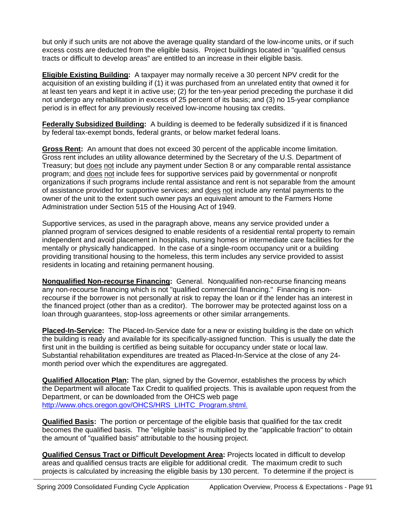but only if such units are not above the average quality standard of the low-income units, or if such excess costs are deducted from the eligible basis. Project buildings located in "qualified census tracts or difficult to develop areas" are entitled to an increase in their eligible basis.

**Eligible Existing Building:** A taxpayer may normally receive a 30 percent NPV credit for the acquisition of an existing building if (1) it was purchased from an unrelated entity that owned it for at least ten years and kept it in active use; (2) for the ten-year period preceding the purchase it did not undergo any rehabilitation in excess of 25 percent of its basis; and (3) no 15-year compliance period is in effect for any previously received low-income housing tax credits.

**Federally Subsidized Building:** A building is deemed to be federally subsidized if it is financed by federal tax-exempt bonds, federal grants, or below market federal loans.

**Gross Rent:** An amount that does not exceed 30 percent of the applicable income limitation. Gross rent includes an utility allowance determined by the Secretary of the U.S. Department of Treasury; but does not include any payment under Section 8 or any comparable rental assistance program; and does not include fees for supportive services paid by governmental or nonprofit organizations if such programs include rental assistance and rent is not separable from the amount of assistance provided for supportive services; and does not include any rental payments to the owner of the unit to the extent such owner pays an equivalent amount to the Farmers Home Administration under Section 515 of the Housing Act of 1949.

Supportive services, as used in the paragraph above, means any service provided under a planned program of services designed to enable residents of a residential rental property to remain independent and avoid placement in hospitals, nursing homes or intermediate care facilities for the mentally or physically handicapped. In the case of a single-room occupancy unit or a building providing transitional housing to the homeless, this term includes any service provided to assist residents in locating and retaining permanent housing.

**Nonqualified Non-recourse Financing:** General. Nonqualified non-recourse financing means any non-recourse financing which is not "qualified commercial financing." Financing is nonrecourse if the borrower is not personally at risk to repay the loan or if the lender has an interest in the financed project (other than as a creditor). The borrower may be protected against loss on a loan through guarantees, stop-loss agreements or other similar arrangements.

**Placed-In-Service:** The Placed-In-Service date for a new or existing building is the date on which the building is ready and available for its specifically-assigned function. This is usually the date the first unit in the building is certified as being suitable for occupancy under state or local law. Substantial rehabilitation expenditures are treated as Placed-In-Service at the close of any 24 month period over which the expenditures are aggregated.

**Qualified Allocation Plan:** The plan, signed by the Governor, establishes the process by which the Department will allocate Tax Credit to qualified projects. This is available upon request from the Department, or can be downloaded from the OHCS web page [http://www.ohcs.oregon.gov/OHCS/HRS\\_LIHTC\\_Program.shtml.](http://www.ohcs.oregon.gov/OHCS/HRS_LIHTC_Program.shtml.)

**Qualified Basis:** The portion or percentage of the eligible basis that qualified for the tax credit becomes the qualified basis. The "eligible basis" is multiplied by the "applicable fraction" to obtain the amount of "qualified basis" attributable to the housing project.

**Qualified Census Tract or Difficult Development Area:** Projects located in difficult to develop areas and qualified census tracts are eligible for additional credit. The maximum credit to such projects is calculated by increasing the eligible basis by 130 percent. To determine if the project is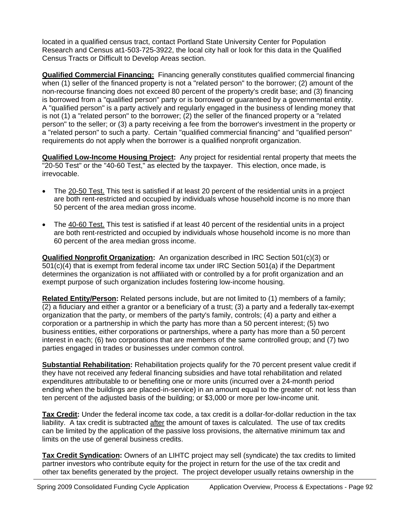located in a qualified census tract, contact Portland State University Center for Population Research and Census at1-503-725-3922, the local city hall or look for this data in the Qualified Census Tracts or Difficult to Develop Areas section.

**Qualified Commercial Financing:** Financing generally constitutes qualified commercial financing when (1) seller of the financed property is not a "related person" to the borrower; (2) amount of the non-recourse financing does not exceed 80 percent of the property's credit base; and (3) financing is borrowed from a "qualified person" party or is borrowed or guaranteed by a governmental entity. A "qualified person" is a party actively and regularly engaged in the business of lending money that is not (1) a "related person" to the borrower; (2) the seller of the financed property or a "related person" to the seller; or (3) a party receiving a fee from the borrower's investment in the property or a "related person" to such a party. Certain "qualified commercial financing" and "qualified person" requirements do not apply when the borrower is a qualified nonprofit organization.

**Qualified Low-Income Housing Project:** Any project for residential rental property that meets the "20-50 Test" or the "40-60 Test," as elected by the taxpayer. This election, once made, is irrevocable.

- The 20-50 Test. This test is satisfied if at least 20 percent of the residential units in a project are both rent-restricted and occupied by individuals whose household income is no more than 50 percent of the area median gross income.
- The 40-60 Test. This test is satisfied if at least 40 percent of the residential units in a project are both rent-restricted and occupied by individuals whose household income is no more than 60 percent of the area median gross income.

**Qualified Nonprofit Organization:** An organization described in IRC Section 501(c)(3) or 501(c)(4) that is exempt from federal income tax under IRC Section 501(a) if the Department determines the organization is not affiliated with or controlled by a for profit organization and an exempt purpose of such organization includes fostering low-income housing.

**Related Entity/Person:** Related persons include, but are not limited to (1) members of a family; (2) a fiduciary and either a grantor or a beneficiary of a trust; (3) a party and a federally tax-exempt organization that the party, or members of the party's family, controls; (4) a party and either a corporation or a partnership in which the party has more than a 50 percent interest; (5) two business entities, either corporations or partnerships, where a party has more than a 50 percent interest in each; (6) two corporations that are members of the same controlled group; and (7) two parties engaged in trades or businesses under common control.

**Substantial Rehabilitation:** Rehabilitation projects qualify for the 70 percent present value credit if they have not received any federal financing subsidies and have total rehabilitation and related expenditures attributable to or benefiting one or more units (incurred over a 24-month period ending when the buildings are placed-in-service) in an amount equal to the greater of: not less than ten percent of the adjusted basis of the building; or \$3,000 or more per low-income unit.

**Tax Credit:** Under the federal income tax code, a tax credit is a dollar-for-dollar reduction in the tax liability. A tax credit is subtracted after the amount of taxes is calculated. The use of tax credits can be limited by the application of the passive loss provisions, the alternative minimum tax and limits on the use of general business credits.

**Tax Credit Syndication:** Owners of an LIHTC project may sell (syndicate) the tax credits to limited partner investors who contribute equity for the project in return for the use of the tax credit and other tax benefits generated by the project. The project developer usually retains ownership in the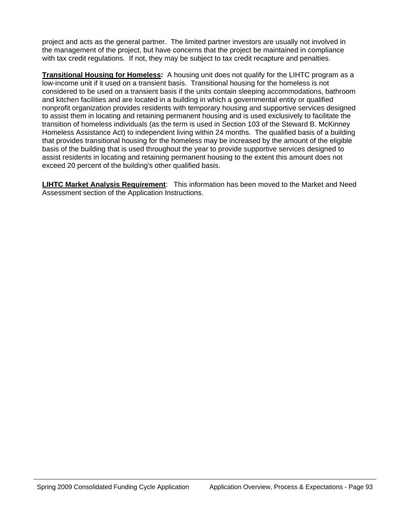project and acts as the general partner. The limited partner investors are usually not involved in the management of the project, but have concerns that the project be maintained in compliance with tax credit regulations. If not, they may be subject to tax credit recapture and penalties.

**Transitional Housing for Homeless:** A housing unit does not qualify for the LIHTC program as a low-income unit if it used on a transient basis. Transitional housing for the homeless is not considered to be used on a transient basis if the units contain sleeping accommodations, bathroom and kitchen facilities and are located in a building in which a governmental entity or qualified nonprofit organization provides residents with temporary housing and supportive services designed to assist them in locating and retaining permanent housing and is used exclusively to facilitate the transition of homeless individuals (as the term is used in Section 103 of the Steward B. McKinney Homeless Assistance Act) to independent living within 24 months. The qualified basis of a building that provides transitional housing for the homeless may be increased by the amount of the eligible basis of the building that is used throughout the year to provide supportive services designed to assist residents in locating and retaining permanent housing to the extent this amount does not exceed 20 percent of the building's other qualified basis.

**LIHTC Market Analysis Requirement**: This information has been moved to the Market and Need Assessment section of the Application Instructions.